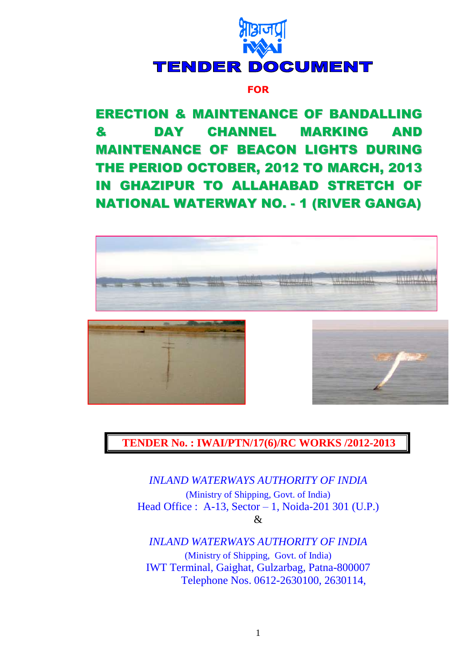

## **FOR**

ERECTION & MAINTENANCE OF BANDALLING & DAY CHANNEL MARKING AND MAINTENANCE OF BEACON LIGHTS DURING THE PERIOD OCTOBER, 2012 TO MARCH, 2013 IN GHAZIPUR TO ALLAHABAD STRETCH OF NATIONAL WATERWAY NO. - 1 (RIVER GANGA)



**TENDER No. : IWAI/PTN/17(6)/RC WORKS /2012-2013**

*INLAND WATERWAYS AUTHORITY OF INDIA* (Ministry of Shipping, Govt. of India) Head Office : A-13, Sector – 1, Noida-201 301 (U.P.) &

*INLAND WATERWAYS AUTHORITY OF INDIA*

(Ministry of Shipping, Govt. of India) IWT Terminal, Gaighat, Gulzarbag, Patna-800007 Telephone Nos. 0612-2630100, 2630114,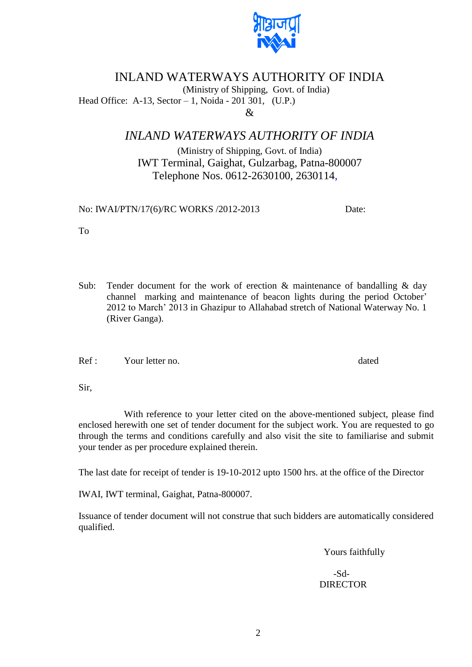

# INLAND WATERWAYS AUTHORITY OF INDIA

(Ministry of Shipping, Govt. of India)

Head Office: A-13, Sector – 1, Noida - 201 301, (U.P.)  $\mathcal{R}$ 

## *INLAND WATERWAYS AUTHORITY OF INDIA*

(Ministry of Shipping, Govt. of India) IWT Terminal, Gaighat, Gulzarbag, Patna-800007 Telephone Nos. 0612-2630100, 2630114,

No: IWAI/PTN/17(6)/RC WORKS /2012-2013 Date:

To

Sub: Tender document for the work of erection  $\&$  maintenance of bandalling  $\&$  day channel marking and maintenance of beacon lights during the period October" 2012 to March" 2013 in Ghazipur to Allahabad stretch of National Waterway No. 1 (River Ganga).

Ref : Your letter no. dated

Sir,

With reference to your letter cited on the above-mentioned subject, please find enclosed herewith one set of tender document for the subject work. You are requested to go through the terms and conditions carefully and also visit the site to familiarise and submit your tender as per procedure explained therein.

The last date for receipt of tender is 19-10-2012 upto 1500 hrs. at the office of the Director

IWAI, IWT terminal, Gaighat, Patna-800007.

Issuance of tender document will not construe that such bidders are automatically considered qualified.

Yours faithfully

 -Sd- DIRECTOR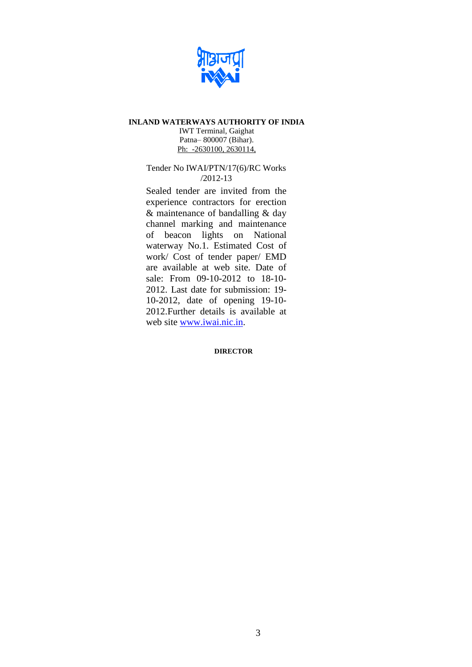

#### **INLAND WATERWAYS AUTHORITY OF INDIA**

IWT Terminal, Gaighat Patna– 800007 (Bihar). Ph: -2630100, 2630114,

#### Tender No IWAI/PTN/17(6)/RC Works /2012-13

Sealed tender are invited from the experience contractors for erection & maintenance of bandalling & day channel marking and maintenance of beacon lights on National waterway No.1. Estimated Cost of work/ Cost of tender paper/ EMD are available at web site. Date of sale: From 09-10-2012 to 18-10- 2012. Last date for submission: 19- 10-2012, date of opening 19-10- 2012.Further details is available at web site [www.iwai.nic.in.](http://www.iwai.nic.in/)

#### **DIRECTOR**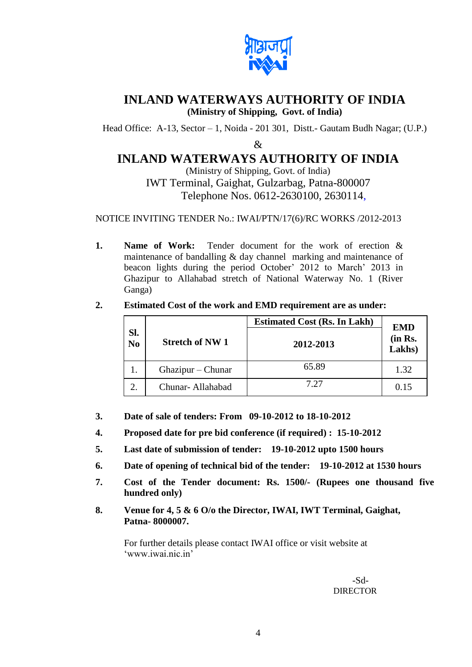

# **INLAND WATERWAYS AUTHORITY OF INDIA (Ministry of Shipping, Govt. of India)**

Head Office: A-13, Sector – 1, Noida - 201 301, Distt.- Gautam Budh Nagar; (U.P.)

&

# **INLAND WATERWAYS AUTHORITY OF INDIA**

(Ministry of Shipping, Govt. of India) IWT Terminal, Gaighat, Gulzarbag, Patna-800007 Telephone Nos. 0612-2630100, 2630114,

NOTICE INVITING TENDER No.: IWAI/PTN/17(6)/RC WORKS /2012-2013

**1. Name of Work:** Tender document for the work of erection & maintenance of bandalling & day channel marking and maintenance of beacon lights during the period October' 2012 to March' 2013 in Ghazipur to Allahabad stretch of National Waterway No. 1 (River Ganga)

|                       |                        | <b>Estimated Cost (Rs. In Lakh)</b> | <b>EMD</b>        |
|-----------------------|------------------------|-------------------------------------|-------------------|
| Sl.<br>N <sub>0</sub> | <b>Stretch of NW 1</b> | 2012-2013                           | (in Rs.<br>Lakhs) |
|                       | Ghazipur – Chunar      | 65.89                               | 1.32              |
| $\overline{2}$        | Chunar-Allahabad       | 7.27                                | 0.15              |

**2. Estimated Cost of the work and EMD requirement are as under:** 

- **3. Date of sale of tenders: From 09-10-2012 to 18-10-2012**
- **4. Proposed date for pre bid conference (if required) : 15-10-2012**
- **5. Last date of submission of tender: 19-10-2012 upto 1500 hours**
- **6. Date of opening of technical bid of the tender: 19-10-2012 at 1530 hours**
- **7. Cost of the Tender document: Rs. 1500/- (Rupees one thousand five hundred only)**
- **8. Venue for 4, 5 & 6 O/o the Director, IWAI, IWT Terminal, Gaighat, Patna- 8000007.**

For further details please contact IWAI office or visit website at 'www.iwai.nic.in'

> -Sd- **DIRECTOR**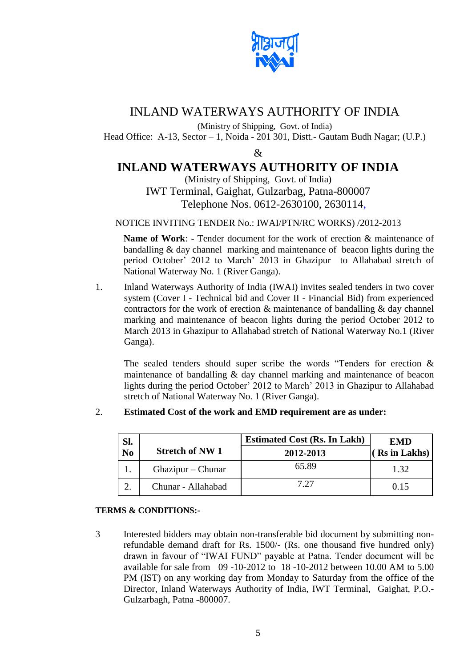

# INLAND WATERWAYS AUTHORITY OF INDIA

(Ministry of Shipping, Govt. of India)

Head Office: A-13, Sector – 1, Noida - 201 301, Distt.- Gautam Budh Nagar; (U.P.)

 $\mathcal{R}$ 

# **INLAND WATERWAYS AUTHORITY OF INDIA**

(Ministry of Shipping, Govt. of India) IWT Terminal, Gaighat, Gulzarbag, Patna-800007 Telephone Nos. 0612-2630100, 2630114,

### NOTICE INVITING TENDER No.: IWAI/PTN/RC WORKS) /2012-2013

**Name of Work**: - Tender document for the work of erection & maintenance of bandalling & day channel marking and maintenance of beacon lights during the period October" 2012 to March" 2013 in Ghazipur to Allahabad stretch of National Waterway No. 1 (River Ganga).

1. Inland Waterways Authority of India (IWAI) invites sealed tenders in two cover system (Cover I - Technical bid and Cover II - Financial Bid) from experienced contractors for the work of erection  $\&$  maintenance of bandalling  $\&$  day channel marking and maintenance of beacon lights during the period October 2012 to March 2013 in Ghazipur to Allahabad stretch of National Waterway No.1 (River Ganga).

The sealed tenders should super scribe the words "Tenders for erection & maintenance of bandalling & day channel marking and maintenance of beacon lights during the period October" 2012 to March" 2013 in Ghazipur to Allahabad stretch of National Waterway No. 1 (River Ganga).

## 2. **Estimated Cost of the work and EMD requirement are as under:**

| Sl.            |                       | <b>Estimated Cost (Rs. In Lakh)</b> | <b>EMD</b>      |
|----------------|-----------------------|-------------------------------------|-----------------|
| N <sub>0</sub> | <b>Stretch of NW1</b> | 2012-2013                           | $(Rs \in Lakk)$ |
|                | Ghazipur – Chunar     | 65.89                               | 1.32            |
|                | Chunar - Allahabad    | 7.27                                | 0.15            |

#### **TERMS & CONDITIONS:-**

3 Interested bidders may obtain non-transferable bid document by submitting nonrefundable demand draft for Rs. 1500/- (Rs. one thousand five hundred only) drawn in favour of "IWAI FUND" payable at Patna. Tender document will be available for sale from 09 -10-2012 to 18 -10-2012 between 10.00 AM to 5.00 PM (IST) on any working day from Monday to Saturday from the office of the Director, Inland Waterways Authority of India, IWT Terminal, Gaighat, P.O.- Gulzarbagh, Patna -800007.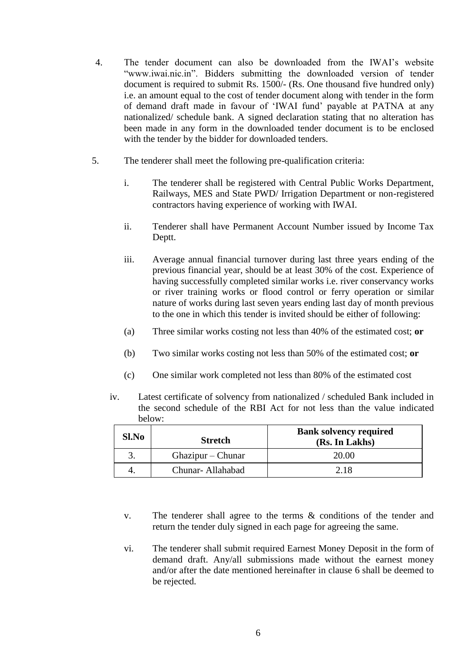- 4. The tender document can also be downloaded from the IWAI"s website "www.iwai.nic.in". Bidders submitting the downloaded version of tender document is required to submit Rs. 1500/- (Rs. One thousand five hundred only) i.e. an amount equal to the cost of tender document along with tender in the form of demand draft made in favour of "IWAI fund" payable at PATNA at any nationalized/ schedule bank. A signed declaration stating that no alteration has been made in any form in the downloaded tender document is to be enclosed with the tender by the bidder for downloaded tenders.
- 5. The tenderer shall meet the following pre-qualification criteria:
	- i. The tenderer shall be registered with Central Public Works Department, Railways, MES and State PWD/ Irrigation Department or non-registered contractors having experience of working with IWAI.
	- ii. Tenderer shall have Permanent Account Number issued by Income Tax Deptt.
	- iii. Average annual financial turnover during last three years ending of the previous financial year, should be at least 30% of the cost. Experience of having successfully completed similar works i.e. river conservancy works or river training works or flood control or ferry operation or similar nature of works during last seven years ending last day of month previous to the one in which this tender is invited should be either of following:
	- (a) Three similar works costing not less than 40% of the estimated cost; **or**
	- (b) Two similar works costing not less than 50% of the estimated cost; **or**
	- (c) One similar work completed not less than 80% of the estimated cost
	- iv. Latest certificate of solvency from nationalized / scheduled Bank included in the second schedule of the RBI Act for not less than the value indicated below:

| Sl.No | <b>Stretch</b>    | <b>Bank solvency required</b><br>(Rs. In Lakhs) |
|-------|-------------------|-------------------------------------------------|
| 3.    | Ghazipur – Chunar | 20.00                                           |
| 4.    | Chunar-Allahabad  | 2.18                                            |

- v. The tenderer shall agree to the terms & conditions of the tender and return the tender duly signed in each page for agreeing the same.
- vi. The tenderer shall submit required Earnest Money Deposit in the form of demand draft. Any/all submissions made without the earnest money and/or after the date mentioned hereinafter in clause 6 shall be deemed to be rejected.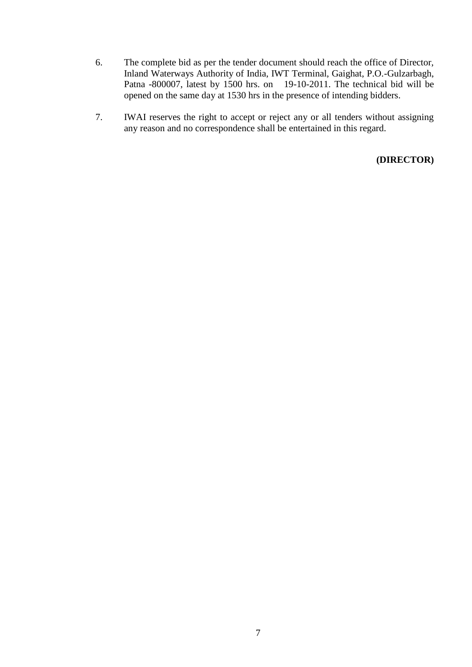- 6. The complete bid as per the tender document should reach the office of Director, Inland Waterways Authority of India, IWT Terminal, Gaighat, P.O.-Gulzarbagh, Patna -800007, latest by 1500 hrs. on 19-10-2011. The technical bid will be opened on the same day at 1530 hrs in the presence of intending bidders.
- 7. IWAI reserves the right to accept or reject any or all tenders without assigning any reason and no correspondence shall be entertained in this regard.

**(DIRECTOR)**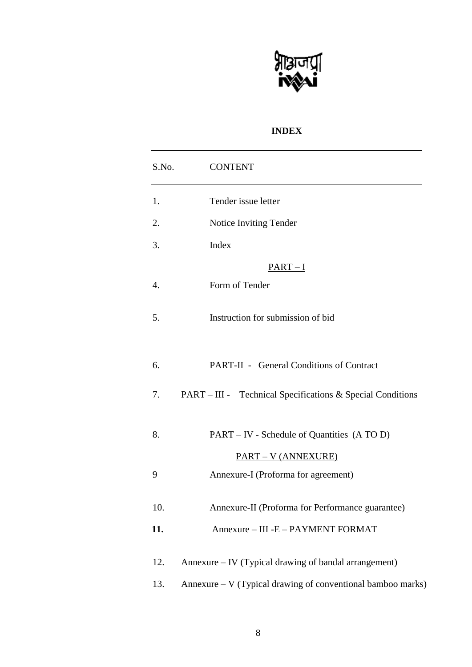

## **INDEX**

| S.No. | <b>CONTENT</b>                                                    |
|-------|-------------------------------------------------------------------|
| 1.    | Tender issue letter                                               |
| 2.    | Notice Inviting Tender                                            |
| 3.    | Index                                                             |
|       | $PART-I$                                                          |
| 4.    | Form of Tender                                                    |
| 5.    | Instruction for submission of bid                                 |
| 6.    | <b>PART-II - General Conditions of Contract</b>                   |
| 7.    | PART – III - Technical Specifications & Special Conditions        |
| 8.    | PART – IV - Schedule of Quantities (A TO D)                       |
| 9     | <b>PART – V (ANNEXURE)</b><br>Annexure-I (Proforma for agreement) |
| 10.   | Annexure-II (Proforma for Performance guarantee)                  |
| 11.   | Annexure - III - E - PAYMENT FORMAT                               |
| 12.   | Annexure – IV (Typical drawing of bandal arrangement)             |
| 13.   | Annexure - V (Typical drawing of conventional bamboo marks)       |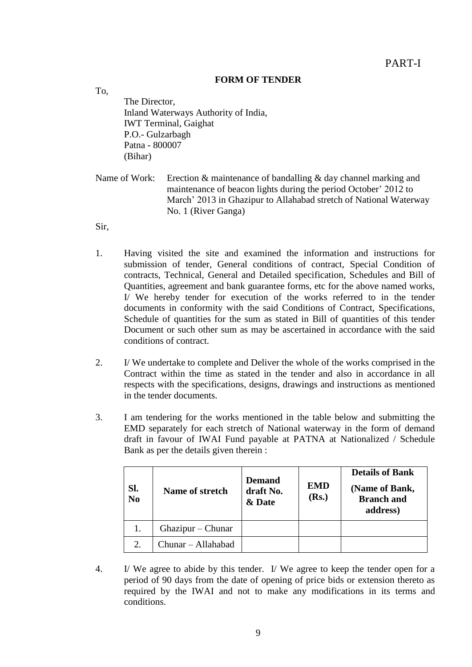## **FORM OF TENDER**

The Director, Inland Waterways Authority of India, IWT Terminal, Gaighat P.O.- Gulzarbagh Patna - 800007 (Bihar)

Name of Work: Erection & maintenance of bandalling & day channel marking and maintenance of beacon lights during the period October' 2012 to March" 2013 in Ghazipur to Allahabad stretch of National Waterway No. 1 (River Ganga)

Sir,

To,

- 1. Having visited the site and examined the information and instructions for submission of tender, General conditions of contract, Special Condition of contracts, Technical, General and Detailed specification, Schedules and Bill of Quantities, agreement and bank guarantee forms, etc for the above named works, I/ We hereby tender for execution of the works referred to in the tender documents in conformity with the said Conditions of Contract, Specifications, Schedule of quantities for the sum as stated in Bill of quantities of this tender Document or such other sum as may be ascertained in accordance with the said conditions of contract.
- 2. I/ We undertake to complete and Deliver the whole of the works comprised in the Contract within the time as stated in the tender and also in accordance in all respects with the specifications, designs, drawings and instructions as mentioned in the tender documents.
- 3. I am tendering for the works mentioned in the table below and submitting the EMD separately for each stretch of National waterway in the form of demand draft in favour of IWAI Fund payable at PATNA at Nationalized / Schedule Bank as per the details given therein :

| Sl.<br>$\overline{N_0}$ | Name of stretch    | <b>Demand</b><br>draft No.<br>& Date | <b>EMD</b><br>(Rs.) | <b>Details of Bank</b><br>(Name of Bank,<br><b>Branch and</b><br>address) |
|-------------------------|--------------------|--------------------------------------|---------------------|---------------------------------------------------------------------------|
|                         | Ghazipur – Chunar  |                                      |                     |                                                                           |
| 2.                      | Chunar - Allahabad |                                      |                     |                                                                           |

4. I/ We agree to abide by this tender. I/ We agree to keep the tender open for a period of 90 days from the date of opening of price bids or extension thereto as required by the IWAI and not to make any modifications in its terms and conditions.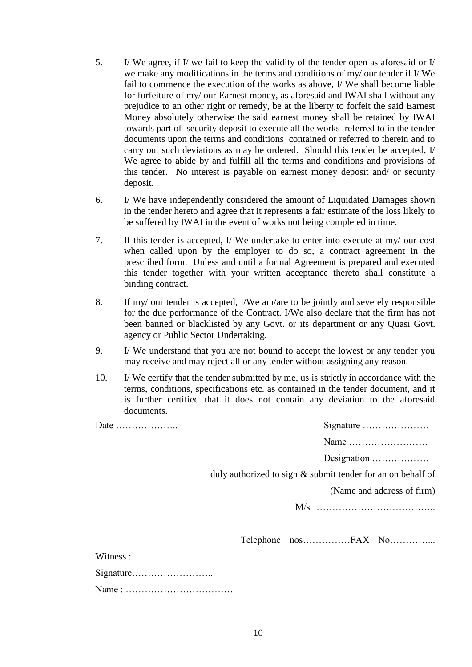- 5. I/ We agree, if I/ we fail to keep the validity of the tender open as aforesaid or I/ we make any modifications in the terms and conditions of my/ our tender if I/ We fail to commence the execution of the works as above, I/ We shall become liable for forfeiture of my/ our Earnest money, as aforesaid and IWAI shall without any prejudice to an other right or remedy, be at the liberty to forfeit the said Earnest Money absolutely otherwise the said earnest money shall be retained by IWAI towards part of security deposit to execute all the works referred to in the tender documents upon the terms and conditions contained or referred to therein and to carry out such deviations as may be ordered. Should this tender be accepted, I/ We agree to abide by and fulfill all the terms and conditions and provisions of this tender. No interest is payable on earnest money deposit and/ or security deposit.
- 6. I/ We have independently considered the amount of Liquidated Damages shown in the tender hereto and agree that it represents a fair estimate of the loss likely to be suffered by IWAI in the event of works not being completed in time.
- 7. If this tender is accepted, I/ We undertake to enter into execute at my/ our cost when called upon by the employer to do so, a contract agreement in the prescribed form. Unless and until a formal Agreement is prepared and executed this tender together with your written acceptance thereto shall constitute a binding contract.
- 8. If my/ our tender is accepted, I/We am/are to be jointly and severely responsible for the due performance of the Contract. I/We also declare that the firm has not been banned or blacklisted by any Govt. or its department or any Quasi Govt. agency or Public Sector Undertaking.
- 9. I/ We understand that you are not bound to accept the lowest or any tender you may receive and may reject all or any tender without assigning any reason.
- 10. I/ We certify that the tender submitted by me, us is strictly in accordance with the terms, conditions, specifications etc. as contained in the tender document, and it is further certified that it does not contain any deviation to the aforesaid documents.

| Date     | Signature                                                   |
|----------|-------------------------------------------------------------|
|          | Name                                                        |
|          | Designation                                                 |
|          | duly authorized to sign & submit tender for an on behalf of |
|          | (Name and address of firm)                                  |
|          |                                                             |
|          |                                                             |
| Witness: |                                                             |
|          |                                                             |
|          |                                                             |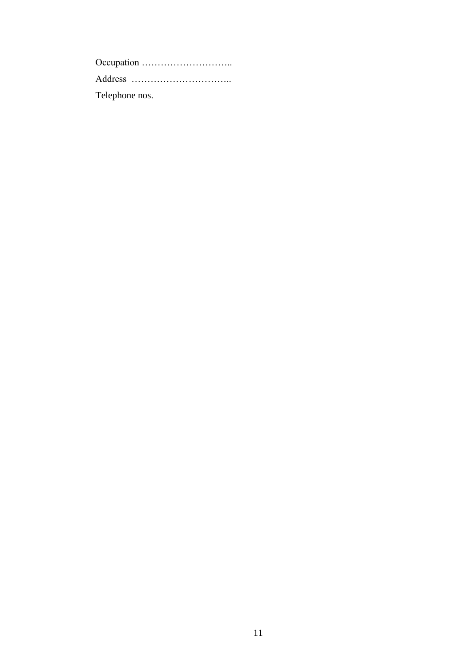Occupation ……………………….. Address ………………………….. Telephone nos.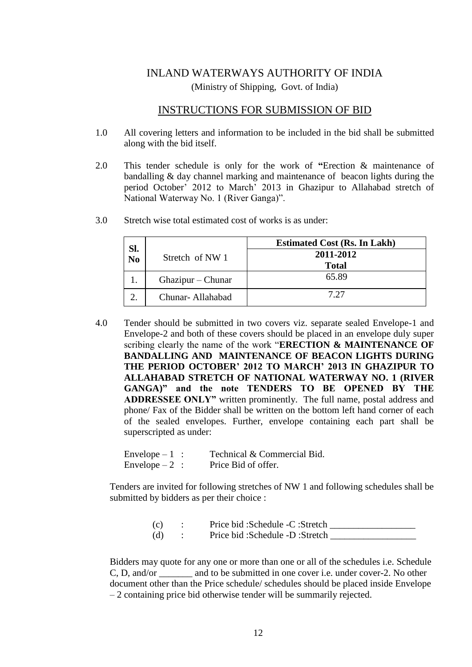# INLAND WATERWAYS AUTHORITY OF INDIA (Ministry of Shipping, Govt. of India)

## INSTRUCTIONS FOR SUBMISSION OF BID

- 1.0 All covering letters and information to be included in the bid shall be submitted along with the bid itself.
- 2.0 This tender schedule is only for the work of **"**Erection & maintenance of bandalling & day channel marking and maintenance of beacon lights during the period October" 2012 to March" 2013 in Ghazipur to Allahabad stretch of National Waterway No. 1 (River Ganga)".

| Sl.            |                   | <b>Estimated Cost (Rs. In Lakh)</b> |
|----------------|-------------------|-------------------------------------|
| N <sub>o</sub> | Stretch of NW 1   | 2011-2012                           |
|                |                   | <b>Total</b>                        |
|                | Ghazipur – Chunar | 65.89                               |
|                | Chunar-Allahabad  | 7.27                                |

3.0 Stretch wise total estimated cost of works is as under:

4.0 Tender should be submitted in two covers viz. separate sealed Envelope-1 and Envelope-2 and both of these covers should be placed in an envelope duly super scribing clearly the name of the work "**ERECTION & MAINTENANCE OF BANDALLING AND MAINTENANCE OF BEACON LIGHTS DURING THE PERIOD OCTOBER' 2012 TO MARCH' 2013 IN GHAZIPUR TO ALLAHABAD STRETCH OF NATIONAL WATERWAY NO. 1 (RIVER GANGA)" and the note TENDERS TO BE OPENED BY THE ADDRESSEE ONLY"** written prominently. The full name, postal address and phone/ Fax of the Bidder shall be written on the bottom left hand corner of each of the sealed envelopes. Further, envelope containing each part shall be superscripted as under:

| Envelope $-1$ : | Technical & Commercial Bid. |
|-----------------|-----------------------------|
| Envelope $-2$ : | Price Bid of offer.         |

Tenders are invited for following stretches of NW 1 and following schedules shall be submitted by bidders as per their choice :

| (c) | Price bid: Schedule -C: Stretch |
|-----|---------------------------------|
| (d) | Price bid: Schedule -D: Stretch |

Bidders may quote for any one or more than one or all of the schedules i.e. Schedule C, D, and/or and to be submitted in one cover i.e. under cover-2. No other document other than the Price schedule/ schedules should be placed inside Envelope – 2 containing price bid otherwise tender will be summarily rejected.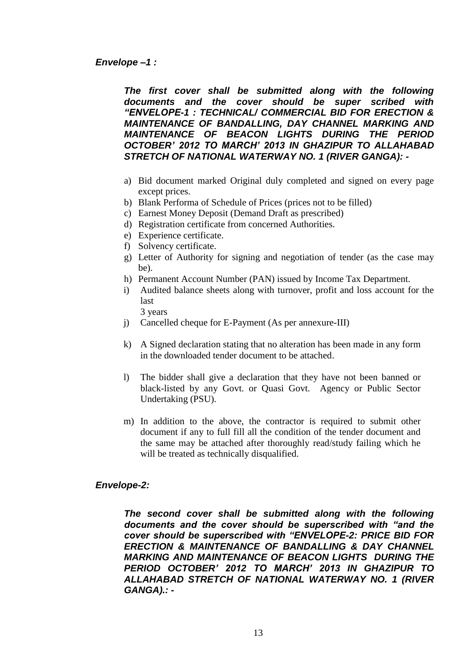*The first cover shall be submitted along with the following documents and the cover should be super scribed with "ENVELOPE-1 : TECHNICAL/ COMMERCIAL BID FOR ERECTION & MAINTENANCE OF BANDALLING, DAY CHANNEL MARKING AND MAINTENANCE OF BEACON LIGHTS DURING THE PERIOD OCTOBER' 2012 TO MARCH' 2013 IN GHAZIPUR TO ALLAHABAD STRETCH OF NATIONAL WATERWAY NO. 1 (RIVER GANGA): -*

- a) Bid document marked Original duly completed and signed on every page except prices.
- b) Blank Performa of Schedule of Prices (prices not to be filled)
- c) Earnest Money Deposit (Demand Draft as prescribed)
- d) Registration certificate from concerned Authorities.
- e) Experience certificate.
- f) Solvency certificate.
- g) Letter of Authority for signing and negotiation of tender (as the case may be).
- h) Permanent Account Number (PAN) issued by Income Tax Department.
- i) Audited balance sheets along with turnover, profit and loss account for the last

3 years

- j) Cancelled cheque for E-Payment (As per annexure-III)
- k) A Signed declaration stating that no alteration has been made in any form in the downloaded tender document to be attached.
- l) The bidder shall give a declaration that they have not been banned or black-listed by any Govt. or Quasi Govt. Agency or Public Sector Undertaking (PSU).
- m) In addition to the above, the contractor is required to submit other document if any to full fill all the condition of the tender document and the same may be attached after thoroughly read/study failing which he will be treated as technically disqualified.

## *Envelope-2:*

*The second cover shall be submitted along with the following documents and the cover should be superscribed with "and the cover should be superscribed with "ENVELOPE-2: PRICE BID FOR ERECTION & MAINTENANCE OF BANDALLING & DAY CHANNEL MARKING AND MAINTENANCE OF BEACON LIGHTS DURING THE PERIOD OCTOBER' 2012 TO MARCH' 2013 IN GHAZIPUR TO ALLAHABAD STRETCH OF NATIONAL WATERWAY NO. 1 (RIVER GANGA).: -*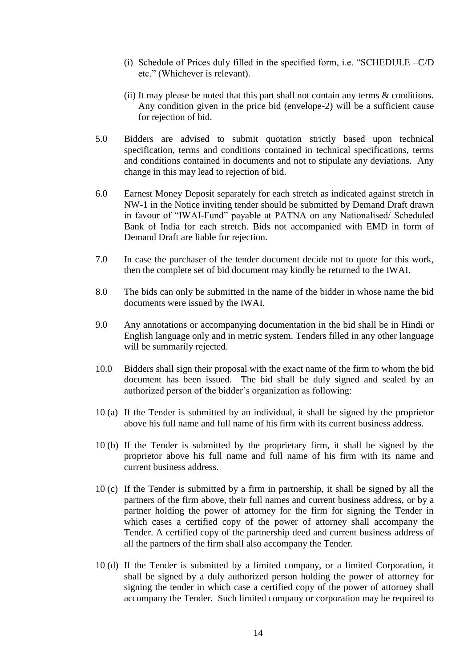- (i) Schedule of Prices duly filled in the specified form, i.e. "SCHEDULE –C/D etc." (Whichever is relevant).
- (ii) It may please be noted that this part shall not contain any terms  $\&$  conditions. Any condition given in the price bid (envelope-2) will be a sufficient cause for rejection of bid.
- 5.0 Bidders are advised to submit quotation strictly based upon technical specification, terms and conditions contained in technical specifications, terms and conditions contained in documents and not to stipulate any deviations. Any change in this may lead to rejection of bid.
- 6.0 Earnest Money Deposit separately for each stretch as indicated against stretch in NW-1 in the Notice inviting tender should be submitted by Demand Draft drawn in favour of "IWAI-Fund" payable at PATNA on any Nationalised/ Scheduled Bank of India for each stretch. Bids not accompanied with EMD in form of Demand Draft are liable for rejection.
- 7.0 In case the purchaser of the tender document decide not to quote for this work, then the complete set of bid document may kindly be returned to the IWAI.
- 8.0 The bids can only be submitted in the name of the bidder in whose name the bid documents were issued by the IWAI.
- 9.0 Any annotations or accompanying documentation in the bid shall be in Hindi or English language only and in metric system. Tenders filled in any other language will be summarily rejected.
- 10.0 Bidders shall sign their proposal with the exact name of the firm to whom the bid document has been issued. The bid shall be duly signed and sealed by an authorized person of the bidder"s organization as following:
- 10 (a) If the Tender is submitted by an individual, it shall be signed by the proprietor above his full name and full name of his firm with its current business address.
- 10 (b) If the Tender is submitted by the proprietary firm, it shall be signed by the proprietor above his full name and full name of his firm with its name and current business address.
- 10 (c) If the Tender is submitted by a firm in partnership, it shall be signed by all the partners of the firm above, their full names and current business address, or by a partner holding the power of attorney for the firm for signing the Tender in which cases a certified copy of the power of attorney shall accompany the Tender. A certified copy of the partnership deed and current business address of all the partners of the firm shall also accompany the Tender.
- 10 (d) If the Tender is submitted by a limited company, or a limited Corporation, it shall be signed by a duly authorized person holding the power of attorney for signing the tender in which case a certified copy of the power of attorney shall accompany the Tender. Such limited company or corporation may be required to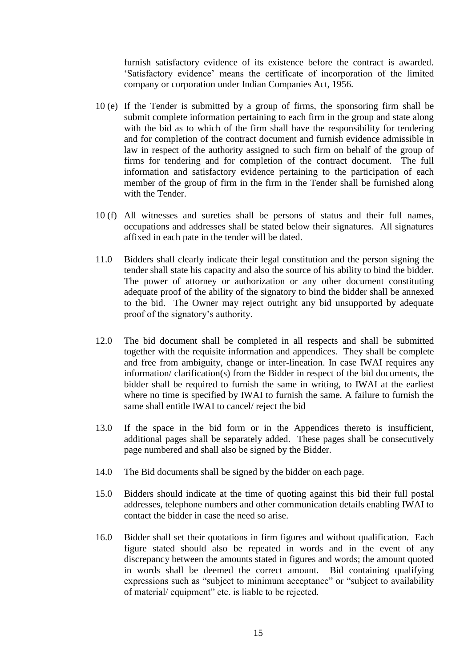furnish satisfactory evidence of its existence before the contract is awarded. "Satisfactory evidence" means the certificate of incorporation of the limited company or corporation under Indian Companies Act, 1956.

- 10 (e) If the Tender is submitted by a group of firms, the sponsoring firm shall be submit complete information pertaining to each firm in the group and state along with the bid as to which of the firm shall have the responsibility for tendering and for completion of the contract document and furnish evidence admissible in law in respect of the authority assigned to such firm on behalf of the group of firms for tendering and for completion of the contract document. The full information and satisfactory evidence pertaining to the participation of each member of the group of firm in the firm in the Tender shall be furnished along with the Tender.
- 10 (f) All witnesses and sureties shall be persons of status and their full names, occupations and addresses shall be stated below their signatures. All signatures affixed in each pate in the tender will be dated.
- 11.0 Bidders shall clearly indicate their legal constitution and the person signing the tender shall state his capacity and also the source of his ability to bind the bidder. The power of attorney or authorization or any other document constituting adequate proof of the ability of the signatory to bind the bidder shall be annexed to the bid. The Owner may reject outright any bid unsupported by adequate proof of the signatory's authority.
- 12.0 The bid document shall be completed in all respects and shall be submitted together with the requisite information and appendices. They shall be complete and free from ambiguity, change or inter-lineation. In case IWAI requires any information/ clarification(s) from the Bidder in respect of the bid documents, the bidder shall be required to furnish the same in writing, to IWAI at the earliest where no time is specified by IWAI to furnish the same. A failure to furnish the same shall entitle IWAI to cancel/ reject the bid
- 13.0 If the space in the bid form or in the Appendices thereto is insufficient, additional pages shall be separately added. These pages shall be consecutively page numbered and shall also be signed by the Bidder.
- 14.0 The Bid documents shall be signed by the bidder on each page.
- 15.0 Bidders should indicate at the time of quoting against this bid their full postal addresses, telephone numbers and other communication details enabling IWAI to contact the bidder in case the need so arise.
- 16.0 Bidder shall set their quotations in firm figures and without qualification. Each figure stated should also be repeated in words and in the event of any discrepancy between the amounts stated in figures and words; the amount quoted in words shall be deemed the correct amount. Bid containing qualifying expressions such as "subject to minimum acceptance" or "subject to availability of material/ equipment" etc. is liable to be rejected.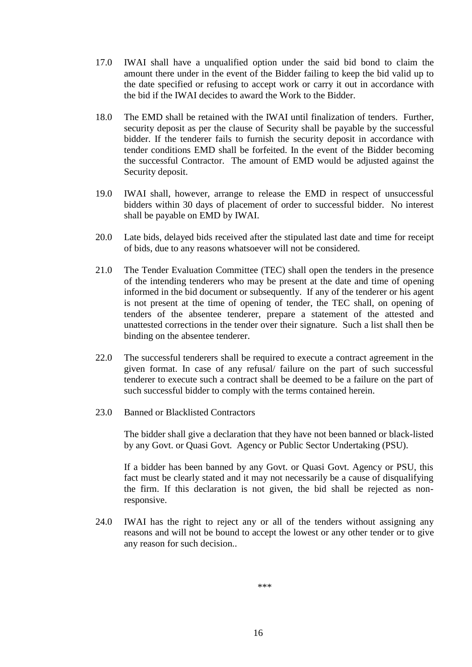- 17.0 IWAI shall have a unqualified option under the said bid bond to claim the amount there under in the event of the Bidder failing to keep the bid valid up to the date specified or refusing to accept work or carry it out in accordance with the bid if the IWAI decides to award the Work to the Bidder.
- 18.0 The EMD shall be retained with the IWAI until finalization of tenders. Further, security deposit as per the clause of Security shall be payable by the successful bidder. If the tenderer fails to furnish the security deposit in accordance with tender conditions EMD shall be forfeited. In the event of the Bidder becoming the successful Contractor. The amount of EMD would be adjusted against the Security deposit.
- 19.0 IWAI shall, however, arrange to release the EMD in respect of unsuccessful bidders within 30 days of placement of order to successful bidder. No interest shall be payable on EMD by IWAI.
- 20.0 Late bids, delayed bids received after the stipulated last date and time for receipt of bids, due to any reasons whatsoever will not be considered.
- 21.0 The Tender Evaluation Committee (TEC) shall open the tenders in the presence of the intending tenderers who may be present at the date and time of opening informed in the bid document or subsequently. If any of the tenderer or his agent is not present at the time of opening of tender, the TEC shall, on opening of tenders of the absentee tenderer, prepare a statement of the attested and unattested corrections in the tender over their signature. Such a list shall then be binding on the absentee tenderer.
- 22.0 The successful tenderers shall be required to execute a contract agreement in the given format. In case of any refusal/ failure on the part of such successful tenderer to execute such a contract shall be deemed to be a failure on the part of such successful bidder to comply with the terms contained herein.
- 23.0 Banned or Blacklisted Contractors

The bidder shall give a declaration that they have not been banned or black-listed by any Govt. or Quasi Govt. Agency or Public Sector Undertaking (PSU).

If a bidder has been banned by any Govt. or Quasi Govt. Agency or PSU, this fact must be clearly stated and it may not necessarily be a cause of disqualifying the firm. If this declaration is not given, the bid shall be rejected as nonresponsive.

24.0 IWAI has the right to reject any or all of the tenders without assigning any reasons and will not be bound to accept the lowest or any other tender or to give any reason for such decision..

\*\*\*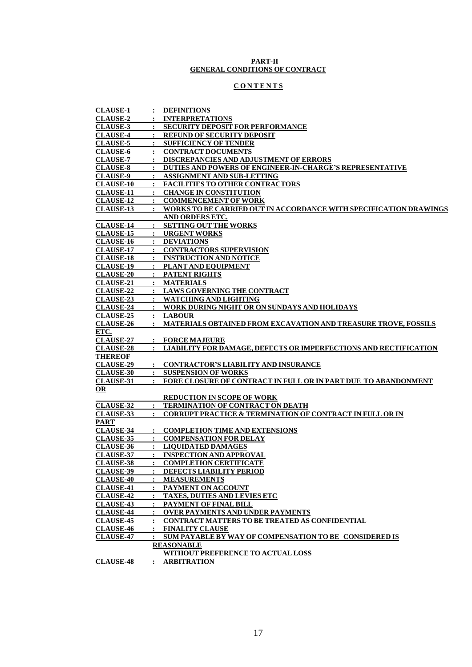#### **PART-II GENERAL CONDITIONS OF CONTRACT**

### **C O N T E N T S**

| <b>CLAUSE-1</b>  |                | : DEFINITIONS                                                         |
|------------------|----------------|-----------------------------------------------------------------------|
| <b>CLAUSE-2</b>  |                | : INTERPRETATIONS                                                     |
| <b>CLAUSE-3</b>  |                | : SECURITY DEPOSIT FOR PERFORMANCE                                    |
| <b>CLAUSE-4</b>  |                | <b>REFUND OF SECURITY DEPOSIT</b>                                     |
| <b>CLAUSE-5</b>  |                | : SUFFICIENCY OF TENDER                                               |
| <b>CLAUSE-6</b>  |                | : CONTRACT DOCUMENTS                                                  |
| <b>CLAUSE-7</b>  |                | <b>DISCREPANCIES AND ADJUSTMENT OF ERRORS</b>                         |
| <b>CLAUSE-8</b>  |                | : DUTIES AND POWERS OF ENGINEER-IN-CHARGE'S REPRESENTATIVE            |
| <b>CLAUSE-9</b>  |                | : ASSIGNMENT AND SUB-LETTING                                          |
| <b>CLAUSE-10</b> |                | : FACILITIES TO OTHER CONTRACTORS                                     |
| <b>CLAUSE-11</b> |                | <b>CHANGE IN CONSTITUTION</b>                                         |
| <b>CLAUSE-12</b> |                | : COMMENCEMENT OF WORK                                                |
| <b>CLAUSE-13</b> |                | : WORKS TO BE CARRIED OUT IN ACCORDANCE WITH SPECIFICATION DRAWINGS   |
|                  |                | AND ORDERS ETC.                                                       |
| <b>CLAUSE-14</b> |                | <b>SETTING OUT THE WORKS</b>                                          |
| <b>CLAUSE-15</b> |                | : URGENT WORKS                                                        |
| <b>CLAUSE-16</b> |                | : DEVIATIONS                                                          |
| <b>CLAUSE-17</b> |                | <u>: CONTRACTORS SUPERVISION</u>                                      |
| <b>CLAUSE-18</b> |                | <b>INSTRUCTION AND NOTICE</b>                                         |
| <b>CLAUSE-19</b> |                | : PLANT AND EQUIPMENT                                                 |
| <b>CLAUSE-20</b> |                | : PATENT RIGHTS                                                       |
| <b>CLAUSE-21</b> |                | : MATERIALS                                                           |
| <b>CLAUSE-22</b> |                | <b>LAWS GOVERNING THE CONTRACT</b>                                    |
| <b>CLAUSE-23</b> |                | : WATCHING AND LIGHTING                                               |
| <b>CLAUSE-24</b> |                | : WORK DURING NIGHT OR ON SUNDAYS AND HOLIDAYS                        |
| <b>CLAUSE-25</b> |                | : LABOUR                                                              |
| <b>CLAUSE-26</b> |                | <b>MATERIALS OBTAINED FROM EXCAVATION AND TREASURE TROVE, FOSSILS</b> |
| ETC.             |                |                                                                       |
| <b>CLAUSE-27</b> |                | : FORCE MAJEURE                                                       |
| <b>CLAUSE-28</b> |                | : LIABILITY FOR DAMAGE, DEFECTS OR IMPERFECTIONS AND RECTIFICATION    |
| <b>THEREOF</b>   |                |                                                                       |
| <b>CLAUSE-29</b> |                | : CONTRACTOR'S LIABILITY AND INSURANCE                                |
| <b>CLAUSE-30</b> |                | : SUSPENSION OF WORKS                                                 |
| <b>CLAUSE-31</b> |                | : FORE CLOSURE OF CONTRACT IN FULL OR IN PART DUE TO ABANDONMENT      |
| <b>OR</b>        |                |                                                                       |
|                  |                | <b>REDUCTION IN SCOPE OF WORK</b>                                     |
| <b>CLAUSE-32</b> |                | : TERMINATION OF CONTRACT ON DEATH                                    |
| <b>CLAUSE-33</b> | $\mathbf{r}$   | <b>CORRUPT PRACTICE &amp; TERMINATION OF CONTRACT IN FULL OR IN</b>   |
| <b>PART</b>      |                |                                                                       |
| <b>CLAUSE-34</b> |                | <b>COMPLETION TIME AND EXTENSIONS</b>                                 |
| <b>CLAUSE-35</b> |                | : COMPENSATION FOR DELAY                                              |
| <b>CLAUSE-36</b> |                | : LIQUIDATED DAMAGES                                                  |
| <b>CLAUSE-37</b> |                | : INSPECTION AND APPROVAL                                             |
| <u>CLAUSE-38</u> |                | <b>COMPLETION CERTIFICATE</b>                                         |
| <b>CLAUSE-39</b> |                | : DEFECTS LIABILITY PERIOD                                            |
| <b>CLAUSE-40</b> |                | : MEASUREMENTS                                                        |
| <b>CLAUSE-41</b> |                | : PAYMENT ON ACCOUNT                                                  |
| <b>CLAUSE-42</b> |                | : TAXES, DUTIES AND LEVIES ETC                                        |
| <b>CLAUSE-43</b> |                | : PAYMENT OF FINAL BILL                                               |
| <b>CLAUSE-44</b> | $\ddot{\cdot}$ | <b>OVER PAYMENTS AND UNDER PAYMENTS</b>                               |
| <b>CLAUSE-45</b> |                | CONTRACT MATTERS TO BE TREATED AS CONFIDENTIAL                        |
| <b>CLAUSE-46</b> |                | : FINALITY CLAUSE                                                     |
| <b>CLAUSE-47</b> |                | : SUM PAYABLE BY WAY OF COMPENSATION TO BE CONSIDERED IS              |
|                  |                | <b>REASONABLE</b>                                                     |
|                  |                | WITHOUT PREFERENCE TO ACTUAL LOSS                                     |
| <b>CLAUSE-48</b> |                | : ARBITRATION                                                         |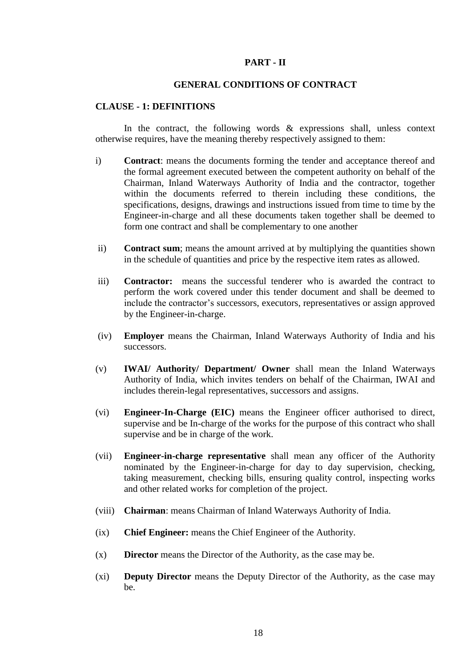#### **PART - II**

#### **GENERAL CONDITIONS OF CONTRACT**

#### **CLAUSE - 1: DEFINITIONS**

In the contract, the following words  $\&$  expressions shall, unless context otherwise requires, have the meaning thereby respectively assigned to them:

- i) **Contract**: means the documents forming the tender and acceptance thereof and the formal agreement executed between the competent authority on behalf of the Chairman, Inland Waterways Authority of India and the contractor, together within the documents referred to therein including these conditions, the specifications, designs, drawings and instructions issued from time to time by the Engineer-in-charge and all these documents taken together shall be deemed to form one contract and shall be complementary to one another
- ii) **Contract sum**; means the amount arrived at by multiplying the quantities shown in the schedule of quantities and price by the respective item rates as allowed.
- iii) **Contractor:** means the successful tenderer who is awarded the contract to perform the work covered under this tender document and shall be deemed to include the contractor"s successors, executors, representatives or assign approved by the Engineer-in-charge.
- (iv) **Employer** means the Chairman, Inland Waterways Authority of India and his successors.
- (v) **IWAI/ Authority/ Department/ Owner** shall mean the Inland Waterways Authority of India, which invites tenders on behalf of the Chairman, IWAI and includes therein-legal representatives, successors and assigns.
- (vi) **Engineer-In-Charge (EIC)** means the Engineer officer authorised to direct, supervise and be In-charge of the works for the purpose of this contract who shall supervise and be in charge of the work.
- (vii) **Engineer-in-charge representative** shall mean any officer of the Authority nominated by the Engineer-in-charge for day to day supervision, checking, taking measurement, checking bills, ensuring quality control, inspecting works and other related works for completion of the project.
- (viii) **Chairman**: means Chairman of Inland Waterways Authority of India.
- (ix) **Chief Engineer:** means the Chief Engineer of the Authority.
- (x) **Director** means the Director of the Authority, as the case may be.
- (xi) **Deputy Director** means the Deputy Director of the Authority, as the case may be.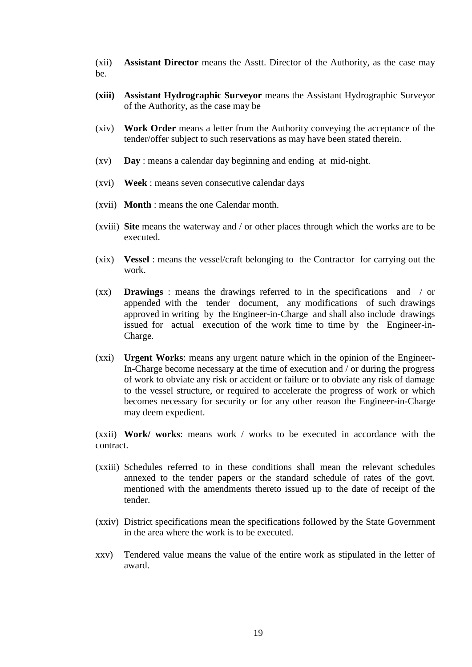(xii) **Assistant Director** means the Asstt. Director of the Authority, as the case may be.

- **(xiii) Assistant Hydrographic Surveyor** means the Assistant Hydrographic Surveyor of the Authority, as the case may be
- (xiv) **Work Order** means a letter from the Authority conveying the acceptance of the tender/offer subject to such reservations as may have been stated therein.
- (xv) **Day** : means a calendar day beginning and ending at mid-night.
- (xvi) **Week** : means seven consecutive calendar days
- (xvii) **Month** : means the one Calendar month.
- (xviii) **Site** means the waterway and / or other places through which the works are to be executed.
- (xix) **Vessel** : means the vessel/craft belonging to the Contractor for carrying out the work.
- (xx) **Drawings** : means the drawings referred to in the specifications and / or appended with the tender document, any modifications of such drawings approved in writing by the Engineer-in-Charge and shall also include drawings issued for actual execution of the work time to time by the Engineer-in-Charge.
- (xxi) **Urgent Works**: means any urgent nature which in the opinion of the Engineer-In-Charge become necessary at the time of execution and / or during the progress of work to obviate any risk or accident or failure or to obviate any risk of damage to the vessel structure, or required to accelerate the progress of work or which becomes necessary for security or for any other reason the Engineer-in-Charge may deem expedient.

(xxii) **Work/ works**: means work / works to be executed in accordance with the contract.

- (xxiii) Schedules referred to in these conditions shall mean the relevant schedules annexed to the tender papers or the standard schedule of rates of the govt. mentioned with the amendments thereto issued up to the date of receipt of the tender.
- (xxiv) District specifications mean the specifications followed by the State Government in the area where the work is to be executed.
- xxv) Tendered value means the value of the entire work as stipulated in the letter of award.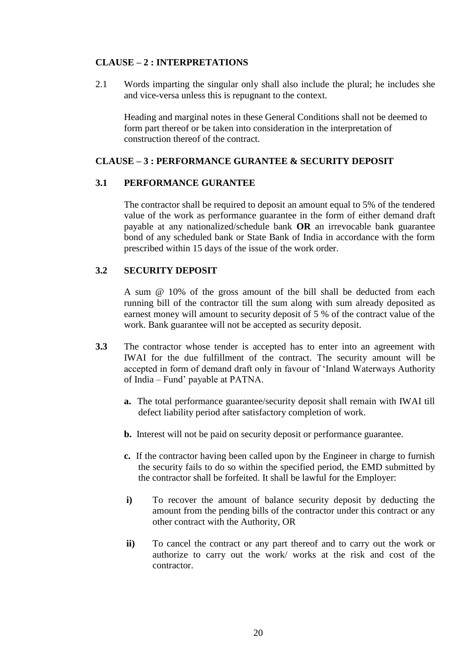## **CLAUSE – 2 : INTERPRETATIONS**

2.1 Words imparting the singular only shall also include the plural; he includes she and vice-versa unless this is repugnant to the context.

Heading and marginal notes in these General Conditions shall not be deemed to form part thereof or be taken into consideration in the interpretation of construction thereof of the contract.

## **CLAUSE – 3 : PERFORMANCE GURANTEE & SECURITY DEPOSIT**

#### **3.1 PERFORMANCE GURANTEE**

The contractor shall be required to deposit an amount equal to 5% of the tendered value of the work as performance guarantee in the form of either demand draft payable at any nationalized/schedule bank **OR** an irrevocable bank guarantee bond of any scheduled bank or State Bank of India in accordance with the form prescribed within 15 days of the issue of the work order.

#### **3.2 SECURITY DEPOSIT**

A sum @ 10% of the gross amount of the bill shall be deducted from each running bill of the contractor till the sum along with sum already deposited as earnest money will amount to security deposit of 5 % of the contract value of the work. Bank guarantee will not be accepted as security deposit.

- **3.3** The contractor whose tender is accepted has to enter into an agreement with IWAI for the due fulfillment of the contract. The security amount will be accepted in form of demand draft only in favour of "Inland Waterways Authority of India – Fund" payable at PATNA.
	- **a.** The total performance guarantee/security deposit shall remain with IWAI till defect liability period after satisfactory completion of work.
	- **b.** Interest will not be paid on security deposit or performance guarantee.
	- **c.** If the contractor having been called upon by the Engineer in charge to furnish the security fails to do so within the specified period, the EMD submitted by the contractor shall be forfeited. It shall be lawful for the Employer:
	- **i)** To recover the amount of balance security deposit by deducting the amount from the pending bills of the contractor under this contract or any other contract with the Authority, OR
	- **ii)** To cancel the contract or any part thereof and to carry out the work or authorize to carry out the work/ works at the risk and cost of the contractor.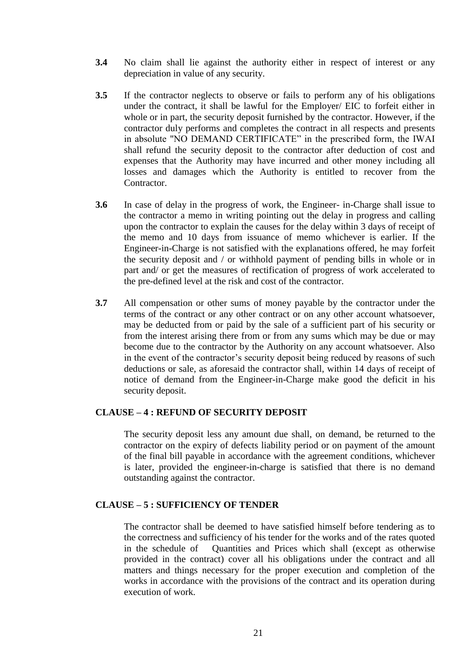- **3.4** No claim shall lie against the authority either in respect of interest or any depreciation in value of any security.
- **3.5** If the contractor neglects to observe or fails to perform any of his obligations under the contract, it shall be lawful for the Employer/ EIC to forfeit either in whole or in part, the security deposit furnished by the contractor. However, if the contractor duly performs and completes the contract in all respects and presents in absolute "NO DEMAND CERTIFICATE" in the prescribed form, the IWAI shall refund the security deposit to the contractor after deduction of cost and expenses that the Authority may have incurred and other money including all losses and damages which the Authority is entitled to recover from the Contractor.
- **3.6** In case of delay in the progress of work, the Engineer- in-Charge shall issue to the contractor a memo in writing pointing out the delay in progress and calling upon the contractor to explain the causes for the delay within 3 days of receipt of the memo and 10 days from issuance of memo whichever is earlier. If the Engineer-in-Charge is not satisfied with the explanations offered, he may forfeit the security deposit and / or withhold payment of pending bills in whole or in part and/ or get the measures of rectification of progress of work accelerated to the pre-defined level at the risk and cost of the contractor.
- **3.7** All compensation or other sums of money payable by the contractor under the terms of the contract or any other contract or on any other account whatsoever, may be deducted from or paid by the sale of a sufficient part of his security or from the interest arising there from or from any sums which may be due or may become due to the contractor by the Authority on any account whatsoever. Also in the event of the contractor's security deposit being reduced by reasons of such deductions or sale, as aforesaid the contractor shall, within 14 days of receipt of notice of demand from the Engineer-in-Charge make good the deficit in his security deposit.

#### **CLAUSE – 4 : REFUND OF SECURITY DEPOSIT**

The security deposit less any amount due shall, on demand, be returned to the contractor on the expiry of defects liability period or on payment of the amount of the final bill payable in accordance with the agreement conditions, whichever is later, provided the engineer-in-charge is satisfied that there is no demand outstanding against the contractor.

#### **CLAUSE – 5 : SUFFICIENCY OF TENDER**

The contractor shall be deemed to have satisfied himself before tendering as to the correctness and sufficiency of his tender for the works and of the rates quoted in the schedule of Quantities and Prices which shall (except as otherwise provided in the contract) cover all his obligations under the contract and all matters and things necessary for the proper execution and completion of the works in accordance with the provisions of the contract and its operation during execution of work.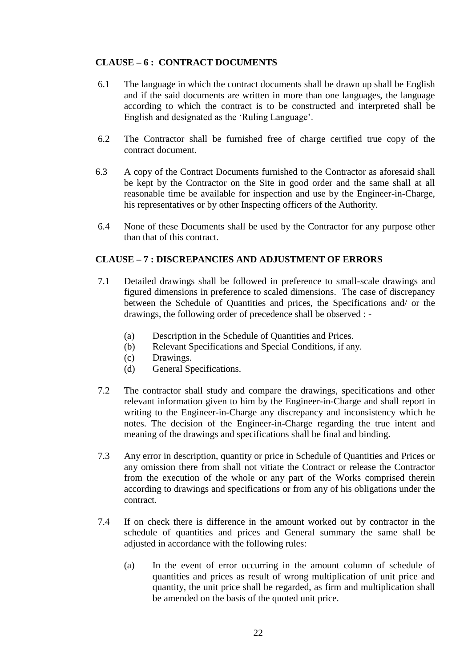## **CLAUSE – 6 : CONTRACT DOCUMENTS**

- 6.1 The language in which the contract documents shall be drawn up shall be English and if the said documents are written in more than one languages, the language according to which the contract is to be constructed and interpreted shall be English and designated as the "Ruling Language".
- 6.2 The Contractor shall be furnished free of charge certified true copy of the contract document.
- 6.3 A copy of the Contract Documents furnished to the Contractor as aforesaid shall be kept by the Contractor on the Site in good order and the same shall at all reasonable time be available for inspection and use by the Engineer-in-Charge, his representatives or by other Inspecting officers of the Authority.
- 6.4 None of these Documents shall be used by the Contractor for any purpose other than that of this contract.

## **CLAUSE – 7 : DISCREPANCIES AND ADJUSTMENT OF ERRORS**

- 7.1 Detailed drawings shall be followed in preference to small-scale drawings and figured dimensions in preference to scaled dimensions. The case of discrepancy between the Schedule of Quantities and prices, the Specifications and/ or the drawings, the following order of precedence shall be observed : -
	- (a) Description in the Schedule of Quantities and Prices.
	- (b) Relevant Specifications and Special Conditions, if any.
	- (c) Drawings.
	- (d) General Specifications.
- 7.2 The contractor shall study and compare the drawings, specifications and other relevant information given to him by the Engineer-in-Charge and shall report in writing to the Engineer-in-Charge any discrepancy and inconsistency which he notes. The decision of the Engineer-in-Charge regarding the true intent and meaning of the drawings and specifications shall be final and binding.
- 7.3 Any error in description, quantity or price in Schedule of Quantities and Prices or any omission there from shall not vitiate the Contract or release the Contractor from the execution of the whole or any part of the Works comprised therein according to drawings and specifications or from any of his obligations under the contract.
- 7.4 If on check there is difference in the amount worked out by contractor in the schedule of quantities and prices and General summary the same shall be adjusted in accordance with the following rules:
	- (a) In the event of error occurring in the amount column of schedule of quantities and prices as result of wrong multiplication of unit price and quantity, the unit price shall be regarded, as firm and multiplication shall be amended on the basis of the quoted unit price.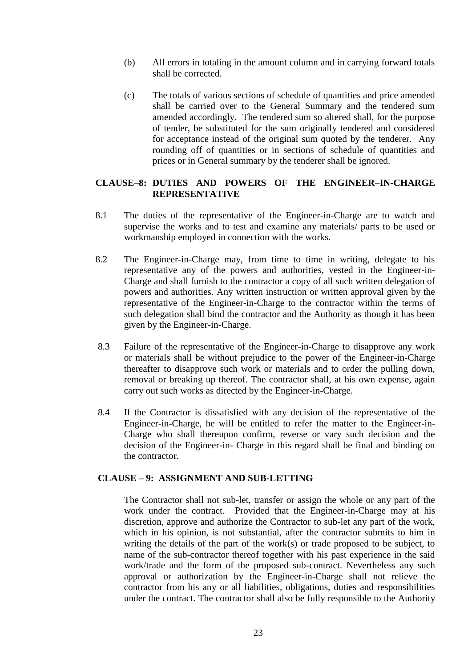- (b) All errors in totaling in the amount column and in carrying forward totals shall be corrected.
- (c) The totals of various sections of schedule of quantities and price amended shall be carried over to the General Summary and the tendered sum amended accordingly. The tendered sum so altered shall, for the purpose of tender, be substituted for the sum originally tendered and considered for acceptance instead of the original sum quoted by the tenderer. Any rounding off of quantities or in sections of schedule of quantities and prices or in General summary by the tenderer shall be ignored.

### **CLAUSE–8: DUTIES AND POWERS OF THE ENGINEER–IN-CHARGE REPRESENTATIVE**

- 8.1 The duties of the representative of the Engineer-in-Charge are to watch and supervise the works and to test and examine any materials/ parts to be used or workmanship employed in connection with the works.
- 8.2 The Engineer-in-Charge may, from time to time in writing, delegate to his representative any of the powers and authorities, vested in the Engineer-in-Charge and shall furnish to the contractor a copy of all such written delegation of powers and authorities. Any written instruction or written approval given by the representative of the Engineer-in-Charge to the contractor within the terms of such delegation shall bind the contractor and the Authority as though it has been given by the Engineer-in-Charge.
- 8.3 Failure of the representative of the Engineer-in-Charge to disapprove any work or materials shall be without prejudice to the power of the Engineer-in-Charge thereafter to disapprove such work or materials and to order the pulling down, removal or breaking up thereof. The contractor shall, at his own expense, again carry out such works as directed by the Engineer-in-Charge.
- 8.4 If the Contractor is dissatisfied with any decision of the representative of the Engineer-in-Charge, he will be entitled to refer the matter to the Engineer-in-Charge who shall thereupon confirm, reverse or vary such decision and the decision of the Engineer-in- Charge in this regard shall be final and binding on the contractor.

#### **CLAUSE – 9: ASSIGNMENT AND SUB-LETTING**

The Contractor shall not sub-let, transfer or assign the whole or any part of the work under the contract. Provided that the Engineer-in-Charge may at his discretion, approve and authorize the Contractor to sub-let any part of the work, which in his opinion, is not substantial, after the contractor submits to him in writing the details of the part of the work(s) or trade proposed to be subject, to name of the sub-contractor thereof together with his past experience in the said work/trade and the form of the proposed sub-contract. Nevertheless any such approval or authorization by the Engineer-in-Charge shall not relieve the contractor from his any or all liabilities, obligations, duties and responsibilities under the contract. The contractor shall also be fully responsible to the Authority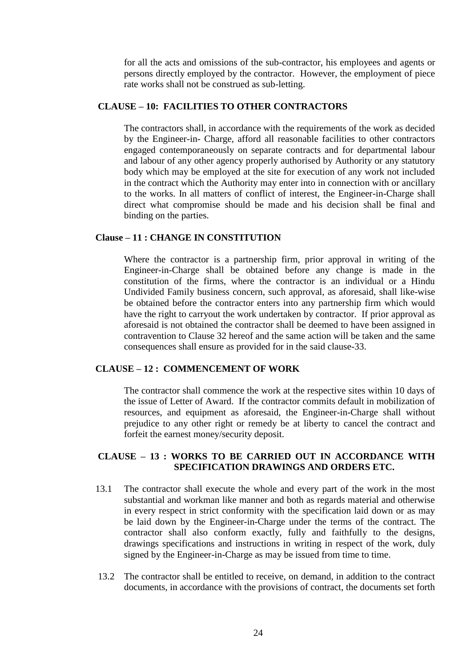for all the acts and omissions of the sub-contractor, his employees and agents or persons directly employed by the contractor. However, the employment of piece rate works shall not be construed as sub-letting.

#### **CLAUSE – 10: FACILITIES TO OTHER CONTRACTORS**

The contractors shall, in accordance with the requirements of the work as decided by the Engineer-in- Charge, afford all reasonable facilities to other contractors engaged contemporaneously on separate contracts and for departmental labour and labour of any other agency properly authorised by Authority or any statutory body which may be employed at the site for execution of any work not included in the contract which the Authority may enter into in connection with or ancillary to the works. In all matters of conflict of interest, the Engineer-in-Charge shall direct what compromise should be made and his decision shall be final and binding on the parties.

## **Clause – 11 : CHANGE IN CONSTITUTION**

Where the contractor is a partnership firm, prior approval in writing of the Engineer-in-Charge shall be obtained before any change is made in the constitution of the firms, where the contractor is an individual or a Hindu Undivided Family business concern, such approval, as aforesaid, shall like-wise be obtained before the contractor enters into any partnership firm which would have the right to carryout the work undertaken by contractor. If prior approval as aforesaid is not obtained the contractor shall be deemed to have been assigned in contravention to Clause 32 hereof and the same action will be taken and the same consequences shall ensure as provided for in the said clause-33.

## **CLAUSE – 12 : COMMENCEMENT OF WORK**

The contractor shall commence the work at the respective sites within 10 days of the issue of Letter of Award. If the contractor commits default in mobilization of resources, and equipment as aforesaid, the Engineer-in-Charge shall without prejudice to any other right or remedy be at liberty to cancel the contract and forfeit the earnest money/security deposit.

#### **CLAUSE – 13 : WORKS TO BE CARRIED OUT IN ACCORDANCE WITH SPECIFICATION DRAWINGS AND ORDERS ETC.**

- 13.1 The contractor shall execute the whole and every part of the work in the most substantial and workman like manner and both as regards material and otherwise in every respect in strict conformity with the specification laid down or as may be laid down by the Engineer-in-Charge under the terms of the contract. The contractor shall also conform exactly, fully and faithfully to the designs, drawings specifications and instructions in writing in respect of the work, duly signed by the Engineer-in-Charge as may be issued from time to time.
- 13.2 The contractor shall be entitled to receive, on demand, in addition to the contract documents, in accordance with the provisions of contract, the documents set forth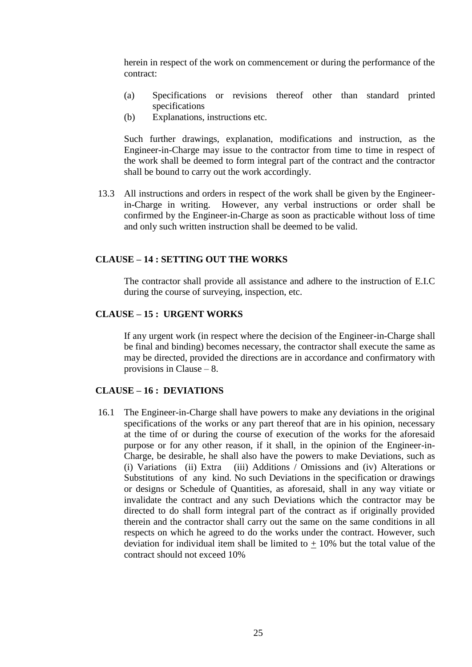herein in respect of the work on commencement or during the performance of the contract:

- (a) Specifications or revisions thereof other than standard printed specifications
- (b) Explanations, instructions etc.

Such further drawings, explanation, modifications and instruction, as the Engineer-in-Charge may issue to the contractor from time to time in respect of the work shall be deemed to form integral part of the contract and the contractor shall be bound to carry out the work accordingly.

13.3 All instructions and orders in respect of the work shall be given by the Engineerin-Charge in writing. However, any verbal instructions or order shall be confirmed by the Engineer-in-Charge as soon as practicable without loss of time and only such written instruction shall be deemed to be valid.

### **CLAUSE – 14 : SETTING OUT THE WORKS**

The contractor shall provide all assistance and adhere to the instruction of E.I.C during the course of surveying, inspection, etc.

#### **CLAUSE – 15 : URGENT WORKS**

If any urgent work (in respect where the decision of the Engineer-in-Charge shall be final and binding) becomes necessary, the contractor shall execute the same as may be directed, provided the directions are in accordance and confirmatory with provisions in Clause – 8.

#### **CLAUSE – 16 : DEVIATIONS**

16.1 The Engineer-in-Charge shall have powers to make any deviations in the original specifications of the works or any part thereof that are in his opinion, necessary at the time of or during the course of execution of the works for the aforesaid purpose or for any other reason, if it shall, in the opinion of the Engineer-in-Charge, be desirable, he shall also have the powers to make Deviations, such as (i) Variations (ii) Extra (iii) Additions / Omissions and (iv) Alterations or Substitutions of any kind. No such Deviations in the specification or drawings or designs or Schedule of Quantities, as aforesaid, shall in any way vitiate or invalidate the contract and any such Deviations which the contractor may be directed to do shall form integral part of the contract as if originally provided therein and the contractor shall carry out the same on the same conditions in all respects on which he agreed to do the works under the contract. However, such deviation for individual item shall be limited to  $+10\%$  but the total value of the contract should not exceed 10%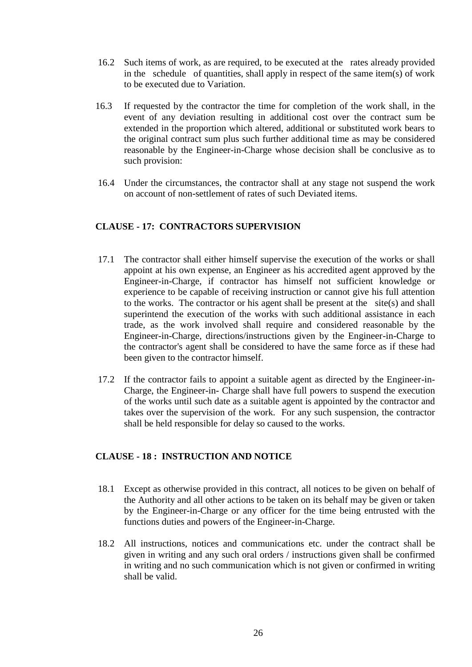- 16.2 Such items of work, as are required, to be executed at the rates already provided in the schedule of quantities, shall apply in respect of the same item(s) of work to be executed due to Variation.
- 16.3 If requested by the contractor the time for completion of the work shall, in the event of any deviation resulting in additional cost over the contract sum be extended in the proportion which altered, additional or substituted work bears to the original contract sum plus such further additional time as may be considered reasonable by the Engineer-in-Charge whose decision shall be conclusive as to such provision:
- 16.4 Under the circumstances, the contractor shall at any stage not suspend the work on account of non-settlement of rates of such Deviated items.

## **CLAUSE - 17: CONTRACTORS SUPERVISION**

- 17.1 The contractor shall either himself supervise the execution of the works or shall appoint at his own expense, an Engineer as his accredited agent approved by the Engineer-in-Charge, if contractor has himself not sufficient knowledge or experience to be capable of receiving instruction or cannot give his full attention to the works. The contractor or his agent shall be present at the site(s) and shall superintend the execution of the works with such additional assistance in each trade, as the work involved shall require and considered reasonable by the Engineer-in-Charge, directions/instructions given by the Engineer-in-Charge to the contractor's agent shall be considered to have the same force as if these had been given to the contractor himself.
- 17.2 If the contractor fails to appoint a suitable agent as directed by the Engineer-in-Charge, the Engineer-in- Charge shall have full powers to suspend the execution of the works until such date as a suitable agent is appointed by the contractor and takes over the supervision of the work. For any such suspension, the contractor shall be held responsible for delay so caused to the works.

### **CLAUSE - 18 : INSTRUCTION AND NOTICE**

- 18.1 Except as otherwise provided in this contract, all notices to be given on behalf of the Authority and all other actions to be taken on its behalf may be given or taken by the Engineer-in-Charge or any officer for the time being entrusted with the functions duties and powers of the Engineer-in-Charge.
- 18.2 All instructions, notices and communications etc. under the contract shall be given in writing and any such oral orders / instructions given shall be confirmed in writing and no such communication which is not given or confirmed in writing shall be valid.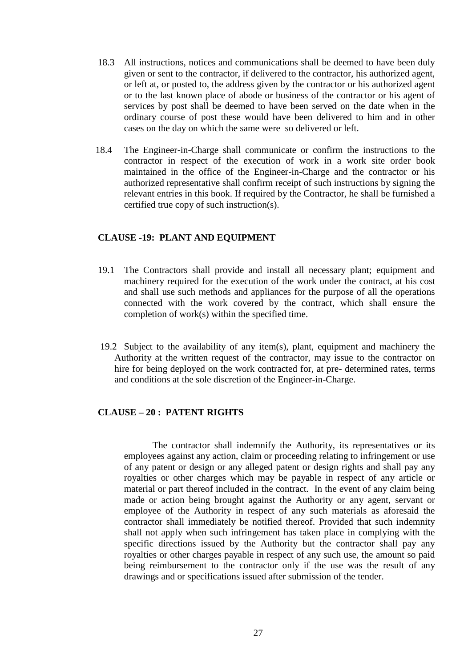- 18.3 All instructions, notices and communications shall be deemed to have been duly given or sent to the contractor, if delivered to the contractor, his authorized agent, or left at, or posted to, the address given by the contractor or his authorized agent or to the last known place of abode or business of the contractor or his agent of services by post shall be deemed to have been served on the date when in the ordinary course of post these would have been delivered to him and in other cases on the day on which the same were so delivered or left.
- 18.4 The Engineer-in-Charge shall communicate or confirm the instructions to the contractor in respect of the execution of work in a work site order book maintained in the office of the Engineer-in-Charge and the contractor or his authorized representative shall confirm receipt of such instructions by signing the relevant entries in this book. If required by the Contractor, he shall be furnished a certified true copy of such instruction(s).

### **CLAUSE -19: PLANT AND EQUIPMENT**

- 19.1 The Contractors shall provide and install all necessary plant; equipment and machinery required for the execution of the work under the contract, at his cost and shall use such methods and appliances for the purpose of all the operations connected with the work covered by the contract, which shall ensure the completion of work(s) within the specified time.
- 19.2 Subject to the availability of any item(s), plant, equipment and machinery the Authority at the written request of the contractor, may issue to the contractor on hire for being deployed on the work contracted for, at pre- determined rates, terms and conditions at the sole discretion of the Engineer-in-Charge.

### **CLAUSE – 20 : PATENT RIGHTS**

The contractor shall indemnify the Authority, its representatives or its employees against any action, claim or proceeding relating to infringement or use of any patent or design or any alleged patent or design rights and shall pay any royalties or other charges which may be payable in respect of any article or material or part thereof included in the contract. In the event of any claim being made or action being brought against the Authority or any agent, servant or employee of the Authority in respect of any such materials as aforesaid the contractor shall immediately be notified thereof. Provided that such indemnity shall not apply when such infringement has taken place in complying with the specific directions issued by the Authority but the contractor shall pay any royalties or other charges payable in respect of any such use, the amount so paid being reimbursement to the contractor only if the use was the result of any drawings and or specifications issued after submission of the tender.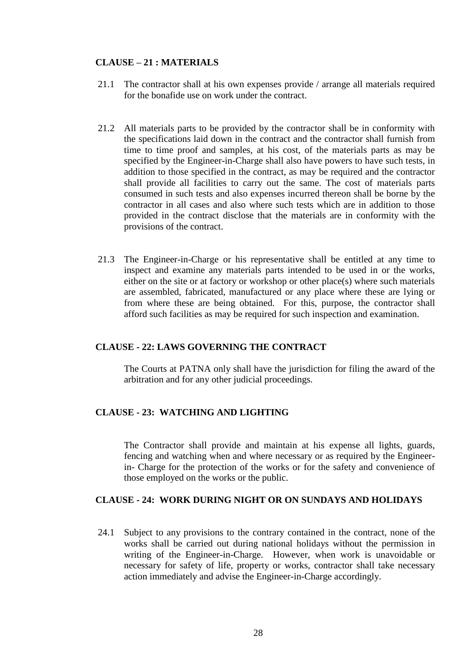### **CLAUSE – 21 : MATERIALS**

- 21.1 The contractor shall at his own expenses provide / arrange all materials required for the bonafide use on work under the contract.
- 21.2 All materials parts to be provided by the contractor shall be in conformity with the specifications laid down in the contract and the contractor shall furnish from time to time proof and samples, at his cost, of the materials parts as may be specified by the Engineer-in-Charge shall also have powers to have such tests, in addition to those specified in the contract, as may be required and the contractor shall provide all facilities to carry out the same. The cost of materials parts consumed in such tests and also expenses incurred thereon shall be borne by the contractor in all cases and also where such tests which are in addition to those provided in the contract disclose that the materials are in conformity with the provisions of the contract.
- 21.3 The Engineer-in-Charge or his representative shall be entitled at any time to inspect and examine any materials parts intended to be used in or the works, either on the site or at factory or workshop or other place(s) where such materials are assembled, fabricated, manufactured or any place where these are lying or from where these are being obtained. For this, purpose, the contractor shall afford such facilities as may be required for such inspection and examination.

#### **CLAUSE - 22: LAWS GOVERNING THE CONTRACT**

The Courts at PATNA only shall have the jurisdiction for filing the award of the arbitration and for any other judicial proceedings.

## **CLAUSE - 23: WATCHING AND LIGHTING**

The Contractor shall provide and maintain at his expense all lights, guards, fencing and watching when and where necessary or as required by the Engineerin- Charge for the protection of the works or for the safety and convenience of those employed on the works or the public.

### **CLAUSE - 24: WORK DURING NIGHT OR ON SUNDAYS AND HOLIDAYS**

24.1 Subject to any provisions to the contrary contained in the contract, none of the works shall be carried out during national holidays without the permission in writing of the Engineer-in-Charge. However, when work is unavoidable or necessary for safety of life, property or works, contractor shall take necessary action immediately and advise the Engineer-in-Charge accordingly.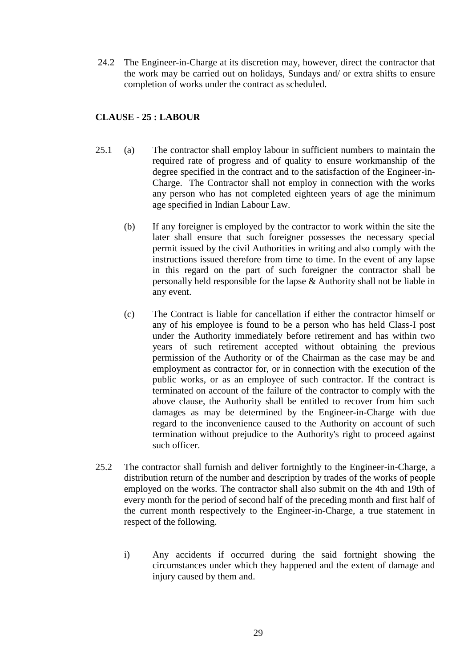24.2 The Engineer-in-Charge at its discretion may, however, direct the contractor that the work may be carried out on holidays, Sundays and/ or extra shifts to ensure completion of works under the contract as scheduled.

## **CLAUSE - 25 : LABOUR**

- 25.1 (a) The contractor shall employ labour in sufficient numbers to maintain the required rate of progress and of quality to ensure workmanship of the degree specified in the contract and to the satisfaction of the Engineer-in-Charge. The Contractor shall not employ in connection with the works any person who has not completed eighteen years of age the minimum age specified in Indian Labour Law.
	- (b) If any foreigner is employed by the contractor to work within the site the later shall ensure that such foreigner possesses the necessary special permit issued by the civil Authorities in writing and also comply with the instructions issued therefore from time to time. In the event of any lapse in this regard on the part of such foreigner the contractor shall be personally held responsible for the lapse & Authority shall not be liable in any event.
	- (c) The Contract is liable for cancellation if either the contractor himself or any of his employee is found to be a person who has held Class-I post under the Authority immediately before retirement and has within two years of such retirement accepted without obtaining the previous permission of the Authority or of the Chairman as the case may be and employment as contractor for, or in connection with the execution of the public works, or as an employee of such contractor. If the contract is terminated on account of the failure of the contractor to comply with the above clause, the Authority shall be entitled to recover from him such damages as may be determined by the Engineer-in-Charge with due regard to the inconvenience caused to the Authority on account of such termination without prejudice to the Authority's right to proceed against such officer.
- 25.2 The contractor shall furnish and deliver fortnightly to the Engineer-in-Charge, a distribution return of the number and description by trades of the works of people employed on the works. The contractor shall also submit on the 4th and 19th of every month for the period of second half of the preceding month and first half of the current month respectively to the Engineer-in-Charge, a true statement in respect of the following.
	- i) Any accidents if occurred during the said fortnight showing the circumstances under which they happened and the extent of damage and injury caused by them and.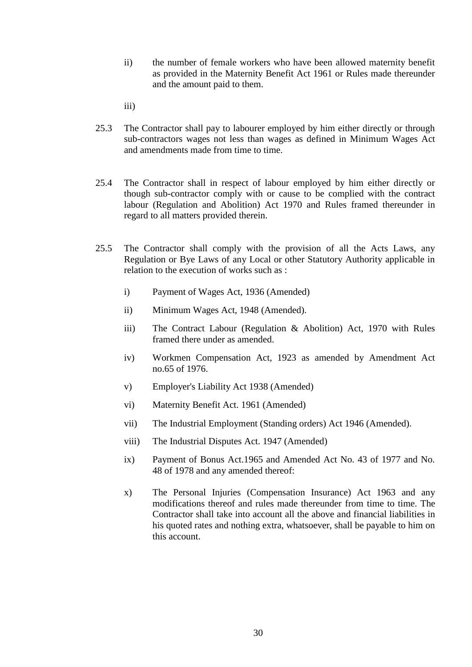- ii) the number of female workers who have been allowed maternity benefit as provided in the Maternity Benefit Act 1961 or Rules made thereunder and the amount paid to them.
- iii)
- 25.3 The Contractor shall pay to labourer employed by him either directly or through sub-contractors wages not less than wages as defined in Minimum Wages Act and amendments made from time to time.
- 25.4 The Contractor shall in respect of labour employed by him either directly or though sub-contractor comply with or cause to be complied with the contract labour (Regulation and Abolition) Act 1970 and Rules framed thereunder in regard to all matters provided therein.
- 25.5 The Contractor shall comply with the provision of all the Acts Laws, any Regulation or Bye Laws of any Local or other Statutory Authority applicable in relation to the execution of works such as :
	- i) Payment of Wages Act, 1936 (Amended)
	- ii) Minimum Wages Act, 1948 (Amended).
	- iii) The Contract Labour (Regulation & Abolition) Act, 1970 with Rules framed there under as amended.
	- iv) Workmen Compensation Act, 1923 as amended by Amendment Act no.65 of 1976.
	- v) Employer's Liability Act 1938 (Amended)
	- vi) Maternity Benefit Act. 1961 (Amended)
	- vii) The Industrial Employment (Standing orders) Act 1946 (Amended).
	- viii) The Industrial Disputes Act. 1947 (Amended)
	- ix) Payment of Bonus Act.1965 and Amended Act No. 43 of 1977 and No. 48 of 1978 and any amended thereof:
	- x) The Personal Injuries (Compensation Insurance) Act 1963 and any modifications thereof and rules made thereunder from time to time. The Contractor shall take into account all the above and financial liabilities in his quoted rates and nothing extra, whatsoever, shall be payable to him on this account.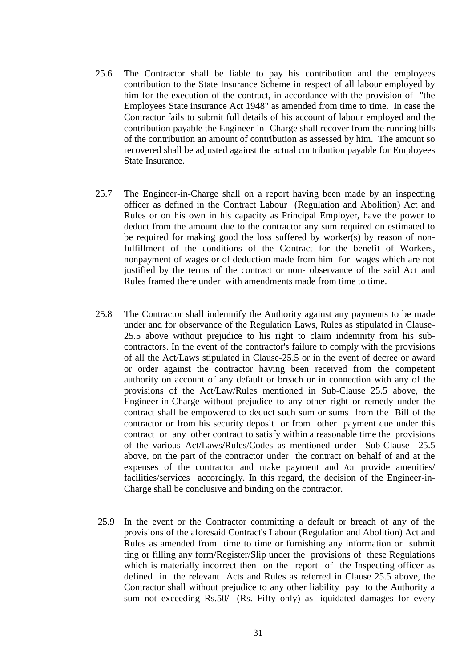- 25.6 The Contractor shall be liable to pay his contribution and the employees contribution to the State Insurance Scheme in respect of all labour employed by him for the execution of the contract, in accordance with the provision of "the Employees State insurance Act 1948" as amended from time to time. In case the Contractor fails to submit full details of his account of labour employed and the contribution payable the Engineer-in- Charge shall recover from the running bills of the contribution an amount of contribution as assessed by him. The amount so recovered shall be adjusted against the actual contribution payable for Employees State Insurance.
- 25.7 The Engineer-in-Charge shall on a report having been made by an inspecting officer as defined in the Contract Labour (Regulation and Abolition) Act and Rules or on his own in his capacity as Principal Employer, have the power to deduct from the amount due to the contractor any sum required on estimated to be required for making good the loss suffered by worker(s) by reason of nonfulfillment of the conditions of the Contract for the benefit of Workers, nonpayment of wages or of deduction made from him for wages which are not justified by the terms of the contract or non- observance of the said Act and Rules framed there under with amendments made from time to time.
- 25.8 The Contractor shall indemnify the Authority against any payments to be made under and for observance of the Regulation Laws, Rules as stipulated in Clause-25.5 above without prejudice to his right to claim indemnity from his subcontractors. In the event of the contractor's failure to comply with the provisions of all the Act/Laws stipulated in Clause-25.5 or in the event of decree or award or order against the contractor having been received from the competent authority on account of any default or breach or in connection with any of the provisions of the Act/Law/Rules mentioned in Sub-Clause 25.5 above, the Engineer-in-Charge without prejudice to any other right or remedy under the contract shall be empowered to deduct such sum or sums from the Bill of the contractor or from his security deposit or from other payment due under this contract or any other contract to satisfy within a reasonable time the provisions of the various Act/Laws/Rules/Codes as mentioned under Sub-Clause 25.5 above, on the part of the contractor under the contract on behalf of and at the expenses of the contractor and make payment and /or provide amenities/ facilities/services accordingly. In this regard, the decision of the Engineer-in-Charge shall be conclusive and binding on the contractor.
- 25.9 In the event or the Contractor committing a default or breach of any of the provisions of the aforesaid Contract's Labour (Regulation and Abolition) Act and Rules as amended from time to time or furnishing any information or submit ting or filling any form/Register/Slip under the provisions of these Regulations which is materially incorrect then on the report of the Inspecting officer as defined in the relevant Acts and Rules as referred in Clause 25.5 above, the Contractor shall without prejudice to any other liability pay to the Authority a sum not exceeding Rs.50/- (Rs. Fifty only) as liquidated damages for every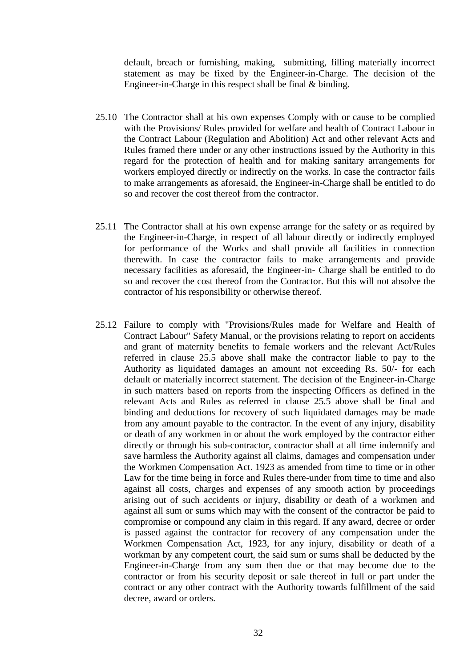default, breach or furnishing, making, submitting, filling materially incorrect statement as may be fixed by the Engineer-in-Charge. The decision of the Engineer-in-Charge in this respect shall be final & binding.

- 25.10 The Contractor shall at his own expenses Comply with or cause to be complied with the Provisions/ Rules provided for welfare and health of Contract Labour in the Contract Labour (Regulation and Abolition) Act and other relevant Acts and Rules framed there under or any other instructions issued by the Authority in this regard for the protection of health and for making sanitary arrangements for workers employed directly or indirectly on the works. In case the contractor fails to make arrangements as aforesaid, the Engineer-in-Charge shall be entitled to do so and recover the cost thereof from the contractor.
- 25.11 The Contractor shall at his own expense arrange for the safety or as required by the Engineer-in-Charge, in respect of all labour directly or indirectly employed for performance of the Works and shall provide all facilities in connection therewith. In case the contractor fails to make arrangements and provide necessary facilities as aforesaid, the Engineer-in- Charge shall be entitled to do so and recover the cost thereof from the Contractor. But this will not absolve the contractor of his responsibility or otherwise thereof.
- 25.12 Failure to comply with "Provisions/Rules made for Welfare and Health of Contract Labour" Safety Manual, or the provisions relating to report on accidents and grant of maternity benefits to female workers and the relevant Act/Rules referred in clause 25.5 above shall make the contractor liable to pay to the Authority as liquidated damages an amount not exceeding Rs. 50/- for each default or materially incorrect statement. The decision of the Engineer-in-Charge in such matters based on reports from the inspecting Officers as defined in the relevant Acts and Rules as referred in clause 25.5 above shall be final and binding and deductions for recovery of such liquidated damages may be made from any amount payable to the contractor. In the event of any injury, disability or death of any workmen in or about the work employed by the contractor either directly or through his sub-contractor, contractor shall at all time indemnify and save harmless the Authority against all claims, damages and compensation under the Workmen Compensation Act. 1923 as amended from time to time or in other Law for the time being in force and Rules there-under from time to time and also against all costs, charges and expenses of any smooth action by proceedings arising out of such accidents or injury, disability or death of a workmen and against all sum or sums which may with the consent of the contractor be paid to compromise or compound any claim in this regard. If any award, decree or order is passed against the contractor for recovery of any compensation under the Workmen Compensation Act, 1923, for any injury, disability or death of a workman by any competent court, the said sum or sums shall be deducted by the Engineer-in-Charge from any sum then due or that may become due to the contractor or from his security deposit or sale thereof in full or part under the contract or any other contract with the Authority towards fulfillment of the said decree, award or orders.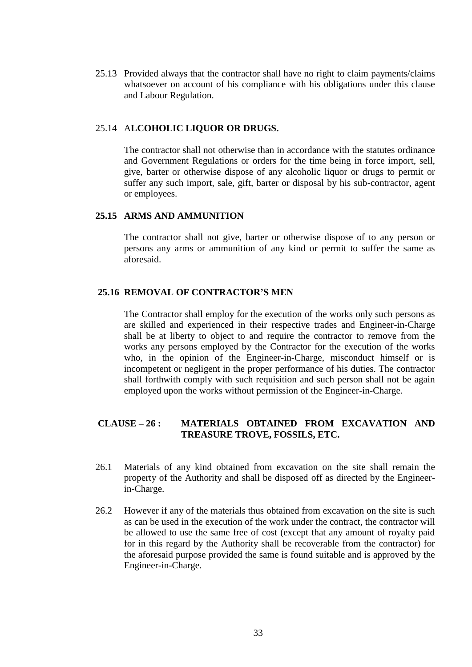25.13 Provided always that the contractor shall have no right to claim payments/claims whatsoever on account of his compliance with his obligations under this clause and Labour Regulation.

#### 25.14 A**LCOHOLIC LIQUOR OR DRUGS.**

The contractor shall not otherwise than in accordance with the statutes ordinance and Government Regulations or orders for the time being in force import, sell, give, barter or otherwise dispose of any alcoholic liquor or drugs to permit or suffer any such import, sale, gift, barter or disposal by his sub-contractor, agent or employees.

#### **25.15 ARMS AND AMMUNITION**

The contractor shall not give, barter or otherwise dispose of to any person or persons any arms or ammunition of any kind or permit to suffer the same as aforesaid.

#### **25.16 REMOVAL OF CONTRACTOR'S MEN**

The Contractor shall employ for the execution of the works only such persons as are skilled and experienced in their respective trades and Engineer-in-Charge shall be at liberty to object to and require the contractor to remove from the works any persons employed by the Contractor for the execution of the works who, in the opinion of the Engineer-in-Charge, misconduct himself or is incompetent or negligent in the proper performance of his duties. The contractor shall forthwith comply with such requisition and such person shall not be again employed upon the works without permission of the Engineer-in-Charge.

## **CLAUSE – 26 : MATERIALS OBTAINED FROM EXCAVATION AND TREASURE TROVE, FOSSILS, ETC.**

- 26.1 Materials of any kind obtained from excavation on the site shall remain the property of the Authority and shall be disposed off as directed by the Engineerin-Charge.
- 26.2 However if any of the materials thus obtained from excavation on the site is such as can be used in the execution of the work under the contract, the contractor will be allowed to use the same free of cost (except that any amount of royalty paid for in this regard by the Authority shall be recoverable from the contractor) for the aforesaid purpose provided the same is found suitable and is approved by the Engineer-in-Charge.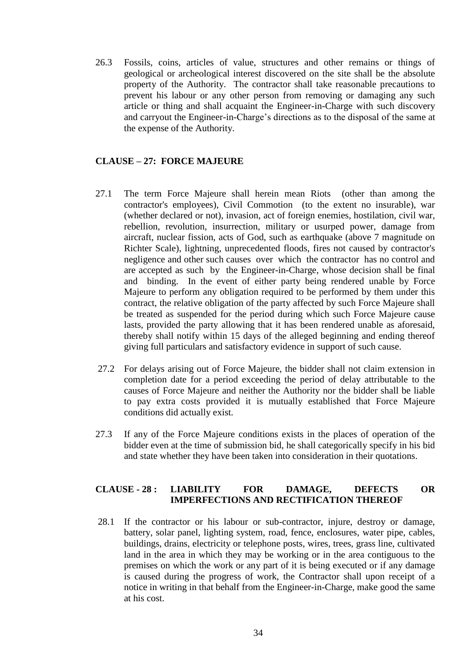26.3 Fossils, coins, articles of value, structures and other remains or things of geological or archeological interest discovered on the site shall be the absolute property of the Authority. The contractor shall take reasonable precautions to prevent his labour or any other person from removing or damaging any such article or thing and shall acquaint the Engineer-in-Charge with such discovery and carryout the Engineer-in-Charge"s directions as to the disposal of the same at the expense of the Authority.

## **CLAUSE – 27: FORCE MAJEURE**

- 27.1 The term Force Majeure shall herein mean Riots (other than among the contractor's employees), Civil Commotion (to the extent no insurable), war (whether declared or not), invasion, act of foreign enemies, hostilation, civil war, rebellion, revolution, insurrection, military or usurped power, damage from aircraft, nuclear fission, acts of God, such as earthquake (above 7 magnitude on Richter Scale), lightning, unprecedented floods, fires not caused by contractor's negligence and other such causes over which the contractor has no control and are accepted as such by the Engineer-in-Charge, whose decision shall be final and binding. In the event of either party being rendered unable by Force Majeure to perform any obligation required to be performed by them under this contract, the relative obligation of the party affected by such Force Majeure shall be treated as suspended for the period during which such Force Majeure cause lasts, provided the party allowing that it has been rendered unable as aforesaid, thereby shall notify within 15 days of the alleged beginning and ending thereof giving full particulars and satisfactory evidence in support of such cause.
- 27.2 For delays arising out of Force Majeure, the bidder shall not claim extension in completion date for a period exceeding the period of delay attributable to the causes of Force Majeure and neither the Authority nor the bidder shall be liable to pay extra costs provided it is mutually established that Force Majeure conditions did actually exist.
- 27.3 If any of the Force Majeure conditions exists in the places of operation of the bidder even at the time of submission bid, he shall categorically specify in his bid and state whether they have been taken into consideration in their quotations.

### **CLAUSE - 28 : LIABILITY FOR DAMAGE, DEFECTS OR IMPERFECTIONS AND RECTIFICATION THEREOF**

28.1 If the contractor or his labour or sub-contractor, injure, destroy or damage, battery, solar panel, lighting system, road, fence, enclosures, water pipe, cables, buildings, drains, electricity or telephone posts, wires, trees, grass line, cultivated land in the area in which they may be working or in the area contiguous to the premises on which the work or any part of it is being executed or if any damage is caused during the progress of work, the Contractor shall upon receipt of a notice in writing in that behalf from the Engineer-in-Charge, make good the same at his cost.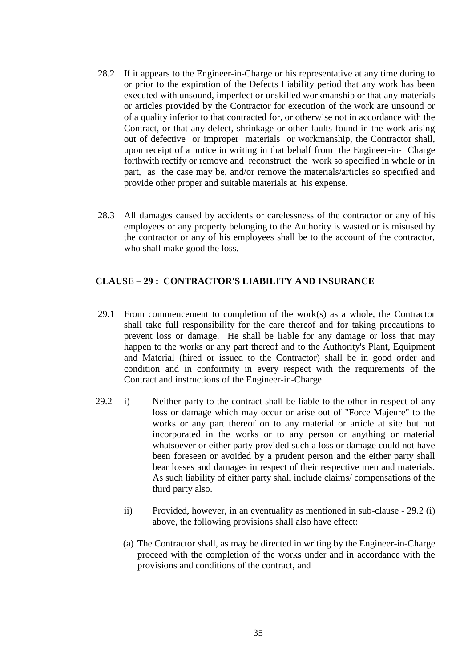- 28.2 If it appears to the Engineer-in-Charge or his representative at any time during to or prior to the expiration of the Defects Liability period that any work has been executed with unsound, imperfect or unskilled workmanship or that any materials or articles provided by the Contractor for execution of the work are unsound or of a quality inferior to that contracted for, or otherwise not in accordance with the Contract, or that any defect, shrinkage or other faults found in the work arising out of defective or improper materials or workmanship, the Contractor shall, upon receipt of a notice in writing in that behalf from the Engineer-in- Charge forthwith rectify or remove and reconstruct the work so specified in whole or in part, as the case may be, and/or remove the materials/articles so specified and provide other proper and suitable materials at his expense.
- 28.3 All damages caused by accidents or carelessness of the contractor or any of his employees or any property belonging to the Authority is wasted or is misused by the contractor or any of his employees shall be to the account of the contractor, who shall make good the loss.

### **CLAUSE – 29 : CONTRACTOR'S LIABILITY AND INSURANCE**

- 29.1 From commencement to completion of the work(s) as a whole, the Contractor shall take full responsibility for the care thereof and for taking precautions to prevent loss or damage. He shall be liable for any damage or loss that may happen to the works or any part thereof and to the Authority's Plant, Equipment and Material (hired or issued to the Contractor) shall be in good order and condition and in conformity in every respect with the requirements of the Contract and instructions of the Engineer-in-Charge.
- 29.2 i) Neither party to the contract shall be liable to the other in respect of any loss or damage which may occur or arise out of "Force Majeure" to the works or any part thereof on to any material or article at site but not incorporated in the works or to any person or anything or material whatsoever or either party provided such a loss or damage could not have been foreseen or avoided by a prudent person and the either party shall bear losses and damages in respect of their respective men and materials. As such liability of either party shall include claims/ compensations of the third party also.
	- ii) Provided, however, in an eventuality as mentioned in sub-clause 29.2 (i) above, the following provisions shall also have effect:
	- (a) The Contractor shall, as may be directed in writing by the Engineer-in-Charge proceed with the completion of the works under and in accordance with the provisions and conditions of the contract, and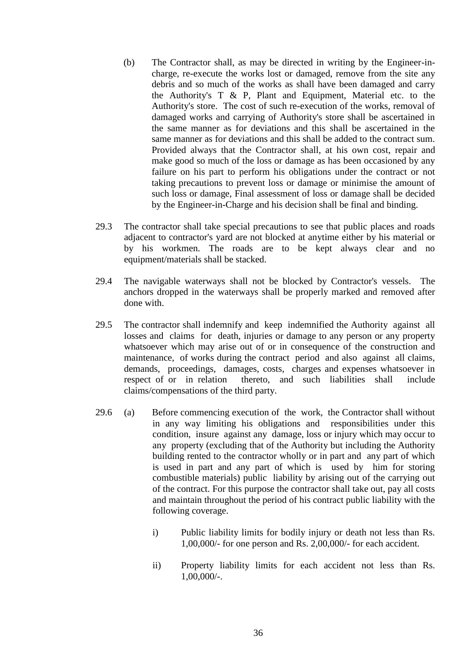- (b) The Contractor shall, as may be directed in writing by the Engineer-incharge, re-execute the works lost or damaged, remove from the site any debris and so much of the works as shall have been damaged and carry the Authority's  $T \& P$ , Plant and Equipment, Material etc. to the Authority's store. The cost of such re-execution of the works, removal of damaged works and carrying of Authority's store shall be ascertained in the same manner as for deviations and this shall be ascertained in the same manner as for deviations and this shall be added to the contract sum. Provided always that the Contractor shall, at his own cost, repair and make good so much of the loss or damage as has been occasioned by any failure on his part to perform his obligations under the contract or not taking precautions to prevent loss or damage or minimise the amount of such loss or damage, Final assessment of loss or damage shall be decided by the Engineer-in-Charge and his decision shall be final and binding.
- 29.3 The contractor shall take special precautions to see that public places and roads adjacent to contractor's yard are not blocked at anytime either by his material or by his workmen. The roads are to be kept always clear and no equipment/materials shall be stacked.
- 29.4 The navigable waterways shall not be blocked by Contractor's vessels. The anchors dropped in the waterways shall be properly marked and removed after done with.
- 29.5 The contractor shall indemnify and keep indemnified the Authority against all losses and claims for death, injuries or damage to any person or any property whatsoever which may arise out of or in consequence of the construction and maintenance, of works during the contract period and also against all claims, demands, proceedings, damages, costs, charges and expenses whatsoever in respect of or in relation thereto, and such liabilities shall include claims/compensations of the third party.
- 29.6 (a) Before commencing execution of the work, the Contractor shall without in any way limiting his obligations and responsibilities under this condition, insure against any damage, loss or injury which may occur to any property (excluding that of the Authority but including the Authority building rented to the contractor wholly or in part and any part of which is used in part and any part of which is used by him for storing combustible materials) public liability by arising out of the carrying out of the contract. For this purpose the contractor shall take out, pay all costs and maintain throughout the period of his contract public liability with the following coverage.
	- i) Public liability limits for bodily injury or death not less than Rs. 1,00,000/- for one person and Rs. 2,00,000/- for each accident.
	- ii) Property liability limits for each accident not less than Rs. 1,00,000/-.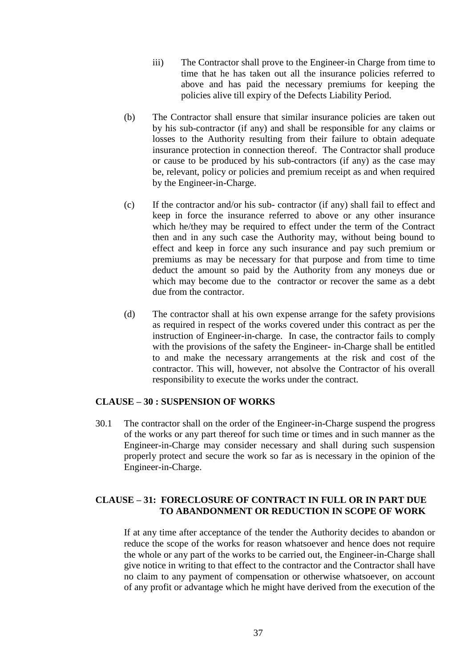- iii) The Contractor shall prove to the Engineer-in Charge from time to time that he has taken out all the insurance policies referred to above and has paid the necessary premiums for keeping the policies alive till expiry of the Defects Liability Period.
- (b) The Contractor shall ensure that similar insurance policies are taken out by his sub-contractor (if any) and shall be responsible for any claims or losses to the Authority resulting from their failure to obtain adequate insurance protection in connection thereof. The Contractor shall produce or cause to be produced by his sub-contractors (if any) as the case may be, relevant, policy or policies and premium receipt as and when required by the Engineer-in-Charge.
- (c) If the contractor and/or his sub- contractor (if any) shall fail to effect and keep in force the insurance referred to above or any other insurance which he/they may be required to effect under the term of the Contract then and in any such case the Authority may, without being bound to effect and keep in force any such insurance and pay such premium or premiums as may be necessary for that purpose and from time to time deduct the amount so paid by the Authority from any moneys due or which may become due to the contractor or recover the same as a debt due from the contractor.
- (d) The contractor shall at his own expense arrange for the safety provisions as required in respect of the works covered under this contract as per the instruction of Engineer-in-charge. In case, the contractor fails to comply with the provisions of the safety the Engineer- in-Charge shall be entitled to and make the necessary arrangements at the risk and cost of the contractor. This will, however, not absolve the Contractor of his overall responsibility to execute the works under the contract.

#### **CLAUSE – 30 : SUSPENSION OF WORKS**

30.1 The contractor shall on the order of the Engineer-in-Charge suspend the progress of the works or any part thereof for such time or times and in such manner as the Engineer-in-Charge may consider necessary and shall during such suspension properly protect and secure the work so far as is necessary in the opinion of the Engineer-in-Charge.

#### **CLAUSE – 31: FORECLOSURE OF CONTRACT IN FULL OR IN PART DUE TO ABANDONMENT OR REDUCTION IN SCOPE OF WORK**

If at any time after acceptance of the tender the Authority decides to abandon or reduce the scope of the works for reason whatsoever and hence does not require the whole or any part of the works to be carried out, the Engineer-in-Charge shall give notice in writing to that effect to the contractor and the Contractor shall have no claim to any payment of compensation or otherwise whatsoever, on account of any profit or advantage which he might have derived from the execution of the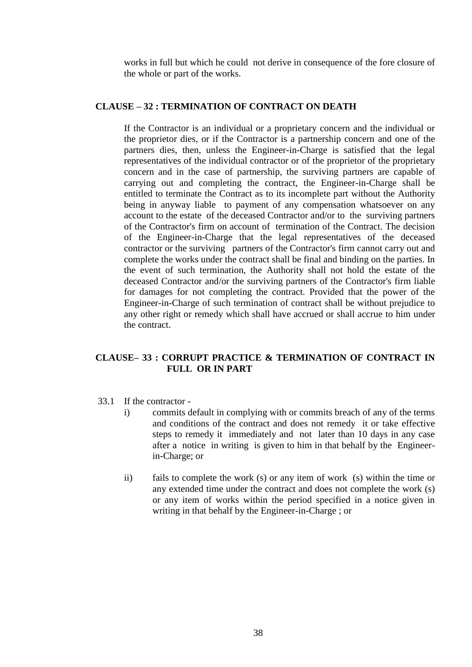works in full but which he could not derive in consequence of the fore closure of the whole or part of the works.

#### **CLAUSE – 32 : TERMINATION OF CONTRACT ON DEATH**

If the Contractor is an individual or a proprietary concern and the individual or the proprietor dies, or if the Contractor is a partnership concern and one of the partners dies, then, unless the Engineer-in-Charge is satisfied that the legal representatives of the individual contractor or of the proprietor of the proprietary concern and in the case of partnership, the surviving partners are capable of carrying out and completing the contract, the Engineer-in-Charge shall be entitled to terminate the Contract as to its incomplete part without the Authority being in anyway liable to payment of any compensation whatsoever on any account to the estate of the deceased Contractor and/or to the surviving partners of the Contractor's firm on account of termination of the Contract. The decision of the Engineer-in-Charge that the legal representatives of the deceased contractor or the surviving partners of the Contractor's firm cannot carry out and complete the works under the contract shall be final and binding on the parties. In the event of such termination, the Authority shall not hold the estate of the deceased Contractor and/or the surviving partners of the Contractor's firm liable for damages for not completing the contract. Provided that the power of the Engineer-in-Charge of such termination of contract shall be without prejudice to any other right or remedy which shall have accrued or shall accrue to him under the contract.

#### **CLAUSE– 33 : CORRUPT PRACTICE & TERMINATION OF CONTRACT IN FULL OR IN PART**

- 33.1 If the contractor
	- i) commits default in complying with or commits breach of any of the terms and conditions of the contract and does not remedy it or take effective steps to remedy it immediately and not later than 10 days in any case after a notice in writing is given to him in that behalf by the Engineerin-Charge; or
	- ii) fails to complete the work (s) or any item of work (s) within the time or any extended time under the contract and does not complete the work (s) or any item of works within the period specified in a notice given in writing in that behalf by the Engineer-in-Charge ; or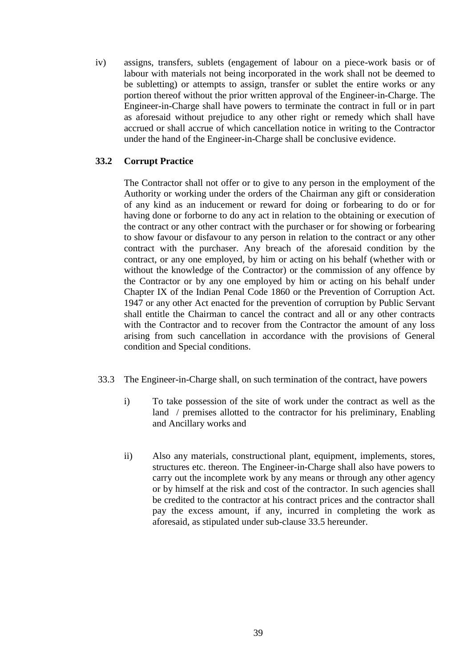iv) assigns, transfers, sublets (engagement of labour on a piece-work basis or of labour with materials not being incorporated in the work shall not be deemed to be subletting) or attempts to assign, transfer or sublet the entire works or any portion thereof without the prior written approval of the Engineer-in-Charge. The Engineer-in-Charge shall have powers to terminate the contract in full or in part as aforesaid without prejudice to any other right or remedy which shall have accrued or shall accrue of which cancellation notice in writing to the Contractor under the hand of the Engineer-in-Charge shall be conclusive evidence.

#### **33.2 Corrupt Practice**

The Contractor shall not offer or to give to any person in the employment of the Authority or working under the orders of the Chairman any gift or consideration of any kind as an inducement or reward for doing or forbearing to do or for having done or forborne to do any act in relation to the obtaining or execution of the contract or any other contract with the purchaser or for showing or forbearing to show favour or disfavour to any person in relation to the contract or any other contract with the purchaser. Any breach of the aforesaid condition by the contract, or any one employed, by him or acting on his behalf (whether with or without the knowledge of the Contractor) or the commission of any offence by the Contractor or by any one employed by him or acting on his behalf under Chapter IX of the Indian Penal Code 1860 or the Prevention of Corruption Act. 1947 or any other Act enacted for the prevention of corruption by Public Servant shall entitle the Chairman to cancel the contract and all or any other contracts with the Contractor and to recover from the Contractor the amount of any loss arising from such cancellation in accordance with the provisions of General condition and Special conditions.

- 33.3 The Engineer-in-Charge shall, on such termination of the contract, have powers
	- i) To take possession of the site of work under the contract as well as the land / premises allotted to the contractor for his preliminary, Enabling and Ancillary works and
	- ii) Also any materials, constructional plant, equipment, implements, stores, structures etc. thereon. The Engineer-in-Charge shall also have powers to carry out the incomplete work by any means or through any other agency or by himself at the risk and cost of the contractor. In such agencies shall be credited to the contractor at his contract prices and the contractor shall pay the excess amount, if any, incurred in completing the work as aforesaid, as stipulated under sub-clause 33.5 hereunder.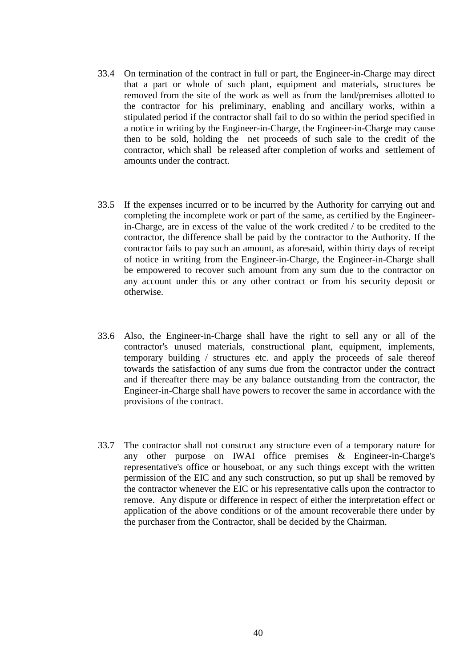- 33.4 On termination of the contract in full or part, the Engineer-in-Charge may direct that a part or whole of such plant, equipment and materials, structures be removed from the site of the work as well as from the land/premises allotted to the contractor for his preliminary, enabling and ancillary works, within a stipulated period if the contractor shall fail to do so within the period specified in a notice in writing by the Engineer-in-Charge, the Engineer-in-Charge may cause then to be sold, holding the net proceeds of such sale to the credit of the contractor, which shall be released after completion of works and settlement of amounts under the contract.
- 33.5 If the expenses incurred or to be incurred by the Authority for carrying out and completing the incomplete work or part of the same, as certified by the Engineerin-Charge, are in excess of the value of the work credited / to be credited to the contractor, the difference shall be paid by the contractor to the Authority. If the contractor fails to pay such an amount, as aforesaid, within thirty days of receipt of notice in writing from the Engineer-in-Charge, the Engineer-in-Charge shall be empowered to recover such amount from any sum due to the contractor on any account under this or any other contract or from his security deposit or otherwise.
- 33.6 Also, the Engineer-in-Charge shall have the right to sell any or all of the contractor's unused materials, constructional plant, equipment, implements, temporary building / structures etc. and apply the proceeds of sale thereof towards the satisfaction of any sums due from the contractor under the contract and if thereafter there may be any balance outstanding from the contractor, the Engineer-in-Charge shall have powers to recover the same in accordance with the provisions of the contract.
- 33.7 The contractor shall not construct any structure even of a temporary nature for any other purpose on IWAI office premises & Engineer-in-Charge's representative's office or houseboat, or any such things except with the written permission of the EIC and any such construction, so put up shall be removed by the contractor whenever the EIC or his representative calls upon the contractor to remove. Any dispute or difference in respect of either the interpretation effect or application of the above conditions or of the amount recoverable there under by the purchaser from the Contractor, shall be decided by the Chairman.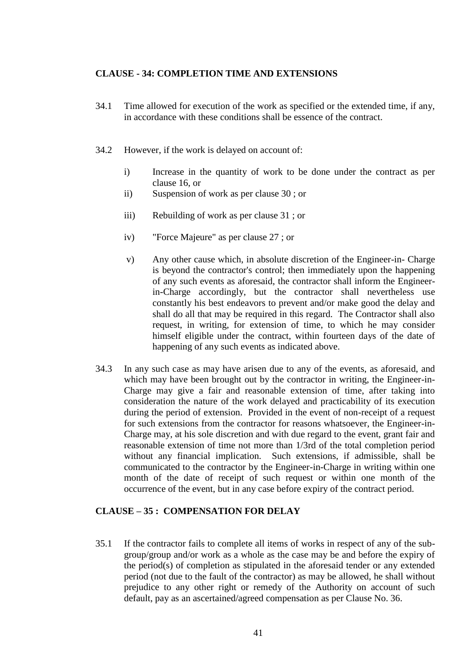#### **CLAUSE - 34: COMPLETION TIME AND EXTENSIONS**

- 34.1 Time allowed for execution of the work as specified or the extended time, if any, in accordance with these conditions shall be essence of the contract.
- 34.2 However, if the work is delayed on account of:
	- i) Increase in the quantity of work to be done under the contract as per clause 16, or
	- ii) Suspension of work as per clause 30 ; or
	- iii) Rebuilding of work as per clause 31 ; or
	- iv) "Force Majeure" as per clause 27 ; or
	- v) Any other cause which, in absolute discretion of the Engineer-in- Charge is beyond the contractor's control; then immediately upon the happening of any such events as aforesaid, the contractor shall inform the Engineerin-Charge accordingly, but the contractor shall nevertheless use constantly his best endeavors to prevent and/or make good the delay and shall do all that may be required in this regard. The Contractor shall also request, in writing, for extension of time, to which he may consider himself eligible under the contract, within fourteen days of the date of happening of any such events as indicated above.
- 34.3 In any such case as may have arisen due to any of the events, as aforesaid, and which may have been brought out by the contractor in writing, the Engineer-in-Charge may give a fair and reasonable extension of time, after taking into consideration the nature of the work delayed and practicability of its execution during the period of extension. Provided in the event of non-receipt of a request for such extensions from the contractor for reasons whatsoever, the Engineer-in-Charge may, at his sole discretion and with due regard to the event, grant fair and reasonable extension of time not more than 1/3rd of the total completion period without any financial implication. Such extensions, if admissible, shall be communicated to the contractor by the Engineer-in-Charge in writing within one month of the date of receipt of such request or within one month of the occurrence of the event, but in any case before expiry of the contract period.

#### **CLAUSE – 35 : COMPENSATION FOR DELAY**

35.1 If the contractor fails to complete all items of works in respect of any of the subgroup/group and/or work as a whole as the case may be and before the expiry of the period(s) of completion as stipulated in the aforesaid tender or any extended period (not due to the fault of the contractor) as may be allowed, he shall without prejudice to any other right or remedy of the Authority on account of such default, pay as an ascertained/agreed compensation as per Clause No. 36.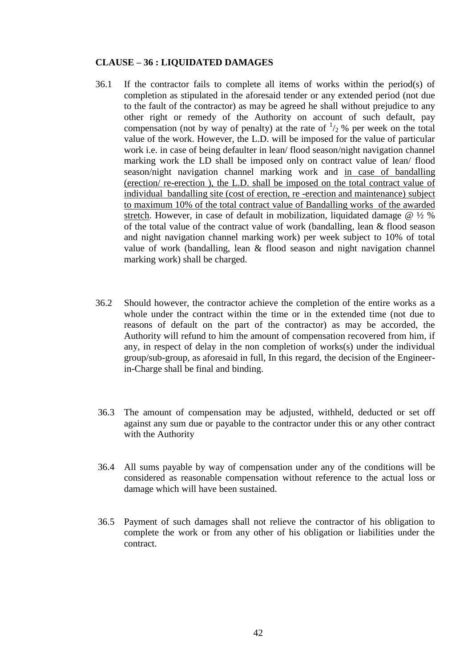#### **CLAUSE – 36 : LIQUIDATED DAMAGES**

- 36.1 If the contractor fails to complete all items of works within the period(s) of completion as stipulated in the aforesaid tender or any extended period (not due to the fault of the contractor) as may be agreed he shall without prejudice to any other right or remedy of the Authority on account of such default, pay compensation (not by way of penalty) at the rate of  $\frac{1}{2}$ % per week on the total value of the work. However, the L.D. will be imposed for the value of particular work i.e. in case of being defaulter in lean/ flood season/night navigation channel marking work the LD shall be imposed only on contract value of lean/ flood season/night navigation channel marking work and in case of bandalling (erection/ re-erection ), the L.D. shall be imposed on the total contract value of individual bandalling site (cost of erection, re -erection and maintenance) subject to maximum 10% of the total contract value of Bandalling works of the awarded stretch. However, in case of default in mobilization, liquidated damage @ ½ % of the total value of the contract value of work (bandalling, lean & flood season and night navigation channel marking work) per week subject to 10% of total value of work (bandalling, lean & flood season and night navigation channel marking work) shall be charged.
- 36.2 Should however, the contractor achieve the completion of the entire works as a whole under the contract within the time or in the extended time (not due to reasons of default on the part of the contractor) as may be accorded, the Authority will refund to him the amount of compensation recovered from him, if any, in respect of delay in the non completion of works(s) under the individual group/sub-group, as aforesaid in full, In this regard, the decision of the Engineerin-Charge shall be final and binding.
- 36.3 The amount of compensation may be adjusted, withheld, deducted or set off against any sum due or payable to the contractor under this or any other contract with the Authority
- 36.4 All sums payable by way of compensation under any of the conditions will be considered as reasonable compensation without reference to the actual loss or damage which will have been sustained.
- 36.5 Payment of such damages shall not relieve the contractor of his obligation to complete the work or from any other of his obligation or liabilities under the contract.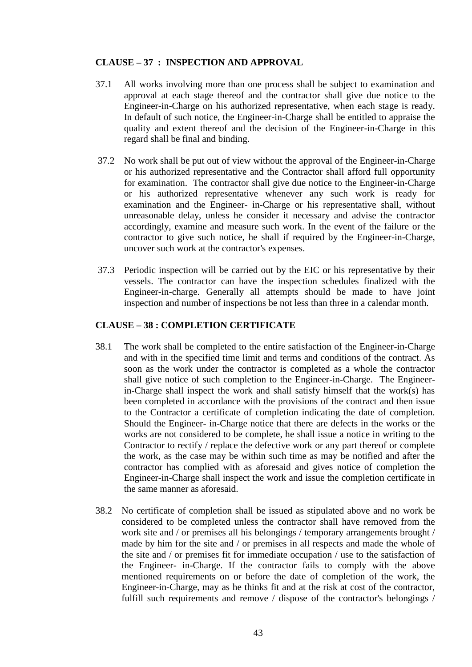#### **CLAUSE – 37 : INSPECTION AND APPROVAL**

- 37.1 All works involving more than one process shall be subject to examination and approval at each stage thereof and the contractor shall give due notice to the Engineer-in-Charge on his authorized representative, when each stage is ready. In default of such notice, the Engineer-in-Charge shall be entitled to appraise the quality and extent thereof and the decision of the Engineer-in-Charge in this regard shall be final and binding.
- 37.2 No work shall be put out of view without the approval of the Engineer-in-Charge or his authorized representative and the Contractor shall afford full opportunity for examination. The contractor shall give due notice to the Engineer-in-Charge or his authorized representative whenever any such work is ready for examination and the Engineer- in-Charge or his representative shall, without unreasonable delay, unless he consider it necessary and advise the contractor accordingly, examine and measure such work. In the event of the failure or the contractor to give such notice, he shall if required by the Engineer-in-Charge, uncover such work at the contractor's expenses.
- 37.3 Periodic inspection will be carried out by the EIC or his representative by their vessels. The contractor can have the inspection schedules finalized with the Engineer-in-charge. Generally all attempts should be made to have joint inspection and number of inspections be not less than three in a calendar month.

#### **CLAUSE – 38 : COMPLETION CERTIFICATE**

- 38.1 The work shall be completed to the entire satisfaction of the Engineer-in-Charge and with in the specified time limit and terms and conditions of the contract. As soon as the work under the contractor is completed as a whole the contractor shall give notice of such completion to the Engineer-in-Charge. The Engineerin-Charge shall inspect the work and shall satisfy himself that the work(s) has been completed in accordance with the provisions of the contract and then issue to the Contractor a certificate of completion indicating the date of completion. Should the Engineer- in-Charge notice that there are defects in the works or the works are not considered to be complete, he shall issue a notice in writing to the Contractor to rectify / replace the defective work or any part thereof or complete the work, as the case may be within such time as may be notified and after the contractor has complied with as aforesaid and gives notice of completion the Engineer-in-Charge shall inspect the work and issue the completion certificate in the same manner as aforesaid.
- 38.2 No certificate of completion shall be issued as stipulated above and no work be considered to be completed unless the contractor shall have removed from the work site and / or premises all his belongings / temporary arrangements brought / made by him for the site and / or premises in all respects and made the whole of the site and / or premises fit for immediate occupation / use to the satisfaction of the Engineer- in-Charge. If the contractor fails to comply with the above mentioned requirements on or before the date of completion of the work, the Engineer-in-Charge, may as he thinks fit and at the risk at cost of the contractor, fulfill such requirements and remove / dispose of the contractor's belongings /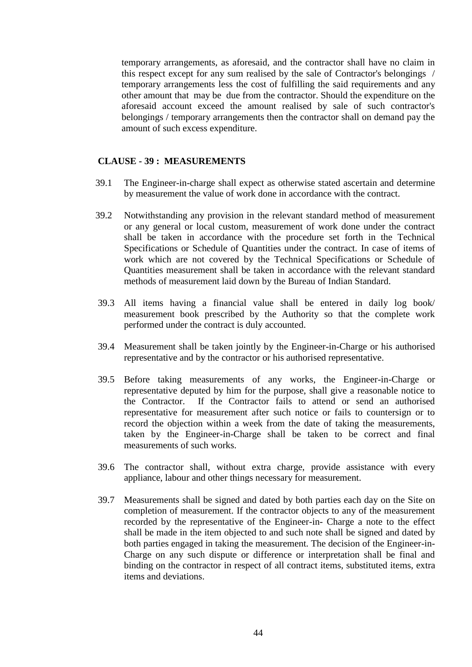temporary arrangements, as aforesaid, and the contractor shall have no claim in this respect except for any sum realised by the sale of Contractor's belongings / temporary arrangements less the cost of fulfilling the said requirements and any other amount that may be due from the contractor. Should the expenditure on the aforesaid account exceed the amount realised by sale of such contractor's belongings / temporary arrangements then the contractor shall on demand pay the amount of such excess expenditure.

#### **CLAUSE - 39 : MEASUREMENTS**

- 39.1 The Engineer-in-charge shall expect as otherwise stated ascertain and determine by measurement the value of work done in accordance with the contract.
- 39.2 Notwithstanding any provision in the relevant standard method of measurement or any general or local custom, measurement of work done under the contract shall be taken in accordance with the procedure set forth in the Technical Specifications or Schedule of Quantities under the contract. In case of items of work which are not covered by the Technical Specifications or Schedule of Quantities measurement shall be taken in accordance with the relevant standard methods of measurement laid down by the Bureau of Indian Standard.
- 39.3 All items having a financial value shall be entered in daily log book/ measurement book prescribed by the Authority so that the complete work performed under the contract is duly accounted.
- 39.4 Measurement shall be taken jointly by the Engineer-in-Charge or his authorised representative and by the contractor or his authorised representative.
- 39.5 Before taking measurements of any works, the Engineer-in-Charge or representative deputed by him for the purpose, shall give a reasonable notice to the Contractor. If the Contractor fails to attend or send an authorised representative for measurement after such notice or fails to countersign or to record the objection within a week from the date of taking the measurements, taken by the Engineer-in-Charge shall be taken to be correct and final measurements of such works.
- 39.6 The contractor shall, without extra charge, provide assistance with every appliance, labour and other things necessary for measurement.
- 39.7 Measurements shall be signed and dated by both parties each day on the Site on completion of measurement. If the contractor objects to any of the measurement recorded by the representative of the Engineer-in- Charge a note to the effect shall be made in the item objected to and such note shall be signed and dated by both parties engaged in taking the measurement. The decision of the Engineer-in-Charge on any such dispute or difference or interpretation shall be final and binding on the contractor in respect of all contract items, substituted items, extra items and deviations.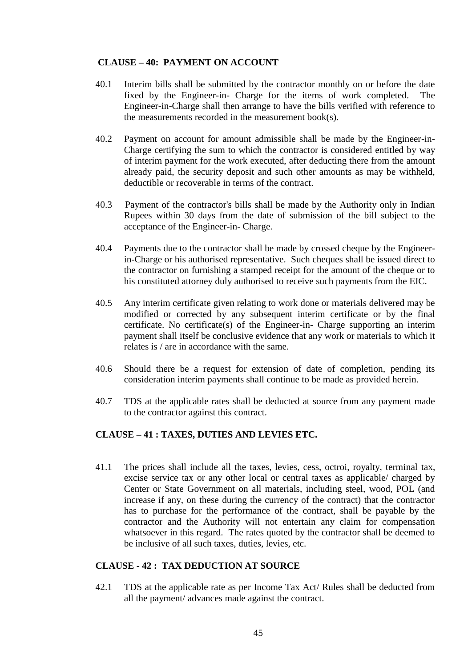#### **CLAUSE – 40: PAYMENT ON ACCOUNT**

- 40.1 Interim bills shall be submitted by the contractor monthly on or before the date fixed by the Engineer-in- Charge for the items of work completed. The Engineer-in-Charge shall then arrange to have the bills verified with reference to the measurements recorded in the measurement book(s).
- 40.2 Payment on account for amount admissible shall be made by the Engineer-in-Charge certifying the sum to which the contractor is considered entitled by way of interim payment for the work executed, after deducting there from the amount already paid, the security deposit and such other amounts as may be withheld, deductible or recoverable in terms of the contract.
- 40.3 Payment of the contractor's bills shall be made by the Authority only in Indian Rupees within 30 days from the date of submission of the bill subject to the acceptance of the Engineer-in- Charge.
- 40.4 Payments due to the contractor shall be made by crossed cheque by the Engineerin-Charge or his authorised representative. Such cheques shall be issued direct to the contractor on furnishing a stamped receipt for the amount of the cheque or to his constituted attorney duly authorised to receive such payments from the EIC.
- 40.5 Any interim certificate given relating to work done or materials delivered may be modified or corrected by any subsequent interim certificate or by the final certificate. No certificate(s) of the Engineer-in- Charge supporting an interim payment shall itself be conclusive evidence that any work or materials to which it relates is / are in accordance with the same.
- 40.6 Should there be a request for extension of date of completion, pending its consideration interim payments shall continue to be made as provided herein.
- 40.7 TDS at the applicable rates shall be deducted at source from any payment made to the contractor against this contract.

#### **CLAUSE – 41 : TAXES, DUTIES AND LEVIES ETC.**

41.1 The prices shall include all the taxes, levies, cess, octroi, royalty, terminal tax, excise service tax or any other local or central taxes as applicable/ charged by Center or State Government on all materials, including steel, wood, POL (and increase if any, on these during the currency of the contract) that the contractor has to purchase for the performance of the contract, shall be payable by the contractor and the Authority will not entertain any claim for compensation whatsoever in this regard. The rates quoted by the contractor shall be deemed to be inclusive of all such taxes, duties, levies, etc.

#### **CLAUSE - 42 : TAX DEDUCTION AT SOURCE**

42.1 TDS at the applicable rate as per Income Tax Act/ Rules shall be deducted from all the payment/ advances made against the contract.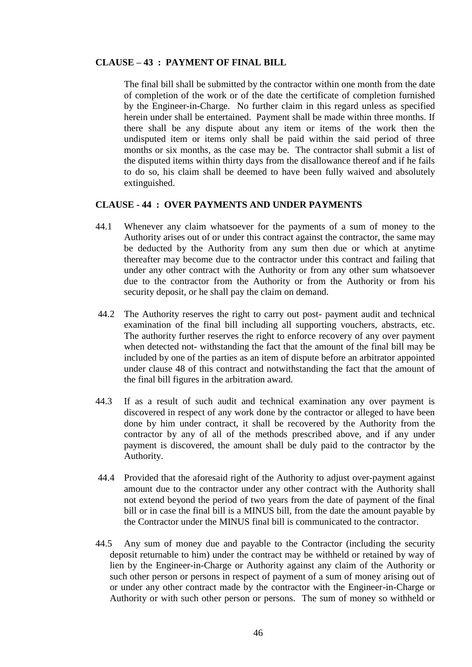#### **CLAUSE – 43 : PAYMENT OF FINAL BILL**

The final bill shall be submitted by the contractor within one month from the date of completion of the work or of the date the certificate of completion furnished by the Engineer-in-Charge. No further claim in this regard unless as specified herein under shall be entertained. Payment shall be made within three months. If there shall be any dispute about any item or items of the work then the undisputed item or items only shall be paid within the said period of three months or six months, as the case may be. The contractor shall submit a list of the disputed items within thirty days from the disallowance thereof and if he fails to do so, his claim shall be deemed to have been fully waived and absolutely extinguished.

#### **CLAUSE - 44 : OVER PAYMENTS AND UNDER PAYMENTS**

- 44.1 Whenever any claim whatsoever for the payments of a sum of money to the Authority arises out of or under this contract against the contractor, the same may be deducted by the Authority from any sum then due or which at anytime thereafter may become due to the contractor under this contract and failing that under any other contract with the Authority or from any other sum whatsoever due to the contractor from the Authority or from the Authority or from his security deposit, or he shall pay the claim on demand.
- 44.2 The Authority reserves the right to carry out post- payment audit and technical examination of the final bill including all supporting vouchers, abstracts, etc. The authority further reserves the right to enforce recovery of any over payment when detected not- withstanding the fact that the amount of the final bill may be included by one of the parties as an item of dispute before an arbitrator appointed under clause 48 of this contract and notwithstanding the fact that the amount of the final bill figures in the arbitration award.
- 44.3 If as a result of such audit and technical examination any over payment is discovered in respect of any work done by the contractor or alleged to have been done by him under contract, it shall be recovered by the Authority from the contractor by any of all of the methods prescribed above, and if any under payment is discovered, the amount shall be duly paid to the contractor by the Authority.
- 44.4 Provided that the aforesaid right of the Authority to adjust over-payment against amount due to the contractor under any other contract with the Authority shall not extend beyond the period of two years from the date of payment of the final bill or in case the final bill is a MINUS bill, from the date the amount payable by the Contractor under the MINUS final bill is communicated to the contractor.
- 44.5 Any sum of money due and payable to the Contractor (including the security deposit returnable to him) under the contract may be withheld or retained by way of lien by the Engineer-in-Charge or Authority against any claim of the Authority or such other person or persons in respect of payment of a sum of money arising out of or under any other contract made by the contractor with the Engineer-in-Charge or Authority or with such other person or persons. The sum of money so withheld or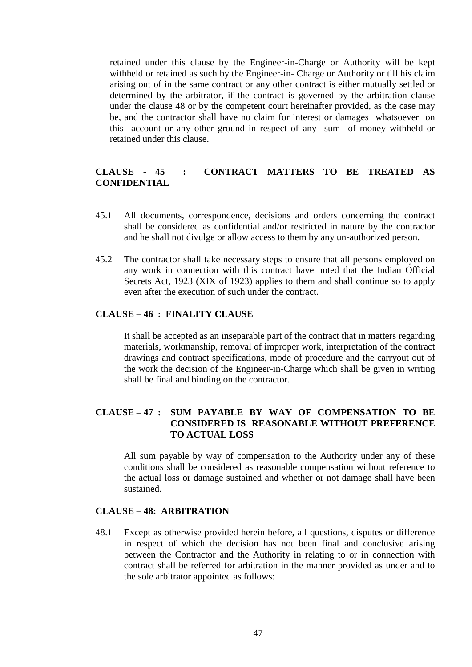retained under this clause by the Engineer-in-Charge or Authority will be kept withheld or retained as such by the Engineer-in- Charge or Authority or till his claim arising out of in the same contract or any other contract is either mutually settled or determined by the arbitrator, if the contract is governed by the arbitration clause under the clause 48 or by the competent court hereinafter provided, as the case may be, and the contractor shall have no claim for interest or damages whatsoever on this account or any other ground in respect of any sum of money withheld or retained under this clause.

#### **CLAUSE - 45 : CONTRACT MATTERS TO BE TREATED AS CONFIDENTIAL**

- 45.1 All documents, correspondence, decisions and orders concerning the contract shall be considered as confidential and/or restricted in nature by the contractor and he shall not divulge or allow access to them by any un-authorized person.
- 45.2 The contractor shall take necessary steps to ensure that all persons employed on any work in connection with this contract have noted that the Indian Official Secrets Act, 1923 (XIX of 1923) applies to them and shall continue so to apply even after the execution of such under the contract.

#### **CLAUSE – 46 : FINALITY CLAUSE**

It shall be accepted as an inseparable part of the contract that in matters regarding materials, workmanship, removal of improper work, interpretation of the contract drawings and contract specifications, mode of procedure and the carryout out of the work the decision of the Engineer-in-Charge which shall be given in writing shall be final and binding on the contractor.

#### **CLAUSE – 47 : SUM PAYABLE BY WAY OF COMPENSATION TO BE CONSIDERED IS REASONABLE WITHOUT PREFERENCE TO ACTUAL LOSS**

All sum payable by way of compensation to the Authority under any of these conditions shall be considered as reasonable compensation without reference to the actual loss or damage sustained and whether or not damage shall have been sustained.

#### **CLAUSE – 48: ARBITRATION**

48.1 Except as otherwise provided herein before, all questions, disputes or difference in respect of which the decision has not been final and conclusive arising between the Contractor and the Authority in relating to or in connection with contract shall be referred for arbitration in the manner provided as under and to the sole arbitrator appointed as follows: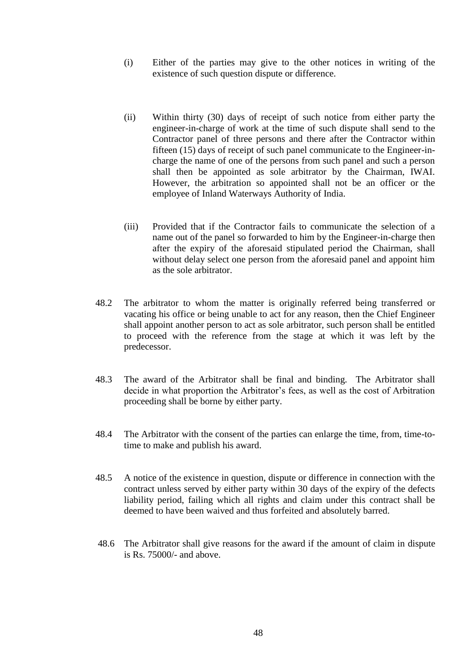- (i) Either of the parties may give to the other notices in writing of the existence of such question dispute or difference.
- (ii) Within thirty (30) days of receipt of such notice from either party the engineer-in-charge of work at the time of such dispute shall send to the Contractor panel of three persons and there after the Contractor within fifteen (15) days of receipt of such panel communicate to the Engineer-incharge the name of one of the persons from such panel and such a person shall then be appointed as sole arbitrator by the Chairman, IWAI. However, the arbitration so appointed shall not be an officer or the employee of Inland Waterways Authority of India.
- (iii) Provided that if the Contractor fails to communicate the selection of a name out of the panel so forwarded to him by the Engineer-in-charge then after the expiry of the aforesaid stipulated period the Chairman, shall without delay select one person from the aforesaid panel and appoint him as the sole arbitrator.
- 48.2 The arbitrator to whom the matter is originally referred being transferred or vacating his office or being unable to act for any reason, then the Chief Engineer shall appoint another person to act as sole arbitrator, such person shall be entitled to proceed with the reference from the stage at which it was left by the predecessor.
- 48.3 The award of the Arbitrator shall be final and binding. The Arbitrator shall decide in what proportion the Arbitrator's fees, as well as the cost of Arbitration proceeding shall be borne by either party.
- 48.4 The Arbitrator with the consent of the parties can enlarge the time, from, time-totime to make and publish his award.
- 48.5 A notice of the existence in question, dispute or difference in connection with the contract unless served by either party within 30 days of the expiry of the defects liability period, failing which all rights and claim under this contract shall be deemed to have been waived and thus forfeited and absolutely barred.
- 48.6 The Arbitrator shall give reasons for the award if the amount of claim in dispute is Rs. 75000/- and above.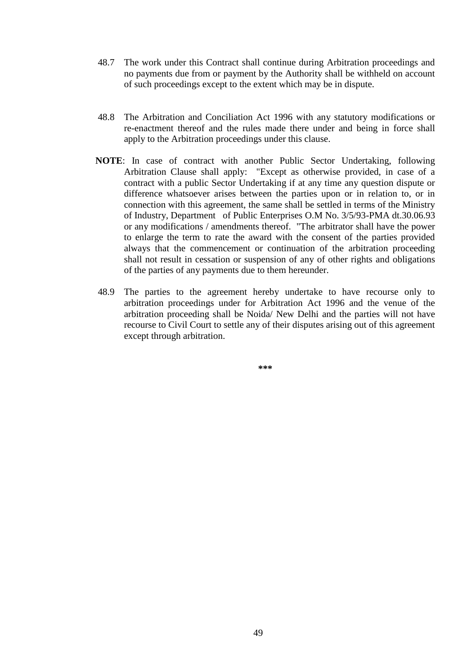- 48.7 The work under this Contract shall continue during Arbitration proceedings and no payments due from or payment by the Authority shall be withheld on account of such proceedings except to the extent which may be in dispute.
- 48.8 The Arbitration and Conciliation Act 1996 with any statutory modifications or re-enactment thereof and the rules made there under and being in force shall apply to the Arbitration proceedings under this clause.
- **NOTE**: In case of contract with another Public Sector Undertaking, following Arbitration Clause shall apply: "Except as otherwise provided, in case of a contract with a public Sector Undertaking if at any time any question dispute or difference whatsoever arises between the parties upon or in relation to, or in connection with this agreement, the same shall be settled in terms of the Ministry of Industry, Department of Public Enterprises O.M No. 3/5/93-PMA dt.30.06.93 or any modifications / amendments thereof. "The arbitrator shall have the power to enlarge the term to rate the award with the consent of the parties provided always that the commencement or continuation of the arbitration proceeding shall not result in cessation or suspension of any of other rights and obligations of the parties of any payments due to them hereunder.
- 48.9 The parties to the agreement hereby undertake to have recourse only to arbitration proceedings under for Arbitration Act 1996 and the venue of the arbitration proceeding shall be Noida/ New Delhi and the parties will not have recourse to Civil Court to settle any of their disputes arising out of this agreement except through arbitration.

**\*\*\***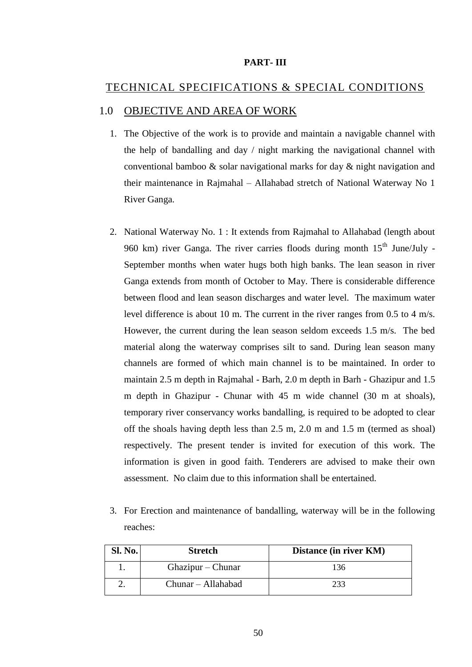#### **PART- III**

#### TECHNICAL SPECIFICATIONS & SPECIAL CONDITIONS

#### 1.0 OBJECTIVE AND AREA OF WORK

- 1. The Objective of the work is to provide and maintain a navigable channel with the help of bandalling and day / night marking the navigational channel with conventional bamboo & solar navigational marks for day & night navigation and their maintenance in Rajmahal – Allahabad stretch of National Waterway No 1 River Ganga.
- 2. National Waterway No. 1 : It extends from Rajmahal to Allahabad (length about 960 km) river Ganga. The river carries floods during month  $15<sup>th</sup>$  June/July -September months when water hugs both high banks. The lean season in river Ganga extends from month of October to May. There is considerable difference between flood and lean season discharges and water level. The maximum water level difference is about 10 m. The current in the river ranges from 0.5 to 4 m/s. However, the current during the lean season seldom exceeds 1.5 m/s. The bed material along the waterway comprises silt to sand. During lean season many channels are formed of which main channel is to be maintained. In order to maintain 2.5 m depth in Rajmahal - Barh, 2.0 m depth in Barh - Ghazipur and 1.5 m depth in Ghazipur - Chunar with 45 m wide channel (30 m at shoals), temporary river conservancy works bandalling, is required to be adopted to clear off the shoals having depth less than 2.5 m, 2.0 m and 1.5 m (termed as shoal) respectively. The present tender is invited for execution of this work. The information is given in good faith. Tenderers are advised to make their own assessment. No claim due to this information shall be entertained.
- 3. For Erection and maintenance of bandalling, waterway will be in the following reaches:

| <b>Sl. No.</b> | <b>Stretch</b>     | Distance (in river KM) |
|----------------|--------------------|------------------------|
|                | Ghazipur – Chunar  | 136                    |
|                | Chunar – Allahabad |                        |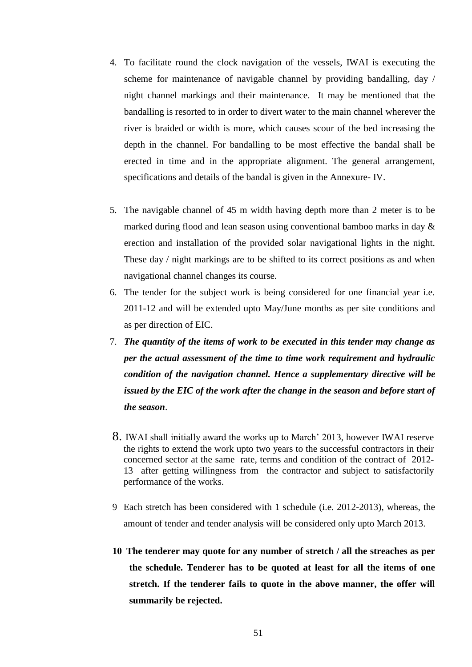- 4. To facilitate round the clock navigation of the vessels, IWAI is executing the scheme for maintenance of navigable channel by providing bandalling, day / night channel markings and their maintenance. It may be mentioned that the bandalling is resorted to in order to divert water to the main channel wherever the river is braided or width is more, which causes scour of the bed increasing the depth in the channel. For bandalling to be most effective the bandal shall be erected in time and in the appropriate alignment. The general arrangement, specifications and details of the bandal is given in the Annexure- IV.
- 5. The navigable channel of 45 m width having depth more than 2 meter is to be marked during flood and lean season using conventional bamboo marks in day & erection and installation of the provided solar navigational lights in the night. These day / night markings are to be shifted to its correct positions as and when navigational channel changes its course.
- 6. The tender for the subject work is being considered for one financial year i.e. 2011-12 and will be extended upto May/June months as per site conditions and as per direction of EIC.
- 7. *The quantity of the items of work to be executed in this tender may change as per the actual assessment of the time to time work requirement and hydraulic condition of the navigation channel. Hence a supplementary directive will be issued by the EIC of the work after the change in the season and before start of the season*.
- 8. IWAI shall initially award the works up to March' 2013, however IWAI reserve the rights to extend the work upto two years to the successful contractors in their concerned sector at the same rate, terms and condition of the contract of 2012- 13 after getting willingness from the contractor and subject to satisfactorily performance of the works.
- 9 Each stretch has been considered with 1 schedule (i.e. 2012-2013), whereas, the amount of tender and tender analysis will be considered only upto March 2013.
- **10 The tenderer may quote for any number of stretch / all the streaches as per the schedule. Tenderer has to be quoted at least for all the items of one stretch. If the tenderer fails to quote in the above manner, the offer will summarily be rejected.**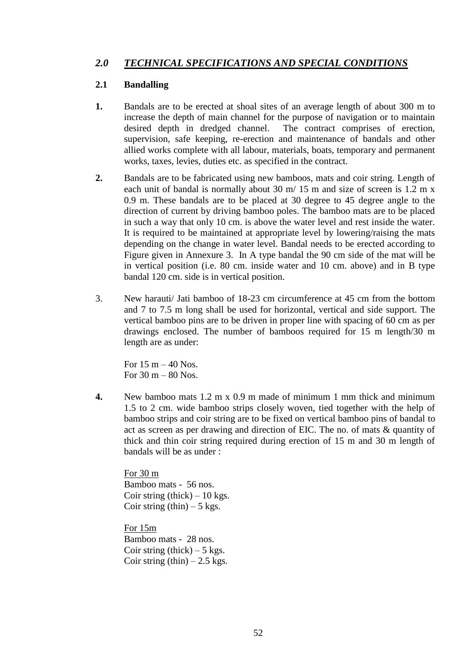### *2.0 TECHNICAL SPECIFICATIONS AND SPECIAL CONDITIONS*

#### **2.1 Bandalling**

- **1.** Bandals are to be erected at shoal sites of an average length of about 300 m to increase the depth of main channel for the purpose of navigation or to maintain desired depth in dredged channel. The contract comprises of erection, supervision, safe keeping, re-erection and maintenance of bandals and other allied works complete with all labour, materials, boats, temporary and permanent works, taxes, levies, duties etc. as specified in the contract.
- **2.** Bandals are to be fabricated using new bamboos, mats and coir string. Length of each unit of bandal is normally about 30 m/ 15 m and size of screen is 1.2 m x 0.9 m. These bandals are to be placed at 30 degree to 45 degree angle to the direction of current by driving bamboo poles. The bamboo mats are to be placed in such a way that only 10 cm. is above the water level and rest inside the water. It is required to be maintained at appropriate level by lowering/raising the mats depending on the change in water level. Bandal needs to be erected according to Figure given in Annexure 3. In A type bandal the 90 cm side of the mat will be in vertical position (i.e. 80 cm. inside water and 10 cm. above) and in B type bandal 120 cm. side is in vertical position.
- 3. New harauti/ Jati bamboo of 18-23 cm circumference at 45 cm from the bottom and 7 to 7.5 m long shall be used for horizontal, vertical and side support. The vertical bamboo pins are to be driven in proper line with spacing of 60 cm as per drawings enclosed. The number of bamboos required for 15 m length/30 m length are as under:

For  $15 \text{ m} - 40 \text{ Nos.}$ For  $30 \text{ m} - 80 \text{ Nos.}$ 

**4.** New bamboo mats 1.2 m x 0.9 m made of minimum 1 mm thick and minimum 1.5 to 2 cm. wide bamboo strips closely woven, tied together with the help of bamboo strips and coir string are to be fixed on vertical bamboo pins of bandal to act as screen as per drawing and direction of EIC. The no. of mats & quantity of thick and thin coir string required during erection of 15 m and 30 m length of bandals will be as under :

For 30 m Bamboo mats - 56 nos. Coir string (thick)  $-10$  kgs. Coir string  $(thin) - 5$  kgs.

For 15m Bamboo mats - 28 nos. Coir string (thick)  $-5$  kgs. Coir string  $(thin) - 2.5$  kgs.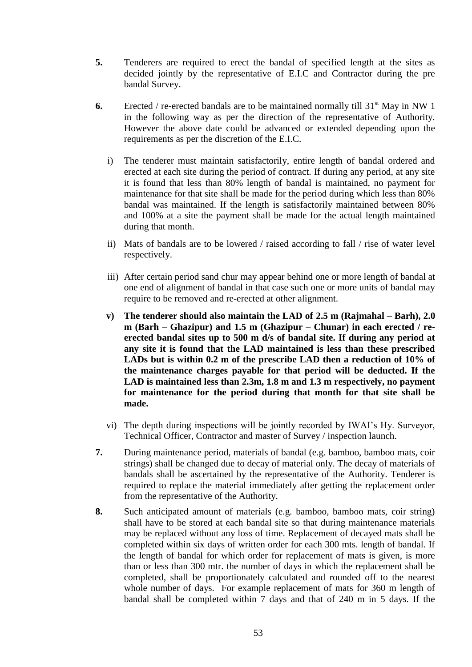- **5.** Tenderers are required to erect the bandal of specified length at the sites as decided jointly by the representative of E.I.C and Contractor during the pre bandal Survey.
- **6.** Erected / re-erected bandals are to be maintained normally till  $31<sup>st</sup>$  May in NW 1 in the following way as per the direction of the representative of Authority. However the above date could be advanced or extended depending upon the requirements as per the discretion of the E.I.C.
	- i) The tenderer must maintain satisfactorily, entire length of bandal ordered and erected at each site during the period of contract. If during any period, at any site it is found that less than 80% length of bandal is maintained, no payment for maintenance for that site shall be made for the period during which less than 80% bandal was maintained. If the length is satisfactorily maintained between 80% and 100% at a site the payment shall be made for the actual length maintained during that month.
	- ii) Mats of bandals are to be lowered / raised according to fall / rise of water level respectively.
	- iii) After certain period sand chur may appear behind one or more length of bandal at one end of alignment of bandal in that case such one or more units of bandal may require to be removed and re-erected at other alignment.
	- **v) The tenderer should also maintain the LAD of 2.5 m (Rajmahal – Barh), 2.0 m (Barh – Ghazipur) and 1.5 m (Ghazipur – Chunar) in each erected / reerected bandal sites up to 500 m d/s of bandal site. If during any period at any site it is found that the LAD maintained is less than these prescribed LADs but is within 0.2 m of the prescribe LAD then a reduction of 10% of the maintenance charges payable for that period will be deducted. If the LAD is maintained less than 2.3m, 1.8 m and 1.3 m respectively, no payment for maintenance for the period during that month for that site shall be made.**
	- vi) The depth during inspections will be jointly recorded by IWAI"s Hy. Surveyor, Technical Officer, Contractor and master of Survey / inspection launch.
- **7.** During maintenance period, materials of bandal (e.g. bamboo, bamboo mats, coir strings) shall be changed due to decay of material only. The decay of materials of bandals shall be ascertained by the representative of the Authority. Tenderer is required to replace the material immediately after getting the replacement order from the representative of the Authority.
- **8.** Such anticipated amount of materials (e.g. bamboo, bamboo mats, coir string) shall have to be stored at each bandal site so that during maintenance materials may be replaced without any loss of time. Replacement of decayed mats shall be completed within six days of written order for each 300 mts. length of bandal. If the length of bandal for which order for replacement of mats is given, is more than or less than 300 mtr. the number of days in which the replacement shall be completed, shall be proportionately calculated and rounded off to the nearest whole number of days. For example replacement of mats for 360 m length of bandal shall be completed within 7 days and that of 240 m in 5 days. If the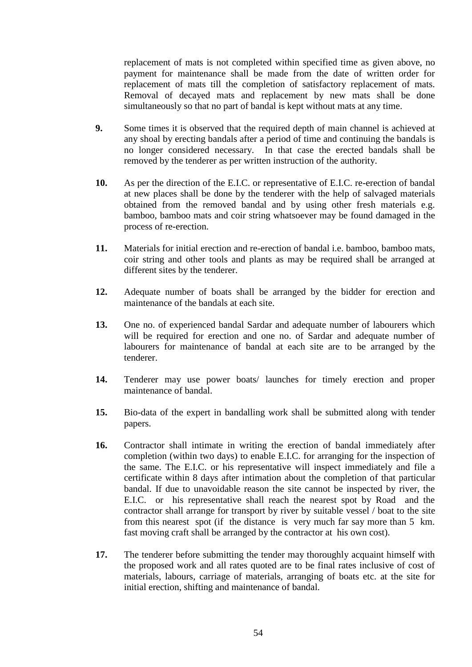replacement of mats is not completed within specified time as given above, no payment for maintenance shall be made from the date of written order for replacement of mats till the completion of satisfactory replacement of mats. Removal of decayed mats and replacement by new mats shall be done simultaneously so that no part of bandal is kept without mats at any time.

- **9.** Some times it is observed that the required depth of main channel is achieved at any shoal by erecting bandals after a period of time and continuing the bandals is no longer considered necessary. In that case the erected bandals shall be removed by the tenderer as per written instruction of the authority.
- **10.** As per the direction of the E.I.C. or representative of E.I.C. re-erection of bandal at new places shall be done by the tenderer with the help of salvaged materials obtained from the removed bandal and by using other fresh materials e.g. bamboo, bamboo mats and coir string whatsoever may be found damaged in the process of re-erection.
- **11.** Materials for initial erection and re-erection of bandal i.e. bamboo, bamboo mats, coir string and other tools and plants as may be required shall be arranged at different sites by the tenderer.
- **12.** Adequate number of boats shall be arranged by the bidder for erection and maintenance of the bandals at each site.
- **13.** One no. of experienced bandal Sardar and adequate number of labourers which will be required for erection and one no. of Sardar and adequate number of labourers for maintenance of bandal at each site are to be arranged by the tenderer.
- **14.** Tenderer may use power boats/ launches for timely erection and proper maintenance of bandal.
- **15.** Bio-data of the expert in bandalling work shall be submitted along with tender papers.
- **16.** Contractor shall intimate in writing the erection of bandal immediately after completion (within two days) to enable E.I.C. for arranging for the inspection of the same. The E.I.C. or his representative will inspect immediately and file a certificate within 8 days after intimation about the completion of that particular bandal. If due to unavoidable reason the site cannot be inspected by river, the E.I.C. or his representative shall reach the nearest spot by Road and the contractor shall arrange for transport by river by suitable vessel / boat to the site from this nearest spot (if the distance is very much far say more than 5 km. fast moving craft shall be arranged by the contractor at his own cost).
- **17.** The tenderer before submitting the tender may thoroughly acquaint himself with the proposed work and all rates quoted are to be final rates inclusive of cost of materials, labours, carriage of materials, arranging of boats etc. at the site for initial erection, shifting and maintenance of bandal.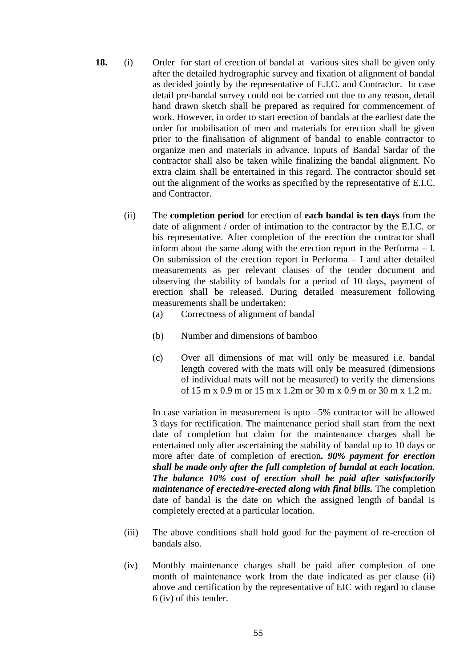- **18.** (i) Order for start of erection of bandal at various sites shall be given only after the detailed hydrographic survey and fixation of alignment of bandal as decided jointly by the representative of E.I.C. and Contractor. In case detail pre-bandal survey could not be carried out due to any reason, detail hand drawn sketch shall be prepared as required for commencement of work. However, in order to start erection of bandals at the earliest date the order for mobilisation of men and materials for erection shall be given prior to the finalisation of alignment of bandal to enable contractor to organize men and materials in advance. Inputs of Bandal Sardar of the contractor shall also be taken while finalizing the bandal alignment. No extra claim shall be entertained in this regard. The contractor should set out the alignment of the works as specified by the representative of E.I.C. and Contractor.
	- (ii) The **completion period** for erection of **each bandal is ten days** from the date of alignment / order of intimation to the contractor by the E.I.C. or his representative. After completion of the erection the contractor shall inform about the same along with the erection report in the Performa – I. On submission of the erection report in Performa – I and after detailed measurements as per relevant clauses of the tender document and observing the stability of bandals for a period of 10 days, payment of erection shall be released. During detailed measurement following measurements shall be undertaken:
		- (a) Correctness of alignment of bandal
		- (b) Number and dimensions of bamboo
		- (c) Over all dimensions of mat will only be measured i.e. bandal length covered with the mats will only be measured (dimensions of individual mats will not be measured) to verify the dimensions of 15 m x 0.9 m or 15 m x 1.2m or 30 m x 0.9 m or 30 m x 1.2 m.

In case variation in measurement is upto –5% contractor will be allowed 3 days for rectification. The maintenance period shall start from the next date of completion but claim for the maintenance charges shall be entertained only after ascertaining the stability of bandal up to 10 days or more after date of completion of erection*. 90% payment for erection shall be made only after the full completion of bundal at each location. The balance 10% cost of erection shall be paid after satisfactorily maintenance of erected/re-erected along with final bills. The completion* date of bandal is the date on which the assigned length of bandal is completely erected at a particular location.

- (iii) The above conditions shall hold good for the payment of re-erection of bandals also.
- (iv) Monthly maintenance charges shall be paid after completion of one month of maintenance work from the date indicated as per clause (ii) above and certification by the representative of EIC with regard to clause 6 (iv) of this tender.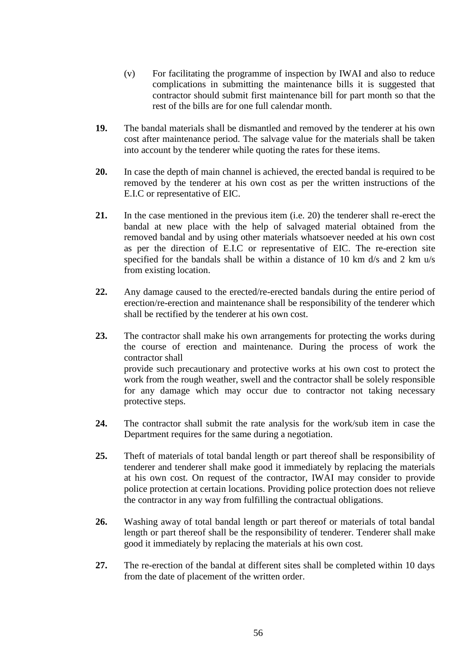- (v) For facilitating the programme of inspection by IWAI and also to reduce complications in submitting the maintenance bills it is suggested that contractor should submit first maintenance bill for part month so that the rest of the bills are for one full calendar month.
- **19.** The bandal materials shall be dismantled and removed by the tenderer at his own cost after maintenance period. The salvage value for the materials shall be taken into account by the tenderer while quoting the rates for these items.
- **20.** In case the depth of main channel is achieved, the erected bandal is required to be removed by the tenderer at his own cost as per the written instructions of the E.I.C or representative of EIC.
- **21.** In the case mentioned in the previous item (i.e. 20) the tenderer shall re-erect the bandal at new place with the help of salvaged material obtained from the removed bandal and by using other materials whatsoever needed at his own cost as per the direction of E.I.C or representative of EIC. The re-erection site specified for the bandals shall be within a distance of 10 km d/s and 2 km u/s from existing location.
- **22.** Any damage caused to the erected/re-erected bandals during the entire period of erection/re-erection and maintenance shall be responsibility of the tenderer which shall be rectified by the tenderer at his own cost.
- **23.** The contractor shall make his own arrangements for protecting the works during the course of erection and maintenance. During the process of work the contractor shall provide such precautionary and protective works at his own cost to protect the work from the rough weather, swell and the contractor shall be solely responsible for any damage which may occur due to contractor not taking necessary protective steps.
- **24.** The contractor shall submit the rate analysis for the work/sub item in case the Department requires for the same during a negotiation.
- **25.** Theft of materials of total bandal length or part thereof shall be responsibility of tenderer and tenderer shall make good it immediately by replacing the materials at his own cost. On request of the contractor, IWAI may consider to provide police protection at certain locations. Providing police protection does not relieve the contractor in any way from fulfilling the contractual obligations.
- **26.** Washing away of total bandal length or part thereof or materials of total bandal length or part thereof shall be the responsibility of tenderer. Tenderer shall make good it immediately by replacing the materials at his own cost.
- **27.** The re-erection of the bandal at different sites shall be completed within 10 days from the date of placement of the written order.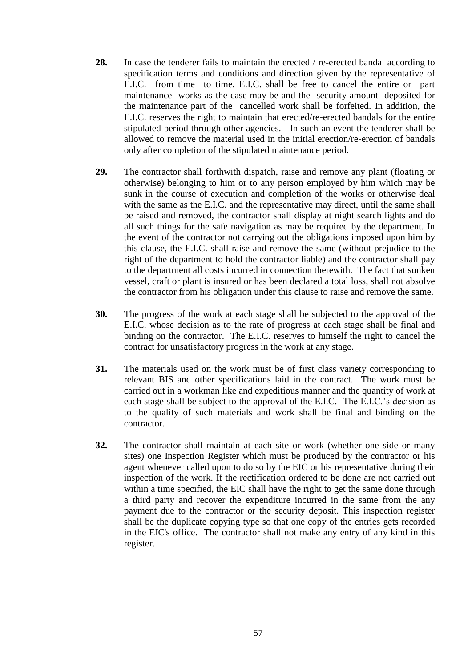- 28. In case the tenderer fails to maintain the erected / re-erected bandal according to specification terms and conditions and direction given by the representative of E.I.C. from time to time, E.I.C. shall be free to cancel the entire or part maintenance works as the case may be and the security amount deposited for the maintenance part of the cancelled work shall be forfeited. In addition, the E.I.C. reserves the right to maintain that erected/re-erected bandals for the entire stipulated period through other agencies. In such an event the tenderer shall be allowed to remove the material used in the initial erection/re-erection of bandals only after completion of the stipulated maintenance period.
- **29.** The contractor shall forthwith dispatch, raise and remove any plant (floating or otherwise) belonging to him or to any person employed by him which may be sunk in the course of execution and completion of the works or otherwise deal with the same as the E.I.C. and the representative may direct, until the same shall be raised and removed, the contractor shall display at night search lights and do all such things for the safe navigation as may be required by the department. In the event of the contractor not carrying out the obligations imposed upon him by this clause, the E.I.C. shall raise and remove the same (without prejudice to the right of the department to hold the contractor liable) and the contractor shall pay to the department all costs incurred in connection therewith. The fact that sunken vessel, craft or plant is insured or has been declared a total loss, shall not absolve the contractor from his obligation under this clause to raise and remove the same.
- **30.** The progress of the work at each stage shall be subjected to the approval of the E.I.C. whose decision as to the rate of progress at each stage shall be final and binding on the contractor. The E.I.C. reserves to himself the right to cancel the contract for unsatisfactory progress in the work at any stage.
- **31.** The materials used on the work must be of first class variety corresponding to relevant BIS and other specifications laid in the contract. The work must be carried out in a workman like and expeditious manner and the quantity of work at each stage shall be subject to the approval of the E.I.C. The E.I.C."s decision as to the quality of such materials and work shall be final and binding on the contractor.
- **32.** The contractor shall maintain at each site or work (whether one side or many sites) one Inspection Register which must be produced by the contractor or his agent whenever called upon to do so by the EIC or his representative during their inspection of the work. If the rectification ordered to be done are not carried out within a time specified, the EIC shall have the right to get the same done through a third party and recover the expenditure incurred in the same from the any payment due to the contractor or the security deposit. This inspection register shall be the duplicate copying type so that one copy of the entries gets recorded in the EIC's office. The contractor shall not make any entry of any kind in this register.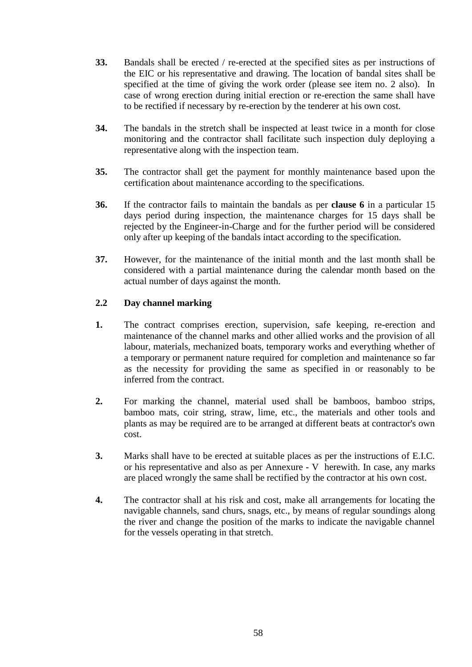- **33.** Bandals shall be erected / re-erected at the specified sites as per instructions of the EIC or his representative and drawing. The location of bandal sites shall be specified at the time of giving the work order (please see item no. 2 also). In case of wrong erection during initial erection or re-erection the same shall have to be rectified if necessary by re-erection by the tenderer at his own cost.
- **34.** The bandals in the stretch shall be inspected at least twice in a month for close monitoring and the contractor shall facilitate such inspection duly deploying a representative along with the inspection team.
- **35.** The contractor shall get the payment for monthly maintenance based upon the certification about maintenance according to the specifications.
- **36.** If the contractor fails to maintain the bandals as per **clause 6** in a particular 15 days period during inspection, the maintenance charges for 15 days shall be rejected by the Engineer-in-Charge and for the further period will be considered only after up keeping of the bandals intact according to the specification.
- **37.** However, for the maintenance of the initial month and the last month shall be considered with a partial maintenance during the calendar month based on the actual number of days against the month.

#### **2.2 Day channel marking**

- **1.** The contract comprises erection, supervision, safe keeping, re-erection and maintenance of the channel marks and other allied works and the provision of all labour, materials, mechanized boats, temporary works and everything whether of a temporary or permanent nature required for completion and maintenance so far as the necessity for providing the same as specified in or reasonably to be inferred from the contract.
- **2.** For marking the channel, material used shall be bamboos, bamboo strips, bamboo mats, coir string, straw, lime, etc., the materials and other tools and plants as may be required are to be arranged at different beats at contractor's own cost.
- **3.** Marks shall have to be erected at suitable places as per the instructions of E.I.C. or his representative and also as per Annexure - V herewith. In case, any marks are placed wrongly the same shall be rectified by the contractor at his own cost.
- **4.** The contractor shall at his risk and cost, make all arrangements for locating the navigable channels, sand churs, snags, etc., by means of regular soundings along the river and change the position of the marks to indicate the navigable channel for the vessels operating in that stretch.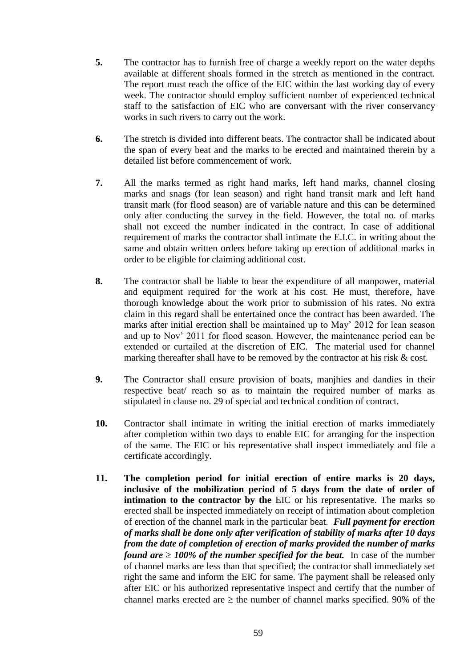- **5.** The contractor has to furnish free of charge a weekly report on the water depths available at different shoals formed in the stretch as mentioned in the contract. The report must reach the office of the EIC within the last working day of every week. The contractor should employ sufficient number of experienced technical staff to the satisfaction of EIC who are conversant with the river conservancy works in such rivers to carry out the work.
- **6.** The stretch is divided into different beats. The contractor shall be indicated about the span of every beat and the marks to be erected and maintained therein by a detailed list before commencement of work.
- **7.** All the marks termed as right hand marks, left hand marks, channel closing marks and snags (for lean season) and right hand transit mark and left hand transit mark (for flood season) are of variable nature and this can be determined only after conducting the survey in the field. However, the total no. of marks shall not exceed the number indicated in the contract. In case of additional requirement of marks the contractor shall intimate the E.I.C. in writing about the same and obtain written orders before taking up erection of additional marks in order to be eligible for claiming additional cost.
- **8.** The contractor shall be liable to bear the expenditure of all manpower, material and equipment required for the work at his cost. He must, therefore, have thorough knowledge about the work prior to submission of his rates. No extra claim in this regard shall be entertained once the contract has been awarded. The marks after initial erection shall be maintained up to May' 2012 for lean season and up to Nov" 2011 for flood season. However, the maintenance period can be extended or curtailed at the discretion of EIC. The material used for channel marking thereafter shall have to be removed by the contractor at his risk  $\&$  cost.
- **9.** The Contractor shall ensure provision of boats, manjhies and dandies in their respective beat/ reach so as to maintain the required number of marks as stipulated in clause no. 29 of special and technical condition of contract.
- **10.** Contractor shall intimate in writing the initial erection of marks immediately after completion within two days to enable EIC for arranging for the inspection of the same. The EIC or his representative shall inspect immediately and file a certificate accordingly.
- **11. The completion period for initial erection of entire marks is 20 days, inclusive of the mobilization period of 5 days from the date of order of intimation to the contractor by the EIC** or his representative. The marks so erected shall be inspected immediately on receipt of intimation about completion of erection of the channel mark in the particular beat. *Full payment for erection of marks shall be done only after verification of stability of marks after 10 days from the date of completion of erection of marks provided the number of marks found are*  $\geq 100\%$  *of the number specified for the beat.* In case of the number of channel marks are less than that specified; the contractor shall immediately set right the same and inform the EIC for same. The payment shall be released only after EIC or his authorized representative inspect and certify that the number of channel marks erected are  $\geq$  the number of channel marks specified. 90% of the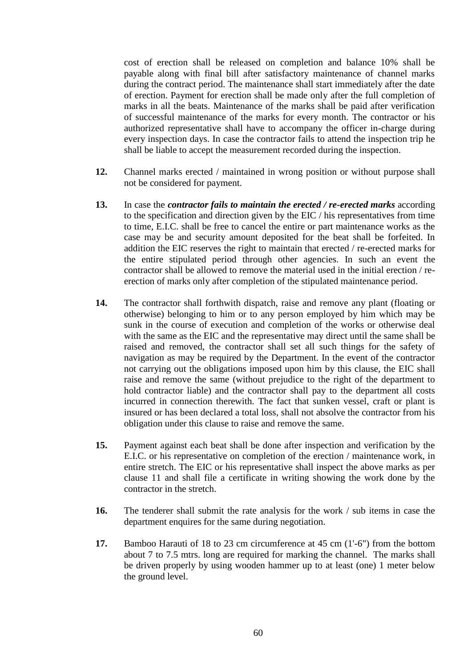cost of erection shall be released on completion and balance 10% shall be payable along with final bill after satisfactory maintenance of channel marks during the contract period. The maintenance shall start immediately after the date of erection. Payment for erection shall be made only after the full completion of marks in all the beats. Maintenance of the marks shall be paid after verification of successful maintenance of the marks for every month. The contractor or his authorized representative shall have to accompany the officer in-charge during every inspection days. In case the contractor fails to attend the inspection trip he shall be liable to accept the measurement recorded during the inspection.

- **12.** Channel marks erected / maintained in wrong position or without purpose shall not be considered for payment.
- **13.** In case the *contractor fails to maintain the erected / re-erected marks* according to the specification and direction given by the EIC / his representatives from time to time, E.I.C. shall be free to cancel the entire or part maintenance works as the case may be and security amount deposited for the beat shall be forfeited. In addition the EIC reserves the right to maintain that erected / re-erected marks for the entire stipulated period through other agencies. In such an event the contractor shall be allowed to remove the material used in the initial erection / reerection of marks only after completion of the stipulated maintenance period.
- **14.** The contractor shall forthwith dispatch, raise and remove any plant (floating or otherwise) belonging to him or to any person employed by him which may be sunk in the course of execution and completion of the works or otherwise deal with the same as the EIC and the representative may direct until the same shall be raised and removed, the contractor shall set all such things for the safety of navigation as may be required by the Department. In the event of the contractor not carrying out the obligations imposed upon him by this clause, the EIC shall raise and remove the same (without prejudice to the right of the department to hold contractor liable) and the contractor shall pay to the department all costs incurred in connection therewith. The fact that sunken vessel, craft or plant is insured or has been declared a total loss, shall not absolve the contractor from his obligation under this clause to raise and remove the same.
- **15.** Payment against each beat shall be done after inspection and verification by the E.I.C. or his representative on completion of the erection / maintenance work, in entire stretch. The EIC or his representative shall inspect the above marks as per clause 11 and shall file a certificate in writing showing the work done by the contractor in the stretch.
- **16.** The tenderer shall submit the rate analysis for the work / sub items in case the department enquires for the same during negotiation.
- **17.** Bamboo Harauti of 18 to 23 cm circumference at 45 cm (1'-6") from the bottom about 7 to 7.5 mtrs. long are required for marking the channel. The marks shall be driven properly by using wooden hammer up to at least (one) 1 meter below the ground level.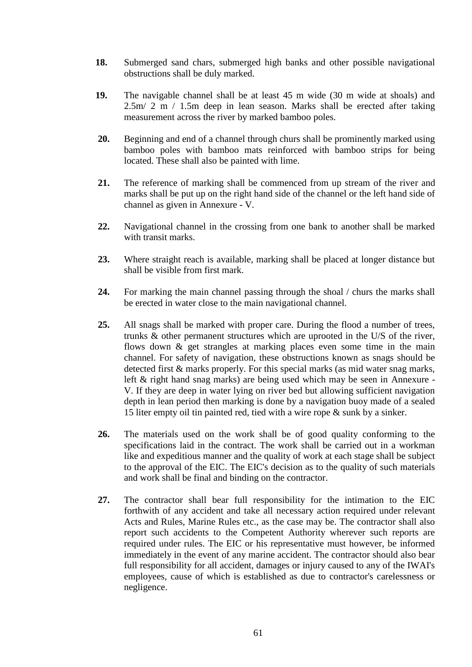- **18.** Submerged sand chars, submerged high banks and other possible navigational obstructions shall be duly marked.
- **19.** The navigable channel shall be at least 45 m wide (30 m wide at shoals) and 2.5m/ 2 m / 1.5m deep in lean season. Marks shall be erected after taking measurement across the river by marked bamboo poles.
- **20.** Beginning and end of a channel through churs shall be prominently marked using bamboo poles with bamboo mats reinforced with bamboo strips for being located. These shall also be painted with lime.
- **21.** The reference of marking shall be commenced from up stream of the river and marks shall be put up on the right hand side of the channel or the left hand side of channel as given in Annexure - V.
- **22.** Navigational channel in the crossing from one bank to another shall be marked with transit marks.
- **23.** Where straight reach is available, marking shall be placed at longer distance but shall be visible from first mark.
- **24.** For marking the main channel passing through the shoal / churs the marks shall be erected in water close to the main navigational channel.
- **25.** All snags shall be marked with proper care. During the flood a number of trees, trunks & other permanent structures which are uprooted in the U/S of the river, flows down & get strangles at marking places even some time in the main channel. For safety of navigation, these obstructions known as snags should be detected first & marks properly. For this special marks (as mid water snag marks, left & right hand snag marks) are being used which may be seen in Annexure - V. If they are deep in water lying on river bed but allowing sufficient navigation depth in lean period then marking is done by a navigation buoy made of a sealed 15 liter empty oil tin painted red, tied with a wire rope & sunk by a sinker.
- **26.** The materials used on the work shall be of good quality conforming to the specifications laid in the contract. The work shall be carried out in a workman like and expeditious manner and the quality of work at each stage shall be subject to the approval of the EIC. The EIC's decision as to the quality of such materials and work shall be final and binding on the contractor.
- **27.** The contractor shall bear full responsibility for the intimation to the EIC forthwith of any accident and take all necessary action required under relevant Acts and Rules, Marine Rules etc., as the case may be. The contractor shall also report such accidents to the Competent Authority wherever such reports are required under rules. The EIC or his representative must however, be informed immediately in the event of any marine accident. The contractor should also bear full responsibility for all accident, damages or injury caused to any of the IWAI's employees, cause of which is established as due to contractor's carelessness or negligence.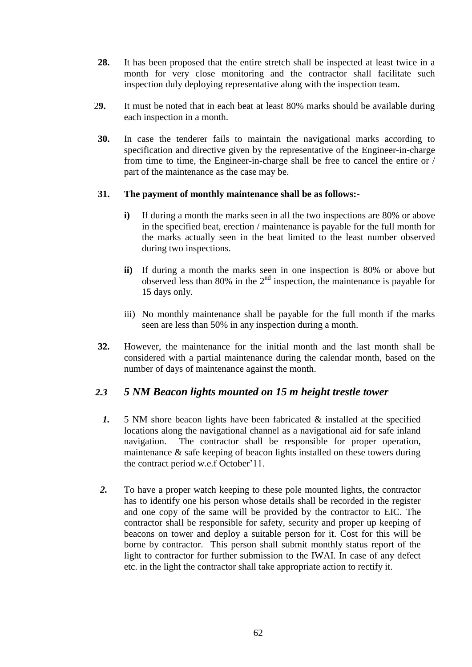- **28.** It has been proposed that the entire stretch shall be inspected at least twice in a month for very close monitoring and the contractor shall facilitate such inspection duly deploying representative along with the inspection team.
- 2**9.** It must be noted that in each beat at least 80% marks should be available during each inspection in a month.
- **30.** In case the tenderer fails to maintain the navigational marks according to specification and directive given by the representative of the Engineer-in-charge from time to time, the Engineer-in-charge shall be free to cancel the entire or / part of the maintenance as the case may be.

#### **31. The payment of monthly maintenance shall be as follows:-**

- **i**) If during a month the marks seen in all the two inspections are 80% or above in the specified beat, erection / maintenance is payable for the full month for the marks actually seen in the beat limited to the least number observed during two inspections.
- **ii)** If during a month the marks seen in one inspection is 80% or above but observed less than 80% in the  $2<sup>nd</sup>$  inspection, the maintenance is payable for 15 days only.
- iii) No monthly maintenance shall be payable for the full month if the marks seen are less than 50% in any inspection during a month.
- **32.** However, the maintenance for the initial month and the last month shall be considered with a partial maintenance during the calendar month, based on the number of days of maintenance against the month.

#### *2.3 5 NM Beacon lights mounted on 15 m height trestle tower*

- *1.* 5 NM shore beacon lights have been fabricated & installed at the specified locations along the navigational channel as a navigational aid for safe inland navigation. The contractor shall be responsible for proper operation, maintenance & safe keeping of beacon lights installed on these towers during the contract period w.e.f October"11.
- *2.* To have a proper watch keeping to these pole mounted lights, the contractor has to identify one his person whose details shall be recorded in the register and one copy of the same will be provided by the contractor to EIC. The contractor shall be responsible for safety, security and proper up keeping of beacons on tower and deploy a suitable person for it. Cost for this will be borne by contractor. This person shall submit monthly status report of the light to contractor for further submission to the IWAI. In case of any defect etc. in the light the contractor shall take appropriate action to rectify it.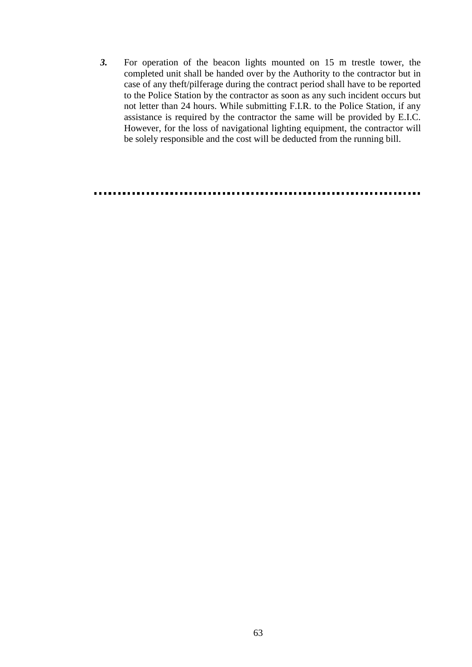*3.* For operation of the beacon lights mounted on 15 m trestle tower, the completed unit shall be handed over by the Authority to the contractor but in case of any theft/pilferage during the contract period shall have to be reported to the Police Station by the contractor as soon as any such incident occurs but not letter than 24 hours. While submitting F.I.R. to the Police Station, if any assistance is required by the contractor the same will be provided by E.I.C. However, for the loss of navigational lighting equipment, the contractor will be solely responsible and the cost will be deducted from the running bill.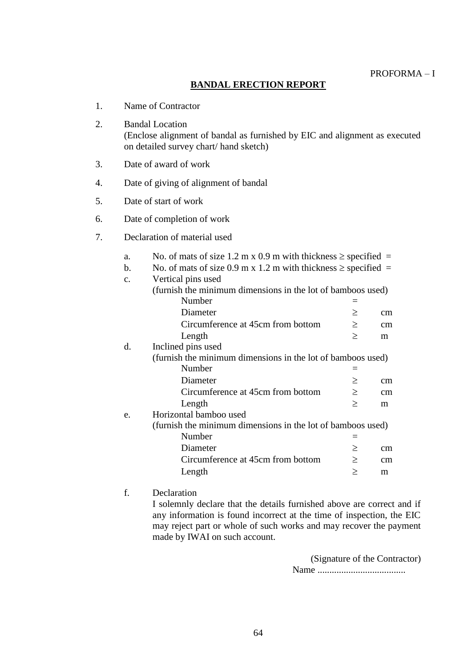#### **BANDAL ERECTION REPORT**

- 1. Name of Contractor
- 2. Bandal Location (Enclose alignment of bandal as furnished by EIC and alignment as executed on detailed survey chart/ hand sketch)
- 3. Date of award of work
- 4. Date of giving of alignment of bandal
- 5. Date of start of work
- 6. Date of completion of work
- 7. Declaration of material used
	- a. No. of mats of size 1.2 m x 0.9 m with thickness  $\ge$  specified =

| b. |  |  | No. of mats of size 0.9 m x 1.2 m with thickness $\ge$ specified = |  |
|----|--|--|--------------------------------------------------------------------|--|
|----|--|--|--------------------------------------------------------------------|--|

c. Vertical pins used

|    | (furnish the minimum dimensions in the lot of bamboos used) |        |    |
|----|-------------------------------------------------------------|--------|----|
|    | Number                                                      |        |    |
|    | Diameter                                                    | ≥      | cm |
|    | Circumference at 45cm from bottom                           | $\geq$ | cm |
|    | Length                                                      | $\geq$ | m  |
| d. | Inclined pins used                                          |        |    |
|    | (furnish the minimum dimensions in the lot of bamboos used) |        |    |
|    | Number                                                      |        |    |
|    | Diameter                                                    | $\geq$ | cm |
|    | Circumference at 45cm from bottom                           | $\geq$ | cm |
|    | Length                                                      | >      | m  |
| e. | Horizontal bamboo used                                      |        |    |
|    | (furnish the minimum dimensions in the lot of bamboos used) |        |    |
|    | Number                                                      |        |    |
|    | Diameter                                                    | $\geq$ | cm |
|    | Circumference at 45cm from bottom                           | $\geq$ | cm |
|    | Length                                                      | >      | m  |

#### f. Declaration

I solemnly declare that the details furnished above are correct and if any information is found incorrect at the time of inspection, the EIC may reject part or whole of such works and may recover the payment made by IWAI on such account.

> (Signature of the Contractor) Name .....................................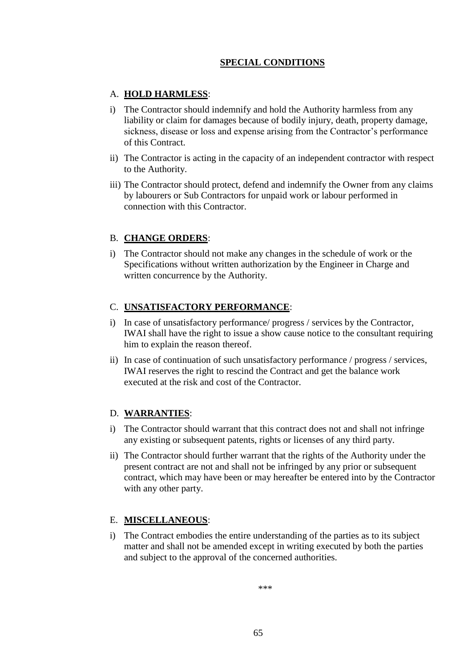#### **SPECIAL CONDITIONS**

#### A. **HOLD HARMLESS**:

- i) The Contractor should indemnify and hold the Authority harmless from any liability or claim for damages because of bodily injury, death, property damage, sickness, disease or loss and expense arising from the Contractor's performance of this Contract.
- ii) The Contractor is acting in the capacity of an independent contractor with respect to the Authority.
- iii) The Contractor should protect, defend and indemnify the Owner from any claims by labourers or Sub Contractors for unpaid work or labour performed in connection with this Contractor.

#### B. **CHANGE ORDERS**:

i) The Contractor should not make any changes in the schedule of work or the Specifications without written authorization by the Engineer in Charge and written concurrence by the Authority.

#### C. **UNSATISFACTORY PERFORMANCE**:

- i) In case of unsatisfactory performance/ progress / services by the Contractor, IWAI shall have the right to issue a show cause notice to the consultant requiring him to explain the reason thereof.
- ii) In case of continuation of such unsatisfactory performance / progress / services, IWAI reserves the right to rescind the Contract and get the balance work executed at the risk and cost of the Contractor.

#### D. **WARRANTIES**:

- i) The Contractor should warrant that this contract does not and shall not infringe any existing or subsequent patents, rights or licenses of any third party.
- ii) The Contractor should further warrant that the rights of the Authority under the present contract are not and shall not be infringed by any prior or subsequent contract, which may have been or may hereafter be entered into by the Contractor with any other party.

#### E. **MISCELLANEOUS**:

i) The Contract embodies the entire understanding of the parties as to its subject matter and shall not be amended except in writing executed by both the parties and subject to the approval of the concerned authorities.

\*\*\*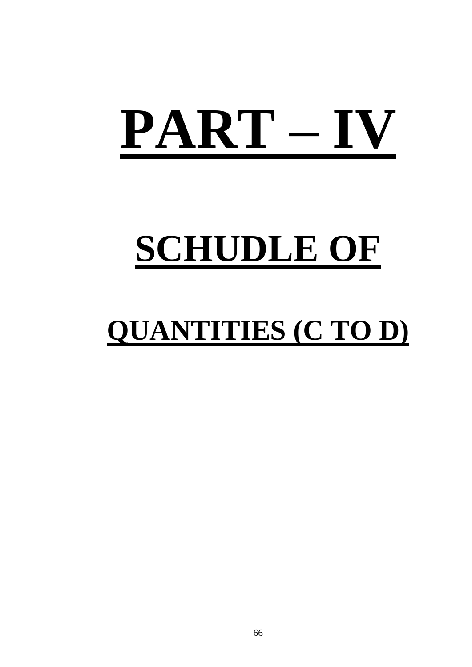# **PART – IV**

## **SCHUDLE OF**

### **QUANTITIES (C TO D)**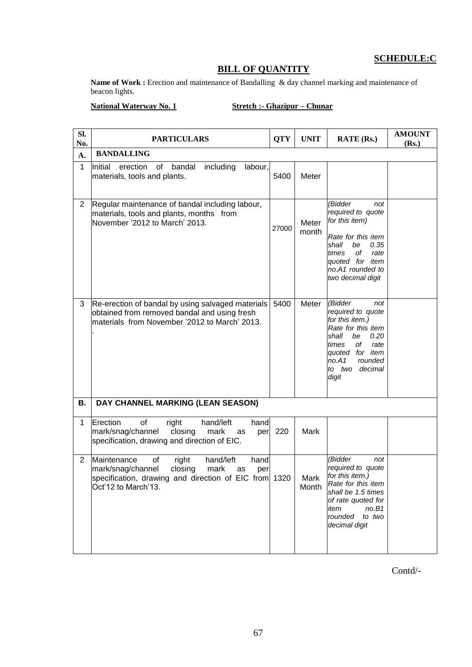#### **SCHEDULE:C**

#### **BILL OF QUANTITY**

Name of Work : Erection and maintenance of Bandalling & day channel marking and maintenance of beacon lights.

#### **National Waterway No. 1 Stretch :- Ghazipur – Chunar**

| SI.<br>No.     | <b>PARTICULARS</b>                                                                                                                                                                   | <b>QTY</b> | <b>UNIT</b>    | <b>RATE (Rs.)</b>                                                                                                                                                                               | <b>AMOUNT</b><br>(Rs.) |
|----------------|--------------------------------------------------------------------------------------------------------------------------------------------------------------------------------------|------------|----------------|-------------------------------------------------------------------------------------------------------------------------------------------------------------------------------------------------|------------------------|
| A.             | <b>BANDALLING</b>                                                                                                                                                                    |            |                |                                                                                                                                                                                                 |                        |
| $\mathbf{1}$   | including<br>Initial<br>erection<br>of<br>bandal<br>labour,<br>materials, tools and plants.                                                                                          | 5400       | Meter          |                                                                                                                                                                                                 |                        |
| $\overline{2}$ | Regular maintenance of bandal including labour,<br>materials, tools and plants, months from<br>November '2012 to March' 2013.                                                        | 27000      | Meter<br>month | (Bidder<br>not<br>required to quote<br>for this item)<br>Rate for this item<br>shall<br>be<br>0.35<br>оf<br>rate<br>times<br>quoted for item<br>no.A1 rounded to<br>two decimal digit           |                        |
| 3              | Re-erection of bandal by using salvaged materials<br>obtained from removed bandal and using fresh<br>materials from November '2012 to March' 2013.                                   | 5400       | Meter          | (Bidder<br>not<br>required to quote<br>for this item.)<br>Rate for this item<br>shall<br>be<br>0.20<br>of<br>times<br>rate<br>quoted for item<br>no.A1<br>rounded<br>to two<br>decimal<br>digit |                        |
| В.             | DAY CHANNEL MARKING (LEAN SEASON)                                                                                                                                                    |            |                |                                                                                                                                                                                                 |                        |
| 1              | Erection<br>of<br>right<br>hand/left<br>hand<br>mark/snag/channel<br>closing<br>mark<br>per<br>as<br>specification, drawing and direction of EIC.                                    | 220        | Mark           |                                                                                                                                                                                                 |                        |
| $\overline{2}$ | Maintenance<br>right<br>of<br>hand/left<br>hand<br>closing<br>mark<br>mark/snag/channel<br>as<br>per<br>specification, drawing and direction of EIC from 1320<br>Oct'12 to March'13. |            | Mark<br>Month  | (Bidder<br>not<br>required to quote<br>for this item.)<br>Rate for this item<br>shall be 1.5 times<br>of rate quoted for<br>no.B1<br>item<br>rounded<br>to two<br>decimal digit                 |                        |

Contd/-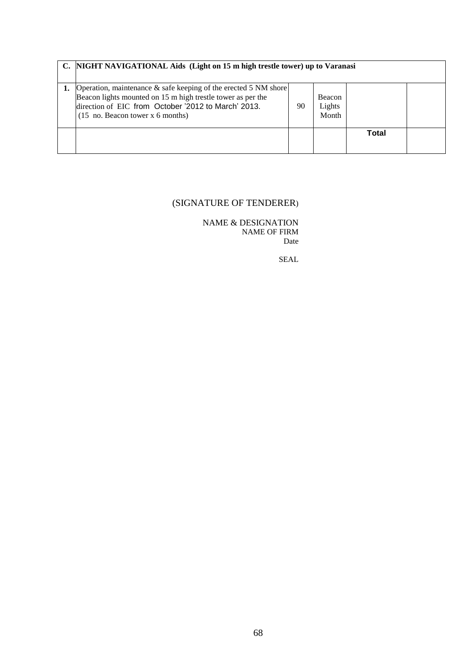| C. NIGHT NAVIGATIONAL Aids (Light on 15 m high trestle tower) up to Varanasi                                                                                                                                                        |    |                                  |       |  |
|-------------------------------------------------------------------------------------------------------------------------------------------------------------------------------------------------------------------------------------|----|----------------------------------|-------|--|
| Operation, maintenance & safe keeping of the erected 5 NM shore<br>Beacon lights mounted on 15 m high trestle tower as per the<br>direction of EIC from October '2012 to March' 2013.<br>$(15 \text{ no.}$ Beacon tower x 6 months) | 90 | <b>Beacon</b><br>Lights<br>Month |       |  |
|                                                                                                                                                                                                                                     |    |                                  | Total |  |

#### (SIGNATURE OF TENDERER)

NAME & DESIGNATION NAME OF FIRM Date

SEAL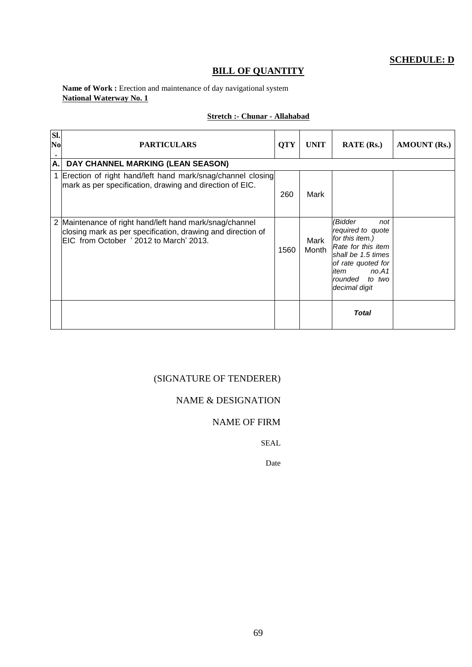#### **BILL OF QUANTITY**

#### Name of Work : Erection and maintenance of day navigational system **National Waterway No. 1**

#### **Stretch :- Chunar - Allahabad**

| SI.<br>N <sub>0</sub> | <b>PARTICULARS</b>                                                                                                                                                | <b>QTY</b> | <b>UNIT</b>   | <b>RATE</b> (Rs.)                                                                                                                                                               | <b>AMOUNT</b> (Rs.) |
|-----------------------|-------------------------------------------------------------------------------------------------------------------------------------------------------------------|------------|---------------|---------------------------------------------------------------------------------------------------------------------------------------------------------------------------------|---------------------|
| А.                    | DAY CHANNEL MARKING (LEAN SEASON)                                                                                                                                 |            |               |                                                                                                                                                                                 |                     |
|                       | Erection of right hand/left hand mark/snag/channel closing<br>mark as per specification, drawing and direction of EIC.                                            | 260        | Mark          |                                                                                                                                                                                 |                     |
|                       | 2 Maintenance of right hand/left hand mark/snag/channel<br>closing mark as per specification, drawing and direction of<br>EIC from October ' 2012 to March' 2013. | 1560       | Mark<br>Month | (Bidder<br>not<br>required to quote<br>for this item.)<br>Rate for this item<br>shall be 1.5 times<br>of rate quoted for<br>no.A1<br>item<br>rounded<br>to two<br>decimal digit |                     |
|                       |                                                                                                                                                                   |            |               | <b>Total</b>                                                                                                                                                                    |                     |

#### (SIGNATURE OF TENDERER)

#### NAME & DESIGNATION

#### NAME OF FIRM

SEAL

Date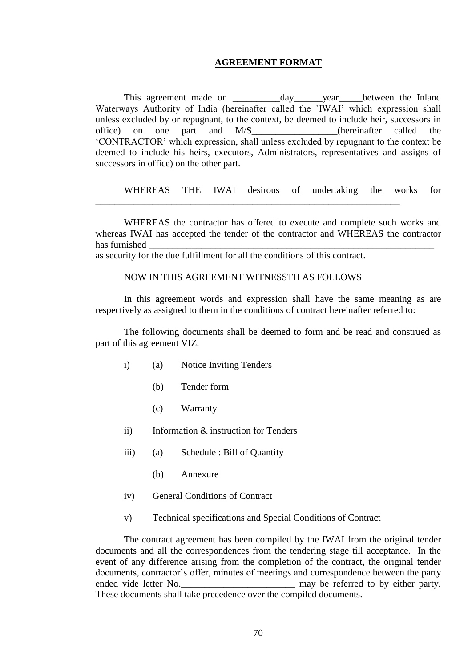#### **AGREEMENT FORMAT**

This agreement made on \_\_\_\_\_\_\_\_\_\_\_\_day\_\_\_\_\_\_year\_\_\_\_\_between the Inland Waterways Authority of India (hereinafter called the `IWAI' which expression shall unless excluded by or repugnant, to the context, be deemed to include heir, successors in office) on one part and M/S\_\_\_\_\_\_\_\_\_\_\_\_\_\_\_\_\_\_(hereinafter called the "CONTRACTOR" which expression, shall unless excluded by repugnant to the context be deemed to include his heirs, executors, Administrators, representatives and assigns of successors in office) on the other part.

WHEREAS THE IWAI desirous of undertaking the works for

WHEREAS the contractor has offered to execute and complete such works and whereas IWAI has accepted the tender of the contractor and WHEREAS the contractor has furnished

as security for the due fulfillment for all the conditions of this contract.

#### NOW IN THIS AGREEMENT WITNESSTH AS FOLLOWS

\_\_\_\_\_\_\_\_\_\_\_\_\_\_\_\_\_\_\_\_\_\_\_\_\_\_\_\_\_\_\_\_\_\_\_\_\_\_\_\_\_\_\_\_\_\_\_\_\_\_\_\_\_\_\_\_\_\_\_\_\_\_\_\_

In this agreement words and expression shall have the same meaning as are respectively as assigned to them in the conditions of contract hereinafter referred to:

The following documents shall be deemed to form and be read and construed as part of this agreement VIZ.

- i) (a) Notice Inviting Tenders
	- (b) Tender form
	- (c) Warranty
- ii) Information & instruction for Tenders
- iii) (a) Schedule : Bill of Quantity
	- (b) Annexure
- iv) General Conditions of Contract
- v) Technical specifications and Special Conditions of Contract

The contract agreement has been compiled by the IWAI from the original tender documents and all the correspondences from the tendering stage till acceptance. In the event of any difference arising from the completion of the contract, the original tender documents, contractor's offer, minutes of meetings and correspondence between the party ended vide letter No. These documents shall take precedence over the compiled documents.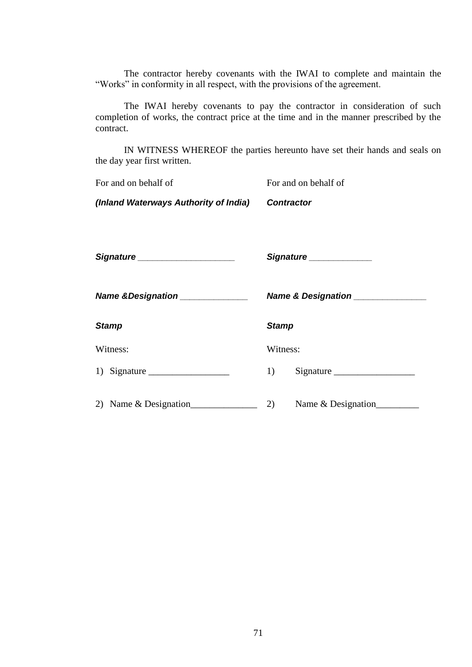The contractor hereby covenants with the IWAI to complete and maintain the "Works" in conformity in all respect, with the provisions of the agreement.

The IWAI hereby covenants to pay the contractor in consideration of such completion of works, the contract price at the time and in the manner prescribed by the contract.

IN WITNESS WHEREOF the parties hereunto have set their hands and seals on the day year first written.

*(Inland Waterways Authority of India) Contractor* 

*Signature \_\_\_\_\_\_\_\_\_\_\_\_\_\_\_\_\_\_\_\_ Signature \_\_\_\_\_\_\_\_\_\_\_\_\_*

*Name &Designation \_\_\_\_\_\_\_\_\_\_\_\_\_\_ Name & Designation \_\_\_\_\_\_\_\_\_\_\_\_\_\_\_*

|  | <b>Name &amp; Designation</b> |  |
|--|-------------------------------|--|
|  |                               |  |

*Stamp Stamp* 

Witness: Witness:

| 1) Signature | Signature |
|--------------|-----------|
|--------------|-----------|

| 2) Name & Designation | Name & Designation |
|-----------------------|--------------------|
|                       |                    |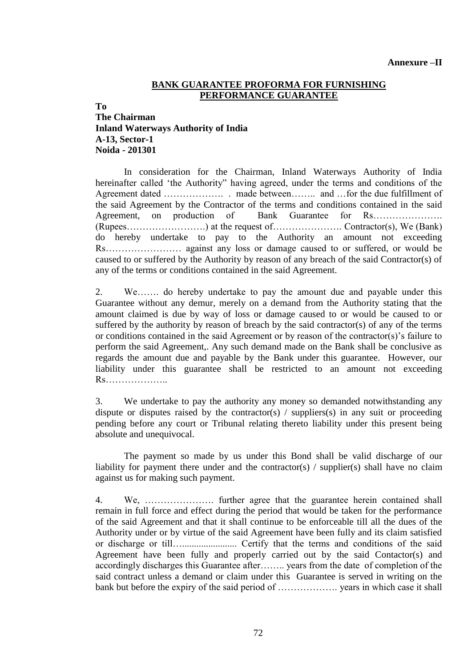#### **BANK GUARANTEE PROFORMA FOR FURNISHING PERFORMANCE GUARANTEE**

**To**

#### **The Chairman Inland Waterways Authority of India A-13, Sector-1 Noida - 201301**

In consideration for the Chairman, Inland Waterways Authority of India hereinafter called "the Authority" having agreed, under the terms and conditions of the Agreement dated ………………. . made between…….. and …for the due fulfillment of the said Agreement by the Contractor of the terms and conditions contained in the said Agreement, on production of Bank Guarantee for Rs…………………. (Rupees…………………….) at the request of…………………. Contractor(s), We (Bank) do hereby undertake to pay to the Authority an amount not exceeding Rs…………………… against any loss or damage caused to or suffered, or would be caused to or suffered by the Authority by reason of any breach of the said Contractor(s) of any of the terms or conditions contained in the said Agreement.

2. We……. do hereby undertake to pay the amount due and payable under this Guarantee without any demur, merely on a demand from the Authority stating that the amount claimed is due by way of loss or damage caused to or would be caused to or suffered by the authority by reason of breach by the said contractor(s) of any of the terms or conditions contained in the said Agreement or by reason of the contractor(s)"s failure to perform the said Agreement,. Any such demand made on the Bank shall be conclusive as regards the amount due and payable by the Bank under this guarantee. However, our liability under this guarantee shall be restricted to an amount not exceeding Rs………………..

3. We undertake to pay the authority any money so demanded notwithstanding any dispute or disputes raised by the contractor(s) / suppliers(s) in any suit or proceeding pending before any court or Tribunal relating thereto liability under this present being absolute and unequivocal.

 The payment so made by us under this Bond shall be valid discharge of our liability for payment there under and the contractor(s) / supplier(s) shall have no claim against us for making such payment.

4. We, …………………. further agree that the guarantee herein contained shall remain in full force and effect during the period that would be taken for the performance of the said Agreement and that it shall continue to be enforceable till all the dues of the Authority under or by virtue of the said Agreement have been fully and its claim satisfied or discharge or till…....................... Certify that the terms and conditions of the said Agreement have been fully and properly carried out by the said Contactor(s) and accordingly discharges this Guarantee after…….. years from the date of completion of the said contract unless a demand or claim under this Guarantee is served in writing on the bank but before the expiry of the said period of ………………. years in which case it shall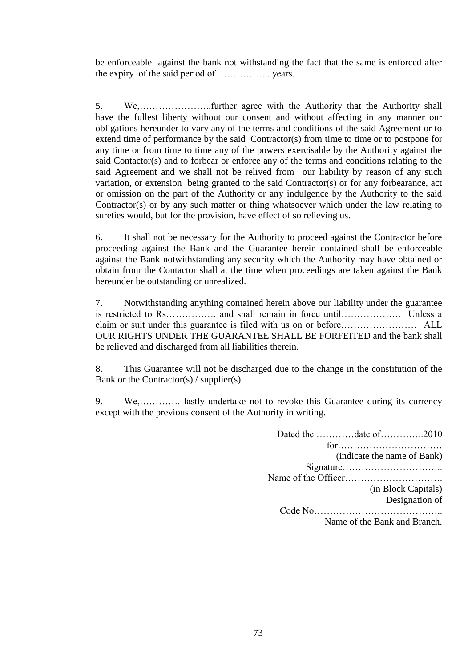be enforceable against the bank not withstanding the fact that the same is enforced after the expiry of the said period of …………….. years.

5. We,…………………..further agree with the Authority that the Authority shall have the fullest liberty without our consent and without affecting in any manner our obligations hereunder to vary any of the terms and conditions of the said Agreement or to extend time of performance by the said Contractor(s) from time to time or to postpone for any time or from time to time any of the powers exercisable by the Authority against the said Contactor(s) and to forbear or enforce any of the terms and conditions relating to the said Agreement and we shall not be relived from our liability by reason of any such variation, or extension being granted to the said Contractor(s) or for any forbearance, act or omission on the part of the Authority or any indulgence by the Authority to the said Contractor(s) or by any such matter or thing whatsoever which under the law relating to sureties would, but for the provision, have effect of so relieving us.

6. It shall not be necessary for the Authority to proceed against the Contractor before proceeding against the Bank and the Guarantee herein contained shall be enforceable against the Bank notwithstanding any security which the Authority may have obtained or obtain from the Contactor shall at the time when proceedings are taken against the Bank hereunder be outstanding or unrealized.

7. Notwithstanding anything contained herein above our liability under the guarantee is restricted to Rs……………. and shall remain in force until………………. Unless a claim or suit under this guarantee is filed with us on or before…………………… ALL OUR RIGHTS UNDER THE GUARANTEE SHALL BE FORFEITED and the bank shall be relieved and discharged from all liabilities therein.

8. This Guarantee will not be discharged due to the change in the constitution of the Bank or the Contractor(s) / supplier(s).

9. We,…………. lastly undertake not to revoke this Guarantee during its currency except with the previous consent of the Authority in writing.

| Dated the date of2010        |
|------------------------------|
|                              |
| (indicate the name of Bank)  |
|                              |
|                              |
| (in Block Capitals)          |
| Designation of               |
|                              |
| Name of the Bank and Branch. |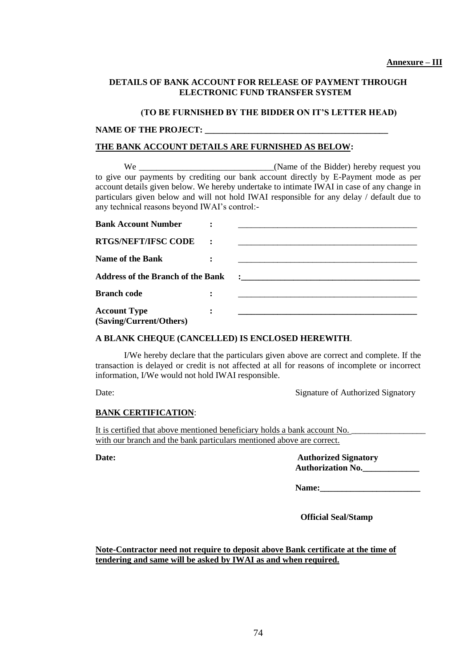### **DETAILS OF BANK ACCOUNT FOR RELEASE OF PAYMENT THROUGH ELECTRONIC FUND TRANSFER SYSTEM**

#### **(TO BE FURNISHED BY THE BIDDER ON IT'S LETTER HEAD)**

#### NAME OF THE PROJECT:

### **THE BANK ACCOUNT DETAILS ARE FURNISHED AS BELOW:**

We \_\_\_\_\_\_\_\_\_\_\_\_\_\_\_\_\_\_\_\_\_\_\_\_\_\_\_\_\_\_\_\_\_\_(Name of the Bidder) hereby request you to give our payments by crediting our bank account directly by E-Payment mode as per account details given below. We hereby undertake to intimate IWAI in case of any change in particulars given below and will not hold IWAI responsible for any delay / default due to any technical reasons beyond IWAI"s control:-

| <b>Bank Account Number</b>               |  |                                                                                                                                                                                                                                     |
|------------------------------------------|--|-------------------------------------------------------------------------------------------------------------------------------------------------------------------------------------------------------------------------------------|
| <b>RTGS/NEFT/IFSC CODE</b>               |  |                                                                                                                                                                                                                                     |
| <b>Name of the Bank</b>                  |  |                                                                                                                                                                                                                                     |
| <b>Address of the Branch of the Bank</b> |  | $\ddot{\cdot}$ . The contract of the contract of the contract of the contract of the contract of the contract of the contract of the contract of the contract of the contract of the contract of the contract of the contract of th |
| <b>Branch code</b>                       |  |                                                                                                                                                                                                                                     |
| <b>Account Type</b>                      |  |                                                                                                                                                                                                                                     |
| (Saving/Current/Others)                  |  |                                                                                                                                                                                                                                     |

#### **A BLANK CHEQUE (CANCELLED) IS ENCLOSED HEREWITH**.

I/We hereby declare that the particulars given above are correct and complete. If the transaction is delayed or credit is not affected at all for reasons of incomplete or incorrect information, I/We would not hold IWAI responsible.

Date: Signature of Authorized Signatory

### **BANK CERTIFICATION**:

It is certified that above mentioned beneficiary holds a bank account No. with our branch and the bank particulars mentioned above are correct.

**Date: Authorized Signatory Authorization No.\_\_\_\_\_\_\_\_\_\_\_\_\_**

Name:

 **Official Seal/Stamp**

**Note-Contractor need not require to deposit above Bank certificate at the time of tendering and same will be asked by IWAI as and when required.**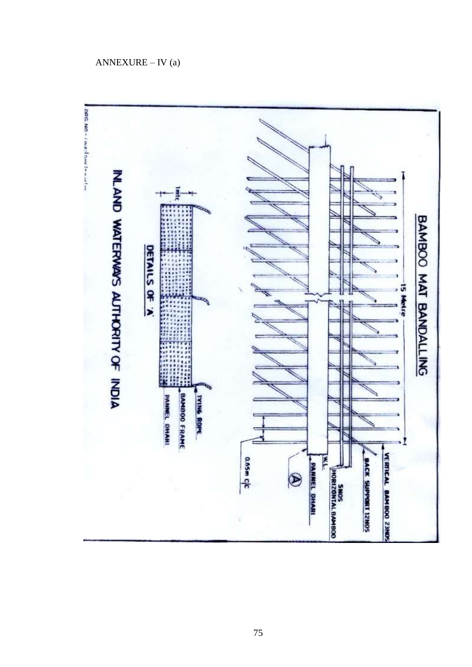# $ANNEXURE - IV(a)$

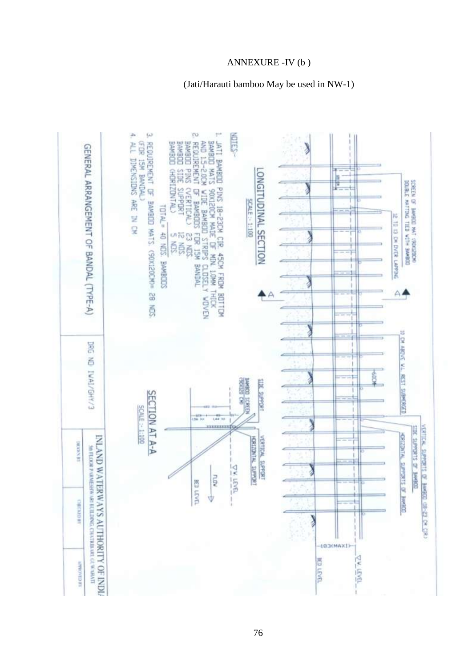# ANNEXURE - IV (b)

## (Jati/Harauti bamboo May be used in NW-1)